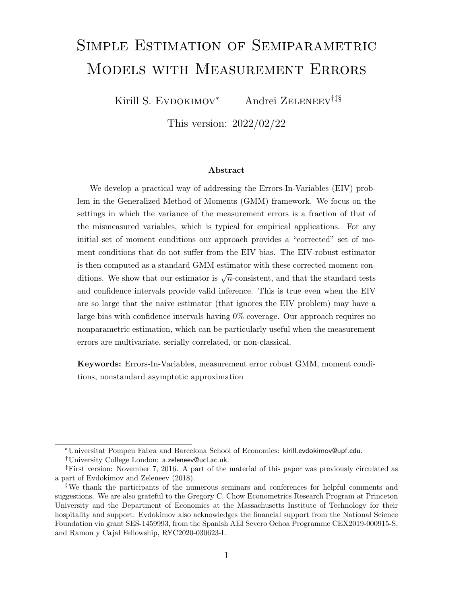# Simple Estimation of Semiparametric Models with Measurement Errors

Kirill S. EVDOKIMOV<sup>\*</sup> Andrei ZELENEEV<sup>†‡§</sup>

This version: 2022/02/22

#### Abstract

We develop a practical way of addressing the Errors-In-Variables (EIV) problem in the Generalized Method of Moments (GMM) framework. We focus on the settings in which the variance of the measurement errors is a fraction of that of the mismeasured variables, which is typical for empirical applications. For any initial set of moment conditions our approach provides a "corrected" set of moment conditions that do not suffer from the EIV bias. The EIV-robust estimator is then computed as a standard GMM estimator with these corrected moment conditions. We show that our estimator is  $\sqrt{n}$ -consistent, and that the standard tests and confidence intervals provide valid inference. This is true even when the EIV are so large that the naive estimator (that ignores the EIV problem) may have a large bias with confidence intervals having 0% coverage. Our approach requires no nonparametric estimation, which can be particularly useful when the measurement errors are multivariate, serially correlated, or non-classical.

Keywords: Errors-In-Variables, measurement error robust GMM, moment conditions, nonstandard asymptotic approximation

<sup>\*</sup>Universitat Pompeu Fabra and Barcelona School of Economics: kirill.evdokimov@upf.edu.

University College London: a.zeleneev@ucl.ac.uk.

First version: November 7, 2016. A part of the material of this paper was previously circulated as a part of Evdokimov and Zeleneev (2018).

<sup>§</sup>We thank the participants of the numerous seminars and conferences for helpful comments and suggestions. We are also grateful to the Gregory C. Chow Econometrics Research Program at Princeton University and the Department of Economics at the Massachusetts Institute of Technology for their hospitality and support. Evdokimov also acknowledges the financial support from the National Science Foundation via grant SES-1459993, from the Spanish AEI Severo Ochoa Programme CEX2019-000915-S, and Ramon y Cajal Fellowship, RYC2020-030623-I.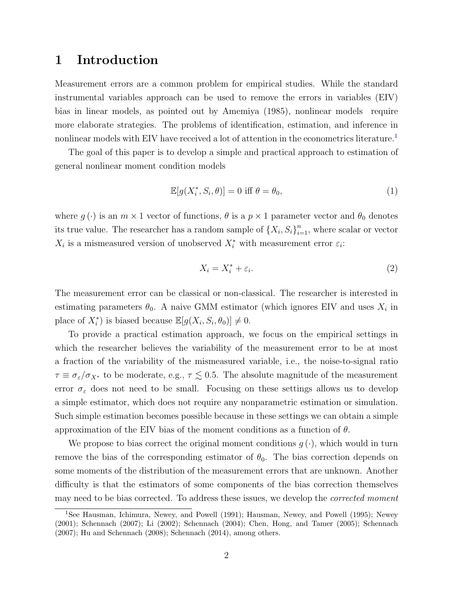### 1 Introduction

Measurement errors are a common problem for empirical studies. While the standard instrumental variables approach can be used to remove the errors in variables (EIV) bias in linear models, as pointed out by [Amemiya](#page-31-0) [\(1985\)](#page-31-0), nonlinear models require more elaborate strategies. The problems of identification, estimation, and inference in nonlinear models with EIV have received a lot of attention in the econometrics literature.<sup>[1](#page-1-0)</sup>

The goal of this paper is to develop a simple and practical approach to estimation of general nonlinear moment condition models

<span id="page-1-1"></span>
$$
\mathbb{E}[g(X_i^*, S_i, \theta)] = 0 \text{ iff } \theta = \theta_0,\tag{1}
$$

where  $g(\cdot)$  is an  $m \times 1$  vector of functions,  $\theta$  is a  $p \times 1$  parameter vector and  $\theta_0$  denotes its true value. The researcher has a random sample of  $\{X_i, S_i\}_{i=1}^n$ , where scalar or vector  $X_i$  is a mismeasured version of unobserved  $X_i^*$  with measurement error  $\varepsilon_i$ :

$$
X_i = X_i^* + \varepsilon_i. \tag{2}
$$

The measurement error can be classical or non-classical. The researcher is interested in estimating parameters  $\theta_0$ . A naive GMM estimator (which ignores EIV and uses  $X_i$  in place of  $X_i^*$ ) is biased because  $\mathbb{E}[g(X_i, S_i, \theta_0)] \neq 0$ .

To provide a practical estimation approach, we focus on the empirical settings in which the researcher believes the variability of the measurement error to be at most a fraction of the variability of the mismeasured variable, i.e., the noise-to-signal ratio  $\tau \equiv \sigma_{\varepsilon}/\sigma_{X^*}$  to be moderate, e.g.,  $\tau \lesssim 0.5$ . The absolute magnitude of the measurement error  $\sigma_{\varepsilon}$  does not need to be small. Focusing on these settings allows us to develop a simple estimator, which does not require any nonparametric estimation or simulation. Such simple estimation becomes possible because in these settings we can obtain a simple approximation of the EIV bias of the moment conditions as a function of  $\theta$ .

We propose to bias correct the original moment conditions  $g(\cdot)$ , which would in turn remove the bias of the corresponding estimator of  $\theta_0$ . The bias correction depends on some moments of the distribution of the measurement errors that are unknown. Another difficulty is that the estimators of some components of the bias correction themselves may need to be bias corrected. To address these issues, we develop the *corrected moment* 

<span id="page-1-0"></span><sup>&</sup>lt;sup>1</sup>See [Hausman, Ichimura, Newey, and Powell](#page-33-0) [\(1991\)](#page-33-0); [Hausman, Newey, and Powell](#page-33-1) [\(1995\)](#page-33-1); [Newey](#page-34-0) [\(2001\)](#page-34-0); [Schennach](#page-35-0) [\(2007\)](#page-35-0); [Li](#page-34-1) [\(2002\)](#page-34-1); [Schennach](#page-35-1) [\(2004\)](#page-35-1); [Chen, Hong, and Tamer](#page-32-0) [\(2005\)](#page-32-0); [Schennach](#page-35-0) [\(2007\)](#page-35-0); [Hu and Schennach](#page-33-2) [\(2008\)](#page-33-2); [Schennach](#page-35-2) [\(2014\)](#page-35-2), among others.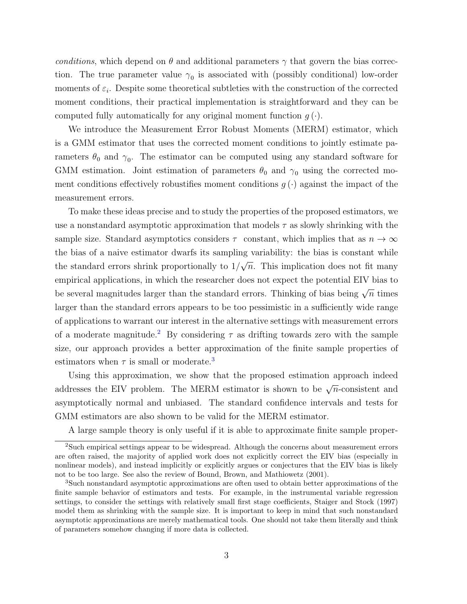conditions, which depend on  $\theta$  and additional parameters  $\gamma$  that govern the bias correction. The true parameter value  $\gamma_0$  is associated with (possibly conditional) low-order moments of  $\varepsilon_i$ . Despite some theoretical subtleties with the construction of the corrected moment conditions, their practical implementation is straightforward and they can be computed fully automatically for any original moment function  $q(\cdot)$ .

We introduce the Measurement Error Robust Moments (MERM) estimator, which is a GMM estimator that uses the corrected moment conditions to jointly estimate parameters  $\theta_0$  and  $\gamma_0$ . The estimator can be computed using any standard software for GMM estimation. Joint estimation of parameters  $\theta_0$  and  $\gamma_0$  using the corrected moment conditions effectively robustifies moment conditions  $g(\cdot)$  against the impact of the measurement errors.

To make these ideas precise and to study the properties of the proposed estimators, we use a nonstandard asymptotic approximation that models  $\tau$  as slowly shrinking with the sample size. Standard asymptotics considers  $\tau$  constant, which implies that as  $n \to \infty$ the bias of a naive estimator dwarfs its sampling variability: the bias is constant while the standard errors shrink proportionally to 1/ √  $\overline{n}$ . This implication does not fit many empirical applications, in which the researcher does not expect the potential EIV bias to be several magnitudes larger than the standard errors. Thinking of bias being  $\sqrt{n}$  times larger than the standard errors appears to be too pessimistic in a sufficiently wide range of applications to warrant our interest in the alternative settings with measurement errors of a moderate magnitude.<sup>[2](#page-2-0)</sup> By considering  $\tau$  as drifting towards zero with the sample size, our approach provides a better approximation of the finite sample properties of estimators when  $\tau$  is small or moderate.<sup>[3](#page-2-1)</sup>

Using this approximation, we show that the proposed estimation approach indeed addresses the EIV problem. The MERM estimator is shown to be  $\sqrt{n}$ -consistent and asymptotically normal and unbiased. The standard confidence intervals and tests for GMM estimators are also shown to be valid for the MERM estimator.

<span id="page-2-0"></span>A large sample theory is only useful if it is able to approximate finite sample proper-

<sup>&</sup>lt;sup>2</sup>Such empirical settings appear to be widespread. Although the concerns about measurement errors are often raised, the majority of applied work does not explicitly correct the EIV bias (especially in nonlinear models), and instead implicitly or explicitly argues or conjectures that the EIV bias is likely not to be too large. See also the review of [Bound, Brown, and Mathiowetz](#page-32-1) [\(2001\)](#page-32-1).

<span id="page-2-1"></span><sup>3</sup>Such nonstandard asymptotic approximations are often used to obtain better approximations of the finite sample behavior of estimators and tests. For example, in the instrumental variable regression settings, to consider the settings with relatively small first stage coefficients, [Staiger and Stock](#page-35-3) [\(1997\)](#page-35-3) model them as shrinking with the sample size. It is important to keep in mind that such nonstandard asymptotic approximations are merely mathematical tools. One should not take them literally and think of parameters somehow changing if more data is collected.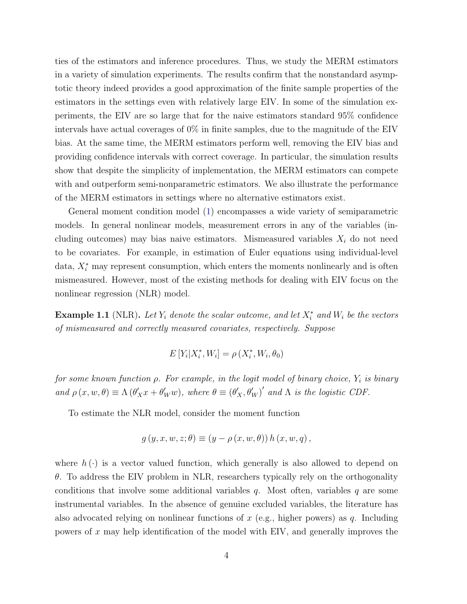ties of the estimators and inference procedures. Thus, we study the MERM estimators in a variety of simulation experiments. The results confirm that the nonstandard asymptotic theory indeed provides a good approximation of the finite sample properties of the estimators in the settings even with relatively large EIV. In some of the simulation experiments, the EIV are so large that for the naive estimators standard 95% confidence intervals have actual coverages of 0% in finite samples, due to the magnitude of the EIV bias. At the same time, the MERM estimators perform well, removing the EIV bias and providing confidence intervals with correct coverage. In particular, the simulation results show that despite the simplicity of implementation, the MERM estimators can compete with and outperform semi-nonparametric estimators. We also illustrate the performance of the MERM estimators in settings where no alternative estimators exist.

General moment condition model [\(1\)](#page-1-1) encompasses a wide variety of semiparametric models. In general nonlinear models, measurement errors in any of the variables (including outcomes) may bias naive estimators. Mismeasured variables  $X_i$  do not need to be covariates. For example, in estimation of Euler equations using individual-level data,  $X_i^*$  may represent consumption, which enters the moments nonlinearly and is often mismeasured. However, most of the existing methods for dealing with EIV focus on the nonlinear regression (NLR) model.

**Example 1.1** (NLR). Let  $Y_i$  denote the scalar outcome, and let  $X_i^*$  and  $W_i$  be the vectors of mismeasured and correctly measured covariates, respectively. Suppose

$$
E[Y_i|X_i^*,W_i] = \rho(X_i^*,W_i,\theta_0)
$$

for some known function  $\rho$ . For example, in the logit model of binary choice,  $Y_i$  is binary and  $\rho(x, w, \theta) \equiv \Lambda(\theta'_X x + \theta'_W w)$ , where  $\theta \equiv (\theta'_X, \theta'_W)'$  and  $\Lambda$  is the logistic CDF.

To estimate the NLR model, consider the moment function

$$
g(y, x, w, z; \theta) \equiv (y - \rho(x, w, \theta)) h(x, w, q),
$$

where  $h(\cdot)$  is a vector valued function, which generally is also allowed to depend on  $\theta$ . To address the EIV problem in NLR, researchers typically rely on the orthogonality conditions that involve some additional variables  $q$ . Most often, variables  $q$  are some instrumental variables. In the absence of genuine excluded variables, the literature has also advocated relying on nonlinear functions of  $x$  (e.g., higher powers) as  $q$ . Including powers of x may help identification of the model with EIV, and generally improves the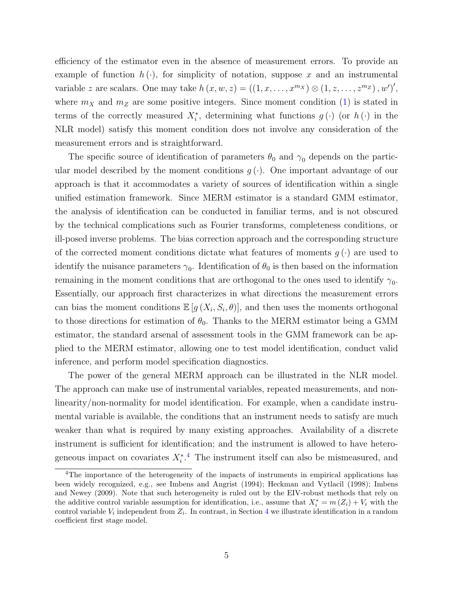efficiency of the estimator even in the absence of measurement errors. To provide an example of function  $h(\cdot)$ , for simplicity of notation, suppose x and an instrumental variable z are scalars. One may take  $h(x, w, z) = ((1, x, \ldots, x^{m_X}) \otimes (1, z, \ldots, z^{m_Z}), w')'$ , where  $m_X$  and  $m_Z$  are some positive integers. Since moment condition [\(1\)](#page-1-1) is stated in terms of the correctly measured  $X_i^*$ , determining what functions  $g(\cdot)$  (or  $h(\cdot)$  in the NLR model) satisfy this moment condition does not involve any consideration of the measurement errors and is straightforward.

The specific source of identification of parameters  $\theta_0$  and  $\gamma_0$  depends on the particular model described by the moment conditions  $g(\cdot)$ . One important advantage of our approach is that it accommodates a variety of sources of identification within a single unified estimation framework. Since MERM estimator is a standard GMM estimator, the analysis of identification can be conducted in familiar terms, and is not obscured by the technical complications such as Fourier transforms, completeness conditions, or ill-posed inverse problems. The bias correction approach and the corresponding structure of the corrected moment conditions dictate what features of moments  $g(\cdot)$  are used to identify the nuisance parameters  $\gamma_0$ . Identification of  $\theta_0$  is then based on the information remaining in the moment conditions that are orthogonal to the ones used to identify  $\gamma_0$ . Essentially, our approach first characterizes in what directions the measurement errors can bias the moment conditions  $\mathbb{E}[g(X_i, S_i, \theta)],$  and then uses the moments orthogonal to those directions for estimation of  $\theta_0$ . Thanks to the MERM estimator being a GMM estimator, the standard arsenal of assessment tools in the GMM framework can be applied to the MERM estimator, allowing one to test model identification, conduct valid inference, and perform model specification diagnostics.

The power of the general MERM approach can be illustrated in the NLR model. The approach can make use of instrumental variables, repeated measurements, and nonlinearity/non-normality for model identification. For example, when a candidate instrumental variable is available, the conditions that an instrument needs to satisfy are much weaker than what is required by many existing approaches. Availability of a discrete instrument is sufficient for identification; and the instrument is allowed to have heterogeneous impact on covariates  $X_i^*$ <sup>[4](#page-4-0)</sup>. The instrument itself can also be mismeasured, and

<span id="page-4-0"></span><sup>4</sup>The importance of the heterogeneity of the impacts of instruments in empirical applications has been widely recognized, e.g., see [Imbens and Angrist](#page-34-2) [\(1994\)](#page-34-2); [Heckman and Vytlacil](#page-33-3) [\(1998\)](#page-33-3); [Imbens](#page-34-3) [and Newey](#page-34-3) [\(2009\)](#page-34-3). Note that such heterogeneity is ruled out by the EIV-robust methods that rely on the additive control variable assumption for identification, i.e., assume that  $X_i^* = m(Z_i) + V_i$  with the control variable  $V_i$  independent from  $Z_i$ . In contrast, in Section [4](#page-22-0) we illustrate identification in a random coefficient first stage model.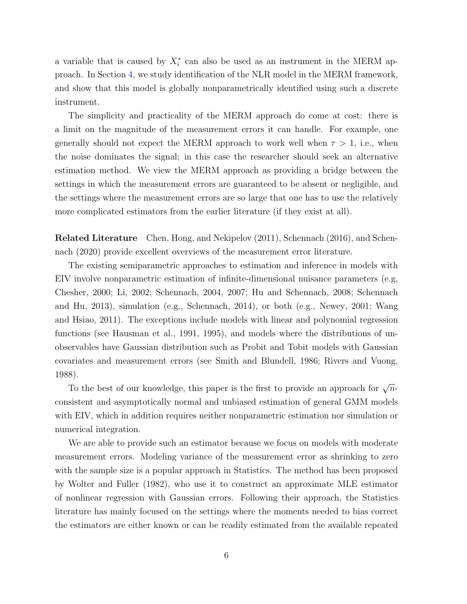a variable that is caused by  $X_i^*$  can also be used as an instrument in the MERM approach. In Section [4,](#page-22-0) we study identification of the NLR model in the MERM framework, and show that this model is globally nonparametrically identified using such a discrete instrument.

The simplicity and practicality of the MERM approach do come at cost: there is a limit on the magnitude of the measurement errors it can handle. For example, one generally should not expect the MERM approach to work well when  $\tau > 1$ , i.e., when the noise dominates the signal; in this case the researcher should seek an alternative estimation method. We view the MERM approach as providing a bridge between the settings in which the measurement errors are guaranteed to be absent or negligible, and the settings where the measurement errors are so large that one has to use the relatively more complicated estimators from the earlier literature (if they exist at all).

Related Literature [Chen, Hong, and Nekipelov](#page-32-2) [\(2011\)](#page-32-2), [Schennach](#page-35-4) [\(2016\)](#page-35-4), and [Schen](#page-35-5)[nach](#page-35-5) [\(2020\)](#page-35-5) provide excellent overviews of the measurement error literature.

The existing semiparametric approaches to estimation and inference in models with EIV involve nonparametric estimation of infinite-dimensional nuisance parameters (e.g, [Chesher,](#page-32-3) [2000;](#page-32-3) [Li,](#page-34-1) [2002;](#page-34-1) [Schennach,](#page-35-1) [2004,](#page-35-1) [2007;](#page-35-0) [Hu and Schennach,](#page-33-2) [2008;](#page-33-2) [Schennach](#page-35-6) [and Hu,](#page-35-6) [2013\)](#page-35-6), simulation (e.g., [Schennach,](#page-35-2) [2014\)](#page-35-2), or both (e.g., [Newey,](#page-34-0) [2001;](#page-34-0) [Wang](#page-35-7) [and Hsiao,](#page-35-7) [2011\)](#page-35-7). The exceptions include models with linear and polynomial regression functions (see [Hausman et al.,](#page-33-0) [1991,](#page-33-0) [1995\)](#page-33-1), and models where the distributions of unobservables have Gaussian distribution such as Probit and Tobit models with Gaussian covariates and measurement errors (see [Smith and Blundell,](#page-35-8) [1986;](#page-35-8) [Rivers and Vuong,](#page-34-4) [1988\)](#page-34-4).

To the best of our knowledge, this paper is the first to provide an approach for  $\sqrt{n}$ consistent and asymptotically normal and unbiased estimation of general GMM models with EIV, which in addition requires neither nonparametric estimation nor simulation or numerical integration.

We are able to provide such an estimator because we focus on models with moderate measurement errors. Modeling variance of the measurement error as shrinking to zero with the sample size is a popular approach in Statistics. The method has been proposed by [Wolter and Fuller](#page-35-9) [\(1982\)](#page-35-9), who use it to construct an approximate MLE estimator of nonlinear regression with Gaussian errors. Following their approach, the Statistics literature has mainly focused on the settings where the moments needed to bias correct the estimators are either known or can be readily estimated from the available repeated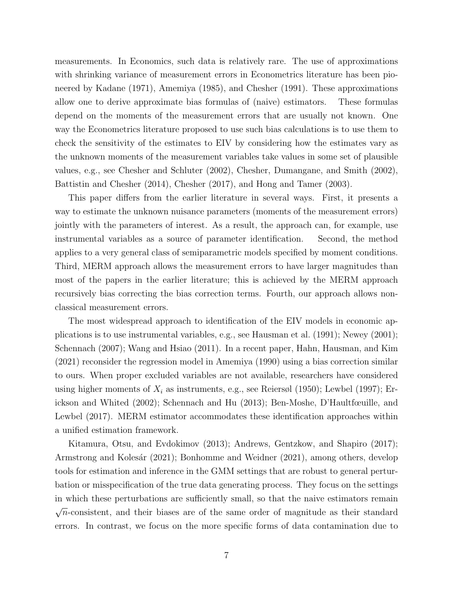measurements. In Economics, such data is relatively rare. The use of approximations with shrinking variance of measurement errors in Econometrics literature has been pioneered by [Kadane](#page-34-5) [\(1971\)](#page-34-5), [Amemiya](#page-31-0) [\(1985\)](#page-31-0), and [Chesher](#page-32-4) [\(1991\)](#page-32-4). These approximations allow one to derive approximate bias formulas of (naive) estimators. These formulas depend on the moments of the measurement errors that are usually not known. One way the Econometrics literature proposed to use such bias calculations is to use them to check the sensitivity of the estimates to EIV by considering how the estimates vary as the unknown moments of the measurement variables take values in some set of plausible values, e.g., see [Chesher and Schluter](#page-32-5) [\(2002\)](#page-32-5), [Chesher, Dumangane, and Smith](#page-32-6) [\(2002\)](#page-32-6), [Battistin and Chesher](#page-32-7) [\(2014\)](#page-32-7), [Chesher](#page-32-8) [\(2017\)](#page-32-8), and [Hong and Tamer](#page-33-4) [\(2003\)](#page-33-4).

This paper differs from the earlier literature in several ways. First, it presents a way to estimate the unknown nuisance parameters (moments of the measurement errors) jointly with the parameters of interest. As a result, the approach can, for example, use instrumental variables as a source of parameter identification. Second, the method applies to a very general class of semiparametric models specified by moment conditions. Third, MERM approach allows the measurement errors to have larger magnitudes than most of the papers in the earlier literature; this is achieved by the MERM approach recursively bias correcting the bias correction terms. Fourth, our approach allows nonclassical measurement errors.

The most widespread approach to identification of the EIV models in economic applications is to use instrumental variables, e.g., see [Hausman et al.](#page-33-0) [\(1991\)](#page-33-0); [Newey](#page-34-0) [\(2001\)](#page-34-0); [Schennach](#page-35-0) [\(2007\)](#page-35-0); [Wang and Hsiao](#page-35-7) [\(2011\)](#page-35-7). In a recent paper, [Hahn, Hausman, and Kim](#page-33-5) [\(2021\)](#page-33-5) reconsider the regression model in [Amemiya](#page-31-1) [\(1990\)](#page-31-1) using a bias correction similar to ours. When proper excluded variables are not available, researchers have considered using higher moments of  $X_i$  as instruments, e.g., see [Reiersøl](#page-34-6) [\(1950\)](#page-34-6); [Lewbel](#page-34-7) [\(1997\)](#page-34-7); [Er](#page-33-6)[ickson and Whited](#page-33-6) [\(2002\)](#page-33-6); [Schennach and Hu](#page-35-6) [\(2013\)](#page-35-6); [Ben-Moshe, D'Haultfœuille, and](#page-32-9) [Lewbel](#page-32-9) [\(2017\)](#page-32-9). MERM estimator accommodates these identification approaches within a unified estimation framework.

[Kitamura, Otsu, and Evdokimov](#page-34-8) [\(2013\)](#page-34-8); [Andrews, Gentzkow, and Shapiro](#page-31-2) [\(2017\)](#page-31-2); Armstrong and Kolesár [\(2021\)](#page-32-11); [Bonhomme and Weidner](#page-32-11) (2021), among others, develop tools for estimation and inference in the GMM settings that are robust to general perturbation or misspecification of the true data generating process. They focus on the settings in which these perturbations are sufficiently small, so that the naive estimators remain √  $\overline{n}$ -consistent, and their biases are of the same order of magnitude as their standard errors. In contrast, we focus on the more specific forms of data contamination due to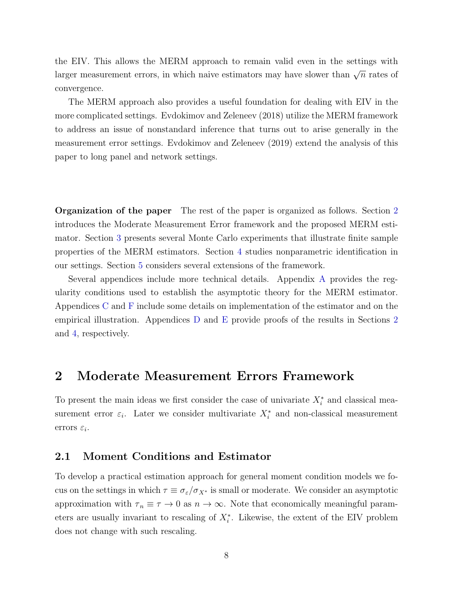the EIV. This allows the MERM approach to remain valid even in the settings with larger measurement errors, in which naive estimators may have slower than  $\sqrt{n}$  rates of convergence.

The MERM approach also provides a useful foundation for dealing with EIV in the more complicated settings. [Evdokimov and Zeleneev](#page-33-7) [\(2018\)](#page-33-7) utilize the MERM framework to address an issue of nonstandard inference that turns out to arise generally in the measurement error settings. [Evdokimov and Zeleneev](#page-33-8) [\(2019\)](#page-33-8) extend the analysis of this paper to long panel and network settings.

Organization of the paper The rest of the paper is organized as follows. Section [2](#page-7-0) introduces the Moderate Measurement Error framework and the proposed MERM estimator. Section [3](#page-15-0) presents several Monte Carlo experiments that illustrate finite sample properties of the MERM estimators. Section [4](#page-22-0) studies nonparametric identification in our settings. Section [5](#page-25-0) considers several extensions of the framework.

Several appendices include more technical details. Appendix [A](#page-36-0) provides the regularity conditions used to establish the asymptotic theory for the MERM estimator. Appendices [C](#page-40-0) and [F](#page-57-0) include some details on implementation of the estimator and on the empirical illustration. Appendices [D](#page-41-0) and [E](#page-51-0) provide proofs of the results in Sections [2](#page-7-0) and [4,](#page-22-0) respectively.

### <span id="page-7-0"></span>2 Moderate Measurement Errors Framework

To present the main ideas we first consider the case of univariate  $X_i^*$  and classical measurement error  $\varepsilon_i$ . Later we consider multivariate  $X_i^*$  and non-classical measurement errors  $\varepsilon_i$ .

#### <span id="page-7-1"></span>2.1 Moment Conditions and Estimator

To develop a practical estimation approach for general moment condition models we focus on the settings in which  $\tau \equiv \sigma_{\varepsilon}/\sigma_{X^*}$  is small or moderate. We consider an asymptotic approximation with  $\tau_n \equiv \tau \to 0$  as  $n \to \infty$ . Note that economically meaningful parameters are usually invariant to rescaling of  $X_i^*$ . Likewise, the extent of the EIV problem does not change with such rescaling.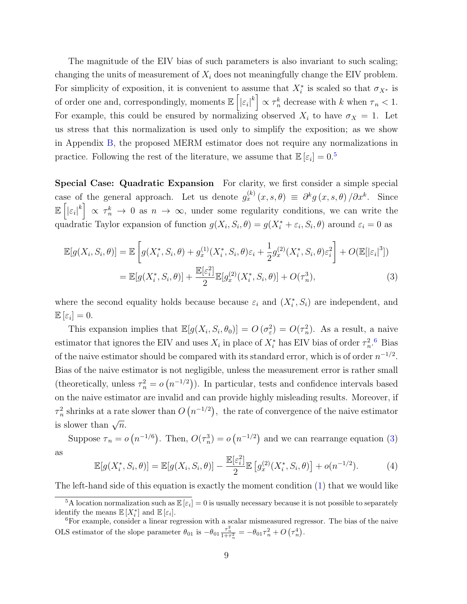The magnitude of the EIV bias of such parameters is also invariant to such scaling; changing the units of measurement of  $X_i$  does not meaningfully change the EIV problem. For simplicity of exposition, it is convenient to assume that  $X_i^*$  is scaled so that  $\sigma_{X^*}$  is of order one and, correspondingly, moments  $\mathbb{E}\left[\left|\varepsilon_{i}\right|^{k}\right] \propto \tau_{n}^{k}$  decrease with k when  $\tau_{n} < 1$ . For example, this could be ensured by normalizing observed  $X_i$  to have  $\sigma_X = 1$ . Let us stress that this normalization is used only to simplify the exposition; as we show in Appendix [B,](#page-38-0) the proposed MERM estimator does not require any normalizations in practice. Following the rest of the literature, we assume that  $\mathbb{E}[\varepsilon_i] = 0$ .<sup>[5](#page-8-0)</sup>

Special Case: Quadratic Expansion For clarity, we first consider a simple special case of the general approach. Let us denote  $g_x^{(k)}(x, s, \theta) \equiv \partial^k g(x, s, \theta) / \partial x^k$ . Since  $\mathbb{E}\left[\left|\varepsilon_{i}\right|^{k}\right] \propto \tau_{n}^{k} \to 0$  as  $n \to \infty$ , under some regularity conditions, we can write the quadratic Taylor expansion of function  $g(X_i, S_i, \theta) = g(X_i^* + \varepsilon_i, S_i, \theta)$  around  $\varepsilon_i = 0$  as

<span id="page-8-2"></span>
$$
\mathbb{E}[g(X_i, S_i, \theta)] = \mathbb{E}\left[g(X_i^*, S_i, \theta) + g_x^{(1)}(X_i^*, S_i, \theta)\varepsilon_i + \frac{1}{2}g_x^{(2)}(X_i^*, S_i, \theta)\varepsilon_i^2\right] + O(\mathbb{E}[\left|\varepsilon_i\right|^3])
$$
  
= 
$$
\mathbb{E}[g(X_i^*, S_i, \theta)] + \frac{\mathbb{E}[\varepsilon_i^2]}{2}\mathbb{E}[g_x^{(2)}(X_i^*, S_i, \theta)] + O(\tau_n^3),
$$
 (3)

where the second equality holds because because  $\varepsilon_i$  and  $(X_i^*, S_i)$  are independent, and  $\mathbb{E}\left[\varepsilon_i\right]=0.$ 

This expansion implies that  $\mathbb{E}[g(X_i, S_i, \theta_0)] = O(\sigma_{\varepsilon}^2) = O(\tau_n^2)$ . As a result, a naive estimator that ignores the EIV and uses  $X_i$  in place of  $X_i^*$  has EIV bias of order  $\tau_n^2$ .<sup>[6](#page-8-1)</sup> Bias of the naive estimator should be compared with its standard error, which is of order  $n^{-1/2}$ . Bias of the naive estimator is not negligible, unless the measurement error is rather small (theoretically, unless  $\tau_n^2 = o(n^{-1/2})$ ). In particular, tests and confidence intervals based on the naive estimator are invalid and can provide highly misleading results. Moreover, if  $\tau_n^2$  shrinks at a rate slower than  $O(n^{-1/2})$ , the rate of convergence of the naive estimator is slower than  $\sqrt{n}$ .

Suppose  $\tau_n = o(n^{-1/6})$ . Then,  $O(\tau_n^3) = o(n^{-1/2})$  and we can rearrange equation [\(3\)](#page-8-2) as

<span id="page-8-3"></span>
$$
\mathbb{E}[g(X_i^*, S_i, \theta)] = \mathbb{E}[g(X_i, S_i, \theta)] - \frac{\mathbb{E}[\varepsilon_i^2]}{2} \mathbb{E}[g_x^{(2)}(X_i^*, S_i, \theta)] + o(n^{-1/2}).
$$
 (4)

The left-hand side of this equation is exactly the moment condition [\(1\)](#page-1-1) that we would like

<span id="page-8-0"></span><sup>&</sup>lt;sup>5</sup>A location normalization such as  $\mathbb{E}[\varepsilon_i] = 0$  is usually necessary because it is not possible to separately identify the means  $\mathbb{E}[X_i^*]$  and  $\mathbb{E}[\varepsilon_i]$ .

<span id="page-8-1"></span><sup>6</sup>For example, consider a linear regression with a scalar mismeasured regressor. The bias of the naive OLS estimator of the slope parameter  $\theta_{01}$  is  $-\theta_{01} \frac{\tau_n^2}{1+\tau_n^2} = -\theta_{01} \tau_n^2 + O\left(\tau_n^4\right)$ .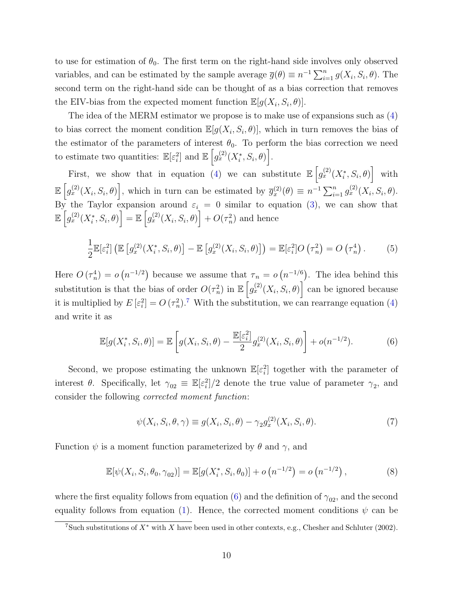to use for estimation of  $\theta_0$ . The first term on the right-hand side involves only observed variables, and can be estimated by the sample average  $\overline{g}(\theta) \equiv n^{-1} \sum_{i=1}^{n} g(X_i, S_i, \theta)$ . The second term on the right-hand side can be thought of as a bias correction that removes the EIV-bias from the expected moment function  $\mathbb{E}[g(X_i, S_i, \theta)].$ 

The idea of the MERM estimator we propose is to make use of expansions such as [\(4\)](#page-8-3) to bias correct the moment condition  $\mathbb{E}[g(X_i, S_i, \theta)]$ , which in turn removes the bias of the estimator of the parameters of interest  $\theta_0$ . To perform the bias correction we need to estimate two quantities:  $\mathbb{E}[\varepsilon_i^2]$  and  $\mathbb{E}\left[g_x^{(2)}(X_i^*,S_i,\theta)\right]$ .

First, we show that in equation [\(4\)](#page-8-3) we can substitute  $\mathbb{E}\left[g_{x}^{(2)}(X_{i}^{*},S_{i},\theta)\right]$  with  $\mathbb{E}\left[g_{x}^{(2)}(X_i, S_i, \theta)\right],$  which in turn can be estimated by  $\overline{g}_{x}^{(2)}(\theta) \equiv n^{-1} \sum_{i=1}^{n} g_{x}^{(2)}(X_i, S_i, \theta).$ By the Taylor expansion around  $\varepsilon_i = 0$  similar to equation [\(3\)](#page-8-2), we can show that  $\mathbb{E}\left[g^{(2)}_x(X^*_i, S_i, \theta)\right] = \mathbb{E}\left[g^{(2)}_x(X_i, S_i, \theta)\right] + O(\tau_n^2)$  and hence

<span id="page-9-3"></span>
$$
\frac{1}{2}\mathbb{E}[\varepsilon_i^2] \left( \mathbb{E}\left[g_x^{(2)}(X_i^*, S_i, \theta)\right] - \mathbb{E}\left[g_x^{(2)}(X_i, S_i, \theta)\right] \right) = \mathbb{E}[\varepsilon_i^2] O\left(\tau_n^2\right) = O\left(\tau_n^4\right). \tag{5}
$$

Here  $O(\tau_n^4) = o(n^{-1/2})$  because we assume that  $\tau_n = o(n^{-1/6})$ . The idea behind this substitution is that the bias of order  $O(\tau_n^2)$  in  $\mathbb{E}\left[g_x^{(2)}(X_i, S_i, \theta)\right]$  can be ignored because it is multiplied by  $E\left[\varepsilon_i^2\right] = O\left(\tau_n^2\right)$ .<sup>[7](#page-9-0)</sup> With the substitution, we can rearrange equation [\(4\)](#page-8-3) and write it as

<span id="page-9-1"></span>
$$
\mathbb{E}[g(X_i^*, S_i, \theta)] = \mathbb{E}\left[g(X_i, S_i, \theta) - \frac{\mathbb{E}[\varepsilon_i^2]}{2} g_x^{(2)}(X_i, S_i, \theta)\right] + o(n^{-1/2}).\tag{6}
$$

Second, we propose estimating the unknown  $\mathbb{E}[\varepsilon_i^2]$  together with the parameter of interest  $\theta$ . Specifically, let  $\gamma_{02} \equiv \mathbb{E}[\epsilon_i^2]/2$  denote the true value of parameter  $\gamma_2$ , and consider the following corrected moment function:

$$
\psi(X_i, S_i, \theta, \gamma) \equiv g(X_i, S_i, \theta) - \gamma_2 g_x^{(2)}(X_i, S_i, \theta). \tag{7}
$$

Function  $\psi$  is a moment function parameterized by  $\theta$  and  $\gamma$ , and

<span id="page-9-2"></span>
$$
\mathbb{E}[\psi(X_i, S_i, \theta_0, \gamma_{02})] = \mathbb{E}[g(X_i^*, S_i, \theta_0)] + o(n^{-1/2}) = o(n^{-1/2}),
$$
\n(8)

where the first equality follows from equation [\(6\)](#page-9-1) and the definition of  $\gamma_{02}$ , and the second equality follows from equation [\(1\)](#page-1-1). Hence, the corrected moment conditions  $\psi$  can be

<span id="page-9-0"></span><sup>&</sup>lt;sup>7</sup>Such substitutions of  $X^*$  with X have been used in other contexts, e.g., [Chesher and Schluter](#page-32-5) [\(2002\)](#page-32-5).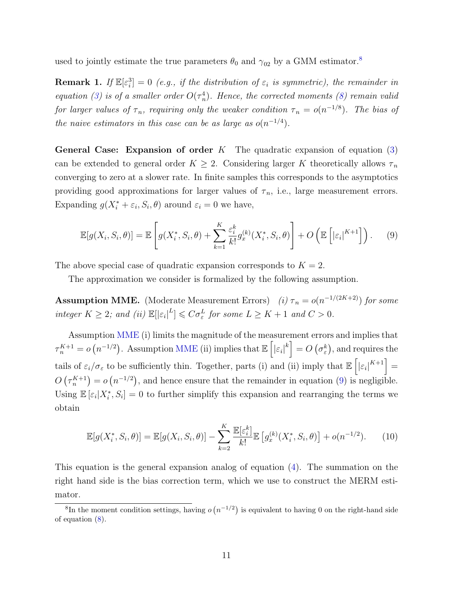used to jointly estimate the true parameters  $\theta_0$  and  $\gamma_{02}$  by a GMM estimator.<sup>[8](#page-10-0)</sup>

<span id="page-10-4"></span>**Remark 1.** If  $\mathbb{E}[\varepsilon_i^3] = 0$  (e.g., if the distribution of  $\varepsilon_i$  is symmetric), the remainder in equation [\(3\)](#page-8-2) is of a smaller order  $O(\tau_n^4)$ . Hence, the corrected moments [\(8\)](#page-9-2) remain valid for larger values of  $\tau_n$ , requiring only the weaker condition  $\tau_n = o(n^{-1/8})$ . The bias of the naive estimators in this case can be as large as  $o(n^{-1/4})$ .

**General Case: Expansion of order** K The quadratic expansion of equation  $(3)$ can be extended to general order  $K \geq 2$ . Considering larger K theoretically allows  $\tau_n$ converging to zero at a slower rate. In finite samples this corresponds to the asymptotics providing good approximations for larger values of  $\tau_n$ , i.e., large measurement errors. Expanding  $g(X_i^* + \varepsilon_i, S_i, \theta)$  around  $\varepsilon_i = 0$  we have,

<span id="page-10-2"></span>
$$
\mathbb{E}[g(X_i, S_i, \theta)] = \mathbb{E}\left[g(X_i^*, S_i, \theta) + \sum_{k=1}^K \frac{\varepsilon_i^k}{k!} g_x^{(k)}(X_i^*, S_i, \theta)\right] + O\left(\mathbb{E}\left[|\varepsilon_i|^{K+1}\right]\right). \tag{9}
$$

The above special case of quadratic expansion corresponds to  $K = 2$ .

The approximation we consider is formalized by the following assumption.

<span id="page-10-1"></span>**Assumption MME.** (Moderate Measurement Errors) (i)  $\tau_n = o(n^{-1/(2K+2)})$  for some integer  $K \geq 2$ ; and (ii)  $\mathbb{E}[|\varepsilon_i|^L] \leqslant C \sigma_{\varepsilon}^L$  for some  $L \geq K + 1$  and  $C > 0$ .

Assumption [MME](#page-10-1) (i) limits the magnitude of the measurement errors and implies that  $\tau_n^{K+1} = o\left(n^{-1/2}\right)$ . Assumption [MME](#page-10-1) (ii) implies that  $\mathbb{E}\left[|\varepsilon_i|^k\right] = O\left(\sigma_{\varepsilon}^k\right)$ , and requires the tails of  $\varepsilon_i/\sigma_{\varepsilon}$  to be sufficiently thin. Together, parts (i) and (ii) imply that  $\mathbb{E}\left[\left|\varepsilon_i\right|^{K+1}\right] =$  $O(\tau_n^{K+1}) = o(n^{-1/2})$ , and hence ensure that the remainder in equation [\(9\)](#page-10-2) is negligible. Using  $\mathbb{E}[\varepsilon_i|X_i^*,S_i] = 0$  to further simplify this expansion and rearranging the terms we obtain

<span id="page-10-3"></span>
$$
\mathbb{E}[g(X_i^*, S_i, \theta)] = \mathbb{E}[g(X_i, S_i, \theta)] - \sum_{k=2}^K \frac{\mathbb{E}[\varepsilon_i^k]}{k!} \mathbb{E}[g_x^{(k)}(X_i^*, S_i, \theta)] + o(n^{-1/2}).
$$
 (10)

This equation is the general expansion analog of equation [\(4\)](#page-8-3). The summation on the right hand side is the bias correction term, which we use to construct the MERM estimator.

<span id="page-10-0"></span><sup>&</sup>lt;sup>8</sup>In the moment condition settings, having  $o(n^{-1/2})$  is equivalent to having 0 on the right-hand side of equation [\(8\)](#page-9-2).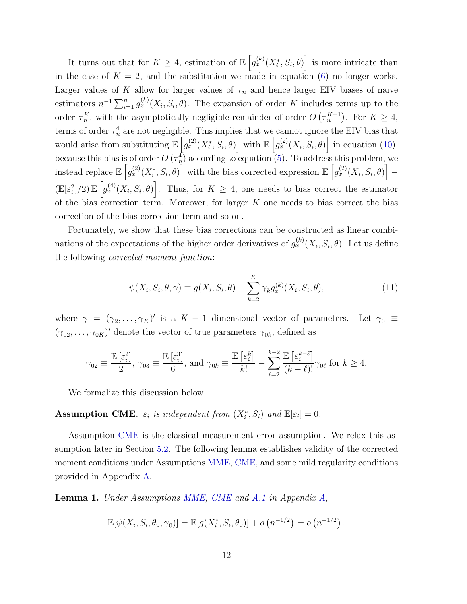It turns out that for  $K \geq 4$ , estimation of  $\mathbb{E}\left[g_{x}^{(k)}(X_{i}^{*},S_{i},\theta)\right]$  is more intricate than in the case of  $K = 2$ , and the substitution we made in equation [\(6\)](#page-9-1) no longer works. Larger values of K allow for larger values of  $\tau_n$  and hence larger EIV biases of naive estimators  $n^{-1} \sum_{i=1}^n g_x^{(k)}(X_i, S_i, \theta)$ . The expansion of order K includes terms up to the order  $\tau_n^K$ , with the asymptotically negligible remainder of order  $O(\tau_n^{K+1})$ . For  $K \geq 4$ , terms of order  $\tau_n^4$  are not negligible. This implies that we cannot ignore the EIV bias that would arise from substituting  $\mathbb{E}\left[g_{x}^{(2)}(X_{i}^{*},S_{i},\theta)\right]$  with  $\mathbb{E}\left[g_{x}^{(2)}(X_{i},S_{i},\theta)\right]$  in equation [\(10\)](#page-10-3), because this bias is of order  $O(\tau_n^4)$  according to equation [\(5\)](#page-9-3). To address this problem, we instead replace  $\mathbb{E}\left[g^{(2)}_x(X_i^*,S_i,\theta)\right]$  with the bias corrected expression  $\mathbb{E}\left[g^{(2)}_x(X_i,S_i,\theta)\right]$  –  $(\mathbb{E}[\varepsilon_i^2]/2) \mathbb{E}\left[g_x^{(4)}(X_i, S_i, \theta)\right]$ . Thus, for  $K \geq 4$ , one needs to bias correct the estimator of the bias correction term. Moreover, for larger  $K$  one needs to bias correct the bias correction of the bias correction term and so on.

Fortunately, we show that these bias corrections can be constructed as linear combinations of the expectations of the higher order derivatives of  $g_x^{(k)}(X_i, S_i, \theta)$ . Let us define the following corrected moment function:

<span id="page-11-2"></span>
$$
\psi(X_i, S_i, \theta, \gamma) \equiv g(X_i, S_i, \theta) - \sum_{k=2}^{K} \gamma_k g_x^{(k)}(X_i, S_i, \theta), \qquad (11)
$$

where  $\gamma = (\gamma_2, \ldots, \gamma_K)'$  is a  $K-1$  dimensional vector of parameters. Let  $\gamma_0 \equiv$  $(\gamma_{02}, \ldots, \gamma_{0K})'$  denote the vector of true parameters  $\gamma_{0k}$ , defined as

$$
\gamma_{02} \equiv \frac{\mathbb{E}\left[\varepsilon_i^2\right]}{2}, \, \gamma_{03} \equiv \frac{\mathbb{E}\left[\varepsilon_i^3\right]}{6}, \, \text{and} \, \, \gamma_{0k} \equiv \frac{\mathbb{E}\left[\varepsilon_i^k\right]}{k!} - \sum_{\ell=2}^{k-2} \frac{\mathbb{E}\left[\varepsilon_i^{k-\ell}\right]}{(k-\ell)!} \gamma_{0\ell} \text{ for } k \ge 4.
$$

We formalize this discussion below.

### <span id="page-11-0"></span>Assumption CME.  $\varepsilon_i$  is independent from  $(X_i^*, S_i)$  and  $\mathbb{E}[\varepsilon_i] = 0$ .

Assumption [CME](#page-11-0) is the classical measurement error assumption. We relax this assumption later in Section [5.2.](#page-27-0) The following lemma establishes validity of the corrected moment conditions under Assumptions [MME,](#page-10-1) [CME,](#page-11-0) and some mild regularity conditions provided in Appendix [A.](#page-36-0)

<span id="page-11-1"></span>Lemma 1. Under Assumptions [MME,](#page-10-1) [CME](#page-11-0) and [A.1](#page-36-1) in Appendix [A,](#page-36-0)

$$
\mathbb{E}[\psi(X_i, S_i, \theta_0, \gamma_0)] = \mathbb{E}[g(X_i^*, S_i, \theta_0)] + o(n^{-1/2}) = o(n^{-1/2}).
$$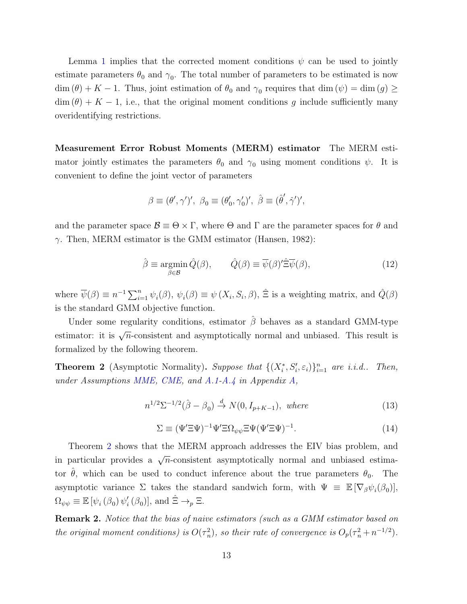Lemma [1](#page-11-1) implies that the corrected moment conditions  $\psi$  can be used to jointly estimate parameters  $\theta_0$  and  $\gamma_0$ . The total number of parameters to be estimated is now  $\dim(\theta) + K - 1$ . Thus, joint estimation of  $\theta_0$  and  $\gamma_0$  requires that  $\dim(\psi) = \dim(g) \ge$  $\dim (\theta) + K - 1$ , i.e., that the original moment conditions g include sufficiently many overidentifying restrictions.

Measurement Error Robust Moments (MERM) estimator The MERM estimator jointly estimates the parameters  $\theta_0$  and  $\gamma_0$  using moment conditions  $\psi$ . It is convenient to define the joint vector of parameters

$$
\beta \equiv (\theta', \gamma')', \ \beta_0 \equiv (\theta'_0, \gamma'_0)', \ \hat{\beta} \equiv (\hat{\theta}', \hat{\gamma}')',
$$

and the parameter space  $\mathcal{B} \equiv \Theta \times \Gamma$ , where  $\Theta$  and  $\Gamma$  are the parameter spaces for  $\theta$  and  $\gamma$ . Then, MERM estimator is the GMM estimator [\(Hansen,](#page-33-9) [1982\)](#page-33-9):

<span id="page-12-2"></span>
$$
\hat{\beta} \equiv \underset{\beta \in \mathcal{B}}{\operatorname{argmin}} \, \hat{Q}(\beta), \qquad \hat{Q}(\beta) \equiv \overline{\psi}(\beta)' \hat{\Xi} \overline{\psi}(\beta), \tag{12}
$$

where  $\overline{\psi}(\beta) \equiv n^{-1} \sum_{i=1}^n \psi_i(\beta), \psi_i(\beta) \equiv \psi(X_i, S_i, \beta), \hat{\Xi}$  is a weighting matrix, and  $\hat{Q}(\beta)$ is the standard GMM objective function.

Under some regularity conditions, estimator  $\hat{\beta}$  behaves as a standard GMM-type estimator: it is  $\sqrt{n}$ -consistent and asymptotically normal and unbiased. This result is formalized by the following theorem.

<span id="page-12-0"></span>**Theorem 2** (Asymptotic Normality). Suppose that  $\{(X_i^*, S_i', \varepsilon_i)\}_{i=1}^n$  are i.i.d.. Then, under Assumptions [MME,](#page-10-1) [CME,](#page-11-0) and [A.1-](#page-36-1)[A.4](#page-37-0) in Appendix [A,](#page-36-0)

<span id="page-12-1"></span>
$$
n^{1/2} \Sigma^{-1/2}(\hat{\beta} - \beta_0) \stackrel{d}{\rightarrow} N(0, I_{p+K-1}), \text{ where}
$$
\n(13)

$$
\Sigma \equiv (\Psi' \Xi \Psi)^{-1} \Psi' \Xi \Omega_{\psi \psi} \Xi \Psi (\Psi' \Xi \Psi)^{-1}.
$$
\n(14)

Theorem [2](#page-12-0) shows that the MERM approach addresses the EIV bias problem, and in particular provides a  $\sqrt{n}$ -consistent asymptotically normal and unbiased estimator  $\hat{\theta}$ , which can be used to conduct inference about the true parameters  $\theta_0$ . The asymptotic variance  $\Sigma$  takes the standard sandwich form, with  $\Psi \equiv \mathbb{E} [\nabla_{\beta} \psi_i(\beta_0)],$  $\Omega_{\psi\psi} \equiv \mathbb{E} \left[ \psi_i \left( \beta_0 \right) \psi_i' \right]$  $'_{i}(\beta_{0})]$ , and  $\hat{\Xi} \rightarrow_{p} \Xi$ .

Remark 2. Notice that the bias of naive estimators (such as a GMM estimator based on the original moment conditions) is  $O(\tau_n^2)$ , so their rate of convergence is  $O_p(\tau_n^2 + n^{-1/2})$ .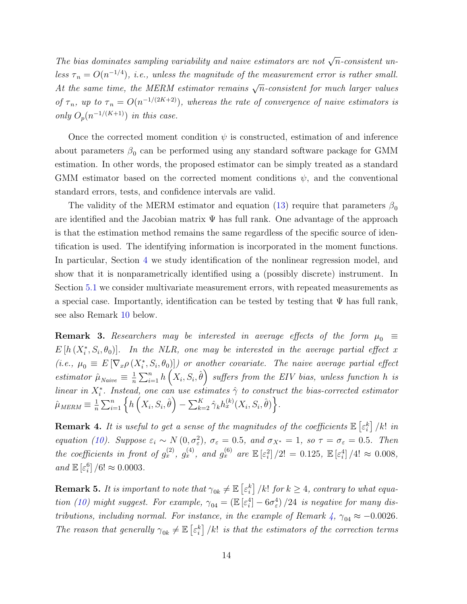The bias dominates sampling variability and naive estimators are not  $\sqrt{n}$ -consistent unless  $\tau_n = O(n^{-1/4})$ , i.e., unless the magnitude of the measurement error is rather small. At the same time, the MERM estimator remains  $\sqrt{n}$ -consistent for much larger values of  $\tau_n$ , up to  $\tau_n = O(n^{-1/(2K+2)})$ , whereas the rate of convergence of naive estimators is only  $O_p(n^{-1/(K+1)})$  in this case.

Once the corrected moment condition  $\psi$  is constructed, estimation of and inference about parameters  $\beta_0$  can be performed using any standard software package for GMM estimation. In other words, the proposed estimator can be simply treated as a standard GMM estimator based on the corrected moment conditions  $\psi$ , and the conventional standard errors, tests, and confidence intervals are valid.

The validity of the MERM estimator and equation [\(13\)](#page-12-1) require that parameters  $\beta_0$ are identified and the Jacobian matrix  $\Psi$  has full rank. One advantage of the approach is that the estimation method remains the same regardless of the specific source of identification is used. The identifying information is incorporated in the moment functions. In particular, Section [4](#page-22-0) we study identification of the nonlinear regression model, and show that it is nonparametrically identified using a (possibly discrete) instrument. In Section [5.1](#page-25-1) we consider multivariate measurement errors, with repeated measurements as a special case. Importantly, identification can be tested by testing that  $\Psi$  has full rank, see also Remark [10](#page-14-0) below.

**Remark 3.** Researchers may be interested in average effects of the form  $\mu_0 \equiv$  $E[h(X_i^*, S_i, \theta_0)].$  In the NLR, one may be interested in the average partial effect x (i.e.,  $\mu_0 \equiv E[\nabla_x \rho(X_i^*, S_i, \theta_0)]$ ) or another covariate. The naive average partial effect estimator  $\hat{\mu}_{Naive} \equiv \frac{1}{n}$  $\frac{1}{n}\sum_{i=1}^n h\left(X_i,S_i,\hat{\theta}\right)$  suffers from the EIV bias, unless function  $h$  is linear in  $X_i^*$ . Instead, one can use estimates  $\hat{\gamma}$  to construct the bias-corrected estimator  $\hat{\mu}_{MEM} \equiv \frac{1}{n}$  $\frac{1}{n}\sum_{i=1}^n\left\{h\left(X_i, S_i, \hat{\theta}\right) - \sum_{k=2}^K\hat{\gamma}_kh_x^{(k)}(X_i, S_i, \hat{\theta})\right\}.$ 

<span id="page-13-0"></span>**Remark 4.** It is useful to get a sense of the magnitudes of the coefficients  $\mathbb{E}\left[\varepsilon_i^k\right]$  /k! in equation [\(10\)](#page-10-3). Suppose  $\varepsilon_i \sim N(0, \sigma_{\varepsilon}^2)$ ,  $\sigma_{\varepsilon} = 0.5$ , and  $\sigma_{X^*} = 1$ , so  $\tau = \sigma_{\varepsilon} = 0.5$ . Then the coefficients in front of  $g_x^{(2)}$ ,  $g_x^{(4)}$ , and  $g_x^{(6)}$  are  $\mathbb{E} \left[ \varepsilon_i^2 \right] / 2! = 0.125$ ,  $\mathbb{E} \left[ \varepsilon_i^4 \right] / 4! \approx 0.008$ , and  $\mathbb{E}\left[\varepsilon_i^6\right]/6! \approx 0.0003$ .

**Remark 5.** It is important to note that  $\gamma_{0k} \neq \mathbb{E}\left[\varepsilon_i^k\right]/k!$  for  $k \geq 4$ , contrary to what equa-tion [\(10\)](#page-10-3) might suggest. For example,  $\gamma_{04} = (\mathbb{E} \left[ \varepsilon_i^4 \right] - 6\sigma_{\varepsilon}^4)/24$  is negative for many distributions, including normal. For instance, in the example of Remark  $4, \gamma_{04} \approx -0.0026$  $4, \gamma_{04} \approx -0.0026$ . The reason that generally  $\gamma_{0k} \neq \mathbb{E} \left[ \varepsilon_i^k \right] / k!$  is that the estimators of the correction terms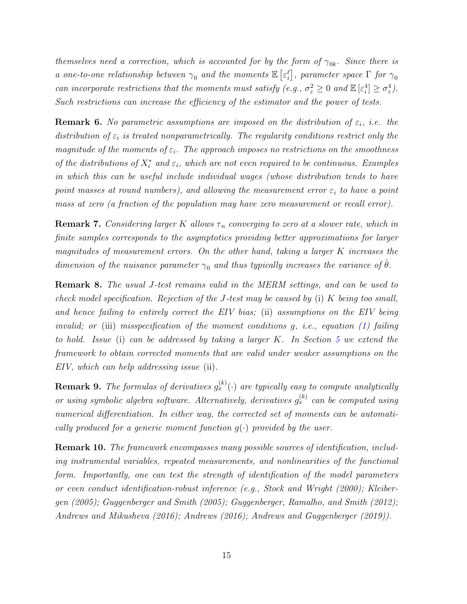themselves need a correction, which is accounted for by the form of  $\gamma_{0k}$ . Since there is a one-to-one relationship between  $\gamma_0$  and the moments  $\mathbb{E}\left[\varepsilon_i^\ell\right]$ , parameter space  $\Gamma$  for  $\gamma_0$ can incorporate restrictions that the moments must satisfy (e.g.,  $\sigma_{\varepsilon}^2 \geq 0$  and  $\mathbb{E}[\varepsilon_i^4] \geq \sigma_{\varepsilon}^4$ ). Such restrictions can increase the efficiency of the estimator and the power of tests.

**Remark 6.** No parametric assumptions are imposed on the distribution of  $\varepsilon_i$ , i.e. the distribution of  $\varepsilon_i$  is treated nonparametrically. The regularity conditions restrict only the magnitude of the moments of  $\varepsilon_i$ . The approach imposes no restrictions on the smoothness of the distributions of  $X_i^*$  and  $\varepsilon_i$ , which are not even required to be continuous. Examples in which this can be useful include individual wages (whose distribution tends to have point masses at round numbers), and allowing the measurement error  $\varepsilon_i$  to have a point mass at zero (a fraction of the population may have zero measurement or recall error).

**Remark 7.** Considering larger K allows  $\tau_n$  converging to zero at a slower rate, which in finite samples corresponds to the asymptotics providing better approximations for larger magnitudes of measurement errors. On the other hand, taking a larger  $K$  increases the dimension of the nuisance parameter  $\gamma_0$  and thus typically increases the variance of  $\hat{\theta}$ .

Remark 8. The usual J-test remains valid in the MERM settings, and can be used to check model specification. Rejection of the J-test may be caused by (i) K being too small, and hence failing to entirely correct the EIV bias; (ii) assumptions on the EIV being invalid; or (iii) misspecification of the moment conditions  $g$ , *i.e.*, equation [\(1\)](#page-1-1) failing to hold. Issue (i) can be addressed by taking a larger  $K$ . In Section [5](#page-25-0) we extend the framework to obtain corrected moments that are valid under weaker assumptions on the EIV, which can help addressing issue (ii).

**Remark 9.** The formulas of derivatives  $g_x^{(k)}(\cdot)$  are typically easy to compute analytically or using symbolic algebra software. Alternatively, derivatives  $g_x^{(k)}$  can be computed using numerical differentiation. In either way, the corrected set of moments can be automatically produced for a generic moment function  $g(\cdot)$  provided by the user.

<span id="page-14-0"></span>Remark 10. The framework encompasses many possible sources of identification, including instrumental variables, repeated measurements, and nonlinearities of the functional form. Importantly, one can test the strength of identification of the model parameters or even conduct identification-robust inference (e.g., [Stock and Wright](#page-35-10) [\(2000\)](#page-35-10); [Kleiber](#page-34-9)[gen](#page-34-9) [\(2005\)](#page-34-9); [Guggenberger and Smith](#page-33-10) [\(2005\)](#page-33-10); [Guggenberger, Ramalho, and Smith](#page-33-11) [\(2012\)](#page-33-11); [Andrews and Mikusheva](#page-32-12) [\(2016\)](#page-32-12); [Andrews](#page-31-3) [\(2016\)](#page-31-3); [Andrews and Guggenberger](#page-31-4) [\(2019\)](#page-31-4)).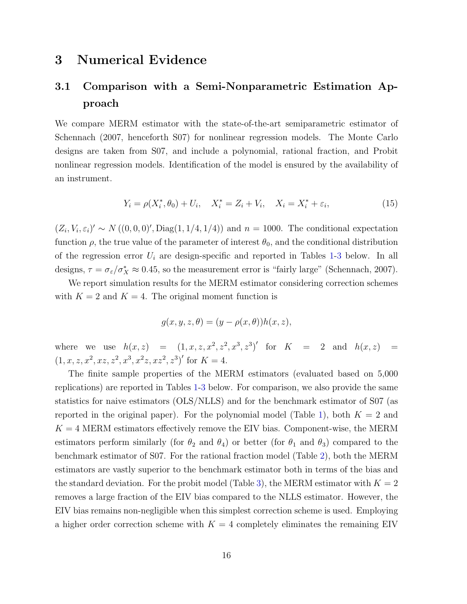### <span id="page-15-0"></span>3 Numerical Evidence

### <span id="page-15-2"></span>3.1 Comparison with a Semi-Nonparametric Estimation Approach

We compare MERM estimator with the state-of-the-art semiparametric estimator of [Schennach](#page-35-0) [\(2007,](#page-35-0) henceforth S07) for nonlinear regression models. The Monte Carlo designs are taken from S07, and include a polynomial, rational fraction, and Probit nonlinear regression models. Identification of the model is ensured by the availability of an instrument.

$$
Y_i = \rho(X_i^*, \theta_0) + U_i, \quad X_i^* = Z_i + V_i, \quad X_i = X_i^* + \varepsilon_i,
$$
\n(15)

 $(Z_i, V_i, \varepsilon_i)' \sim N((0, 0, 0)', \text{Diag}(1, 1/4, 1/4))$  and  $n = 1000$ . The conditional expectation function  $\rho$ , the true value of the parameter of interest  $\theta_0$ , and the conditional distribution of the regression error  $U_i$  are design-specific and reported in Tables [1-](#page-16-0)[3](#page-17-0) below. In all designs,  $\tau = \sigma_{\varepsilon}/\sigma_X^* \approx 0.45$ , so the measurement error is "fairly large" [\(Schennach,](#page-35-0) [2007\)](#page-35-0).

We report simulation results for the MERM estimator considering correction schemes with  $K = 2$  and  $K = 4$ . The original moment function is

<span id="page-15-1"></span>
$$
g(x, y, z, \theta) = (y - \rho(x, \theta))h(x, z),
$$

where we use  $h(x, z) = (1, x, z, x^2, z^2, x^3, z^3)'$  for  $K = 2$  and  $h(x, z) =$  $(1, x, z, x^2, xz, z^2, x^3, x^2z, xz^2, z^3)'$  for  $K = 4$ .

The finite sample properties of the MERM estimators (evaluated based on 5,000 replications) are reported in Tables [1-](#page-16-0)[3](#page-17-0) below. For comparison, we also provide the same statistics for naive estimators (OLS/NLLS) and for the benchmark estimator of S07 (as reported in the original paper). For the polynomial model (Table [1\)](#page-16-0), both  $K = 2$  and  $K = 4$  MERM estimators effectively remove the EIV bias. Component-wise, the MERM estimators perform similarly (for  $\theta_2$  and  $\theta_4$ ) or better (for  $\theta_1$  and  $\theta_3$ ) compared to the benchmark estimator of S07. For the rational fraction model (Table [2\)](#page-16-1), both the MERM estimators are vastly superior to the benchmark estimator both in terms of the bias and the standard deviation. For the probit model (Table [3\)](#page-17-0), the MERM estimator with  $K = 2$ removes a large fraction of the EIV bias compared to the NLLS estimator. However, the EIV bias remains non-negligible when this simplest correction scheme is used. Employing a higher order correction scheme with  $K = 4$  completely eliminates the remaining EIV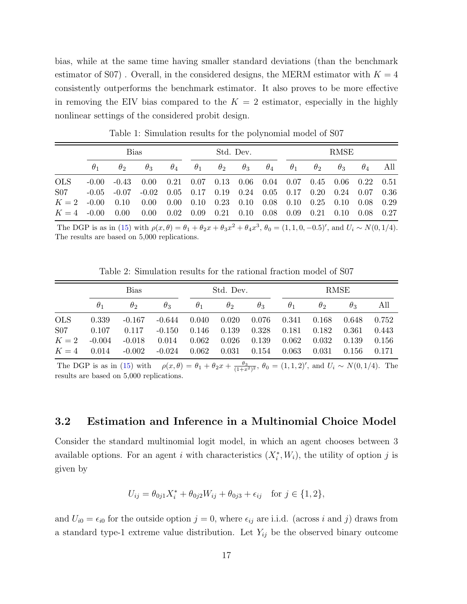bias, while at the same time having smaller standard deviations (than the benchmark estimator of S07). Overall, in the considered designs, the MERM estimator with  $K = 4$ consistently outperforms the benchmark estimator. It also proves to be more effective in removing the EIV bias compared to the  $K = 2$  estimator, especially in the highly nonlinear settings of the considered probit design.

|               |            | Bias           |                                                                              |            |                                                                       | Std. Dev.             |  |  |                                  | RMSE       |            |            |     |
|---------------|------------|----------------|------------------------------------------------------------------------------|------------|-----------------------------------------------------------------------|-----------------------|--|--|----------------------------------|------------|------------|------------|-----|
|               | $\theta_1$ | $\theta_2$     | $\theta_3$                                                                   | $\theta_4$ |                                                                       | $\theta_1$ $\theta_2$ |  |  | $\theta_3$ $\theta_4$ $\theta_1$ | $\theta_2$ | $\theta_3$ | $\theta_4$ | All |
| <b>OLS</b>    |            | $-0.00 - 0.43$ | $0.00$ $0.21$ $0.07$ $0.13$ $0.06$ $0.04$ $0.07$ $0.45$ $0.06$ $0.22$ $0.51$ |            |                                                                       |                       |  |  |                                  |            |            |            |     |
| S07           | $-0.05$    | $-0.07$        | $-0.02$                                                                      |            | $0.05$ $0.17$ $0.19$ $0.24$ $0.05$ $0.17$ $0.20$ $0.24$ $0.07$ $0.36$ |                       |  |  |                                  |            |            |            |     |
| $K = 2 -0.00$ |            | 0.10           | $0.00\,$                                                                     |            | $0.00$ $0.10$ $0.23$ $0.10$ $0.08$ $0.10$ $0.25$ $0.10$ $0.08$ $0.29$ |                       |  |  |                                  |            |            |            |     |
| $K = 4$ -0.00 |            | 0.00           | 0.00                                                                         |            | $0.02$ $0.09$ $0.21$ $0.10$ $0.08$ $0.09$ $0.21$ $0.10$ $0.08$ $0.27$ |                       |  |  |                                  |            |            |            |     |

<span id="page-16-0"></span>Table 1: Simulation results for the polynomial model of S07

The DGP is as in [\(15\)](#page-15-1) with  $\rho(x,\theta) = \theta_1 + \theta_2 x + \theta_3 x^2 + \theta_4 x^3$ ,  $\theta_0 = (1, 1, 0, -0.5)'$ , and  $U_i \sim N(0, 1/4)$ . The results are based on 5,000 replications.

<span id="page-16-1"></span>Table 2: Simulation results for the rational fraction model of S07

|                     |                   | Bias              |                   | Std. Dev.      |                |                | RMSE           |                |                |                |  |
|---------------------|-------------------|-------------------|-------------------|----------------|----------------|----------------|----------------|----------------|----------------|----------------|--|
|                     | $\theta_1$        | $\theta_2$        | $\theta_3$        | $\theta_1$     | $\theta_{2}$   | $\theta_3$     | $\theta_1$     | $\theta_2$     | $\theta_{3}$   | All            |  |
| <b>OLS</b>          | 0.339             | $-0.167$          | $-0.644$          | 0.040          | 0.020          | 0.076          | 0.341          | 0.168          | 0.648          | 0.752          |  |
| <b>S07</b><br>$K=2$ | 0.107<br>$-0.004$ | 0.117<br>$-0.018$ | $-0.150$<br>0.014 | 0.146<br>0.062 | 0.139<br>0.026 | 0.328<br>0.139 | 0.181<br>0.062 | 0.182<br>0.032 | 0.361<br>0.139 | 0.443<br>0.156 |  |
| $K=4$               | 0.014             | $-0.002$          | $-0.024$          | 0.062          | 0.031          | 0.154          | 0.063          | 0.031          | 0.156          | 0.171          |  |

The DGP is as in [\(15\)](#page-15-1) with  $\rho(x,\theta) = \theta_1 + \theta_2 x + \frac{\theta_3}{(1+x^2)^2}$ ,  $\theta_0 = (1,1,2)'$ , and  $U_i \sim N(0,1/4)$ . The results are based on 5,000 replications.

#### 3.2 Estimation and Inference in a Multinomial Choice Model

Consider the standard multinomial logit model, in which an agent chooses between 3 available options. For an agent i with characteristics  $(X_i^*, W_i)$ , the utility of option j is given by

$$
U_{ij} = \theta_{0j1} X_i^* + \theta_{0j2} W_{ij} + \theta_{0j3} + \epsilon_{ij} \quad \text{for } j \in \{1, 2\},
$$

and  $U_{i0} = \epsilon_{i0}$  for the outside option  $j = 0$ , where  $\epsilon_{ij}$  are i.i.d. (across i and j) draws from a standard type-1 extreme value distribution. Let  $Y_{ij}$  be the observed binary outcome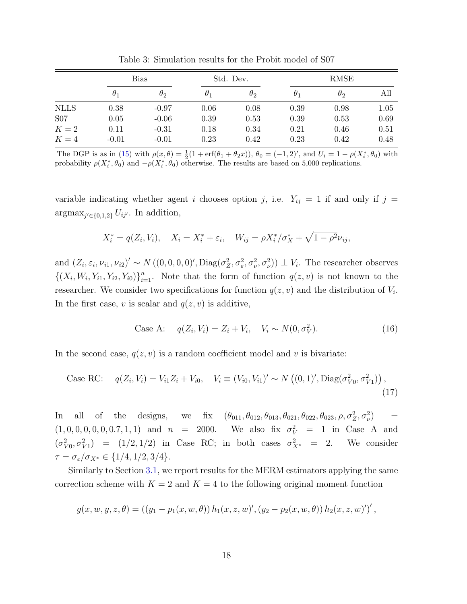|             | Bias       |            |            | Std. Dev.  | <b>RMSE</b> |            |      |  |
|-------------|------------|------------|------------|------------|-------------|------------|------|--|
|             | $\theta_1$ | $\theta_2$ | $\theta_1$ | $\theta_2$ | $\theta_1$  | $\theta_2$ | All  |  |
| <b>NLLS</b> | 0.38       | $-0.97$    | 0.06       | 0.08       | 0.39        | 0.98       | 1.05 |  |
| S07         | 0.05       | $-0.06$    | 0.39       | 0.53       | 0.39        | 0.53       | 0.69 |  |
| $K=2$       | 0.11       | $-0.31$    | 0.18       | 0.34       | 0.21        | 0.46       | 0.51 |  |
| $K=4$       | $-0.01$    | $-0.01$    | 0.23       | 0.42       | 0.23        | 0.42       | 0.48 |  |

<span id="page-17-0"></span>Table 3: Simulation results for the Probit model of S07

The DGP is as in [\(15\)](#page-15-1) with  $\rho(x,\theta) = \frac{1}{2}(1 + \text{erf}(\theta_1 + \theta_2 x))$ ,  $\theta_0 = (-1,2)'$ , and  $U_i = 1 - \rho(X_i^*, \theta_0)$  with probability  $\rho(X_i^*, \theta_0)$  and  $-\rho(X_i^*, \theta_0)$  otherwise. The results are based on 5,000 replications.

variable indicating whether agent i chooses option j, i.e.  $Y_{ij} = 1$  if and only if  $j =$  $\arg\max_{j' \in \{0,1,2\}} U_{ij'}$ . In addition,

$$
X_i^* = q(Z_i, V_i), \quad X_i = X_i^* + \varepsilon_i, \quad W_{ij} = \rho X_i^* / \sigma_X^* + \sqrt{1 - \rho^2} \nu_{ij},
$$

and  $(Z_i, \varepsilon_i, \nu_{i1}, \nu_{i2})' \sim N((0, 0, 0, 0)', \text{Diag}(\sigma_Z^2, \sigma_{\varepsilon}^2, \sigma_{\nu}^2, \sigma_{\nu}^2)) \perp V_i$ . The researcher observes  $\{(X_i, W_i, Y_{i1}, Y_{i2}, Y_{i0})\}_{i=1}^n$ . Note that the form of function  $q(z, v)$  is not known to the researcher. We consider two specifications for function  $q(z, v)$  and the distribution of  $V_i$ . In the first case, v is scalar and  $q(z, v)$  is additive,

Case A: 
$$
q(Z_i, V_i) = Z_i + V_i, \quad V_i \sim N(0, \sigma_V^2).
$$
 (16)

In the second case,  $q(z, v)$  is a random coefficient model and v is bivariate:

Case RC: 
$$
q(Z_i, V_i) = V_{i1}Z_i + V_{i0}, \quad V_i \equiv (V_{i0}, V_{i1})' \sim N((0, 1)', \text{Diag}(\sigma_{V0}^2, \sigma_{V1}^2)),
$$
\n
$$
(17)
$$

In all of the designs, we fix  $(\theta_{011}, \theta_{012}, \theta_{013}, \theta_{021}, \theta_{023}, \rho, \sigma_Z^2, \sigma_\nu^2)$  $\equiv$  $(1, 0, 0, 0, 0, 0, 0.7, 1, 1)$  and  $n = 2000$ .  $V = 1$  in Case A and  $(\sigma_{V0}^2, \sigma_{V1}^2)$  =  $(1/2, 1/2)$  in Case RC; in both cases  $\sigma_{X^*}^2$  = 2. We consider  $\tau = \sigma_{\varepsilon}/\sigma_{X^*} \in \{1/4, 1/2, 3/4\}.$ 

Similarly to Section [3.1,](#page-15-2) we report results for the MERM estimators applying the same correction scheme with  $K = 2$  and  $K = 4$  to the following original moment function

$$
g(x, w, y, z, \theta) = ((y_1 - p_1(x, w, \theta)) h_1(x, z, w)', (y_2 - p_2(x, w, \theta)) h_2(x, z, w)')',
$$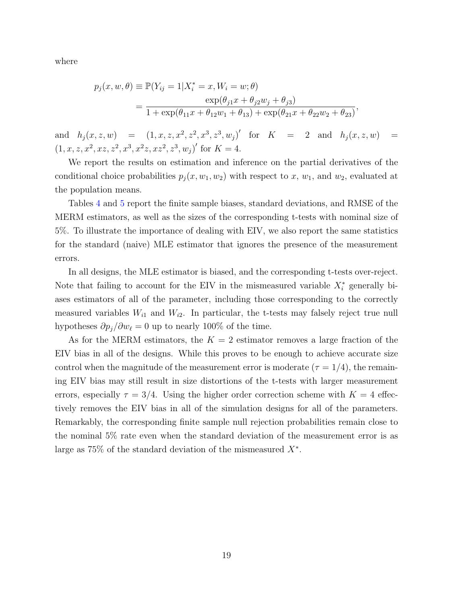where

$$
p_j(x, w, \theta) \equiv \mathbb{P}(Y_{ij} = 1 | X_i^* = x, W_i = w; \theta)
$$
  
= 
$$
\frac{\exp(\theta_{j1}x + \theta_{j2}w_j + \theta_{j3})}{1 + \exp(\theta_{11}x + \theta_{12}w_1 + \theta_{13}) + \exp(\theta_{21}x + \theta_{22}w_2 + \theta_{23})},
$$

and  $h_j(x, z, w) = (1, x, z, x^2, z^2, x^3, z^3, w_j)'$  for  $K = 2$  and  $h_j(x, z, w) =$  $(1, x, z, x^2, xz, z^2, x^3, x^2z, xz^2, z^3, w_j)'$  for  $K = 4$ .

We report the results on estimation and inference on the partial derivatives of the conditional choice probabilities  $p_j(x, w_1, w_2)$  with respect to x,  $w_1$ , and  $w_2$ , evaluated at the population means.

Tables [4](#page-19-0) and [5](#page-20-0) report the finite sample biases, standard deviations, and RMSE of the MERM estimators, as well as the sizes of the corresponding t-tests with nominal size of 5%. To illustrate the importance of dealing with EIV, we also report the same statistics for the standard (naive) MLE estimator that ignores the presence of the measurement errors.

In all designs, the MLE estimator is biased, and the corresponding t-tests over-reject. Note that failing to account for the EIV in the mismeasured variable  $X_i^*$  generally biases estimators of all of the parameter, including those corresponding to the correctly measured variables  $W_{i1}$  and  $W_{i2}$ . In particular, the t-tests may falsely reject true null hypotheses  $\partial p_j/\partial w_\ell = 0$  up to nearly 100% of the time.

As for the MERM estimators, the  $K = 2$  estimator removes a large fraction of the EIV bias in all of the designs. While this proves to be enough to achieve accurate size control when the magnitude of the measurement error is moderate ( $\tau = 1/4$ ), the remaining EIV bias may still result in size distortions of the t-tests with larger measurement errors, especially  $\tau = 3/4$ . Using the higher order correction scheme with  $K = 4$  effectively removes the EIV bias in all of the simulation designs for all of the parameters. Remarkably, the corresponding finite sample null rejection probabilities remain close to the nominal 5% rate even when the standard deviation of the measurement error is as large as  $75\%$  of the standard deviation of the mismeasured  $X^*$ .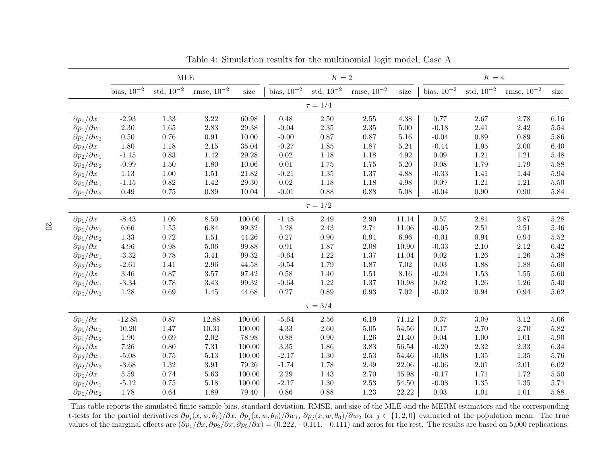|                               |                  | <b>MLE</b>     |                   |                      |                 | $K=2$          |                   |           | $K=4$           |                |                   |          |
|-------------------------------|------------------|----------------|-------------------|----------------------|-----------------|----------------|-------------------|-----------|-----------------|----------------|-------------------|----------|
|                               | bias, $10^{-2}$  | $std, 10^{-2}$ | rmse, $10^{-2}\,$ | size                 | bias, $10^{-2}$ | $std, 10^{-2}$ | rmse, $10^{-2}\,$ | size      | bias, $10^{-2}$ | $std, 10^{-2}$ | rmse, $10^{-2}\,$ | size     |
|                               |                  |                |                   |                      |                 | $\tau = 1/4$   |                   |           |                 |                |                   |          |
| $\partial p_1/\partial x$     | $-2.93$          | 1.33           | 3.22              | 60.98                | 0.48            | 2.50           | 2.55              | 4.38      | 0.77            | 2.67           | 2.78              | 6.16     |
| $\partial p_1/\partial w_1$   | $2.30\,$         | $1.65\,$       | 2.83              | 29.38                | $-0.04$         | $2.35\,$       | 2.35              | $5.00\,$  | $-0.18$         | 2.41           | 2.42              | $5.54\,$ |
| $\partial p_1/\partial w_2$   | $0.50\,$         | $0.76\,$       | $\rm 0.91$        | $10.00\,$            | $-0.00$         | 0.87           | 0.87              | $5.16\,$  | $-0.04$         | 0.89           | $0.89\,$          | $5.86\,$ |
| $\partial p_2/\partial x$     | 1.80             | $1.18\,$       | $2.15\,$          | 35.04                | $-0.27$         | 1.85           | 1.87              | $5.24\,$  | $-0.44$         | 1.95           | $2.00\,$          | $6.40\,$ |
| $\partial p_2/\partial w_1$   | $\textbf{-1.15}$ | $0.83\,$       | 1.42              | $29.28\,$            | $\rm 0.02$      | 1.18           | 1.18              | $4.92\,$  | $0.09\,$        | $1.21\,$       | 1.21              | $5.48\,$ |
| $\partial p_2/\partial w_2$   | $-0.99$          | $1.50\,$       | 1.80              | $10.06\,$            | $0.01\,$        | 1.75           | 1.75              | $5.20\,$  | 0.08            | 1.79           | 1.79              | $5.88\,$ |
| $\partial p_0/\partial x$     | $1.13\,$         | $1.00\,$       | 1.51              | 21.82                | $-0.21$         | 1.35           | 1.37              | 4.88      | $-0.33$         | 1.41           | 1.44              | $5.94\,$ |
| $\partial p_0 / \partial w_1$ | $-1.15$          | $\rm 0.82$     | 1.42              | $29.30\,$            | $\rm 0.02$      | 1.18           | 1.18              | 4.98      | 0.09            | $1.21\,$       | $1.21\,$          | $5.50\,$ |
| $\partial p_0/\partial w_2$   | $0.49\,$         | $0.75\,$       | 0.89              | 10.04                | $-0.01$         | 0.88           | $0.88\,$          | $5.08\,$  | $-0.04$         | 0.90           | $0.90\,$          | $5.84\,$ |
|                               |                  |                |                   |                      |                 | $\tau = 1/2$   |                   |           |                 |                |                   |          |
| $\partial p_1/\partial x$     | $-8.43$          | $1.09\,$       | 8.50              | 100.00               | $-1.48$         | 2.49           | $2.90\,$          | 11.14     | $0.57\,$        | $2.81\,$       | 2.87              | $5.28\,$ |
| $\partial p_1/\partial w_1$   | $6.66\,$         | $1.55\,$       | 6.84              | $\boldsymbol{99.32}$ | 1.28            | 2.43           | 2.74              | 11.06     | $-0.05$         | $2.51\,$       | $2.51\,$          | $5.46\,$ |
| $\partial p_1/\partial w_2$   | 1.33             | $0.72\,$       | $1.51\,$          | 44.26                | $0.27\,$        | $0.90\,$       | $\rm 0.94$        | 6.96      | $-0.01$         | 0.94           | 0.94              | $5.52\,$ |
| $\partial p_2/\partial x$     | $4.96\,$         | $0.98\,$       | 5.06              | 99.88                | $\rm 0.91$      | 1.87           | 2.08              | 10.90     | $-0.33$         | 2.10           | 2.12              | 6.42     |
| $\partial p_2/\partial w_1$   | $-3.32$          | 0.78           | $3.41\,$          | $\boldsymbol{99.32}$ | $-0.64$         | 1.22           | 1.37              | 11.04     | $0.02\,$        | $1.26\,$       | $1.26\,$          | $5.38\,$ |
| $\partial p_2/\partial w_2$   | $-2.61$          | 1.41           | 2.96              | 44.58                | $-0.54$         | 1.79           | 1.87              | $7.02\,$  | 0.03            | 1.88           | 1.88              | 5.60     |
| $\partial p_0/\partial x$     | 3.46             | $0.87\,$       | $3.57\,$          | 97.42                | $0.58\,$        | 1.40           | $1.51\,$          | 8.16      | $-0.24$         | 1.53           | $1.55\,$          | $5.60\,$ |
| $\partial p_0 / \partial w_1$ | $-3.34$          | $0.78\,$       | $3.43\,$          | $\boldsymbol{99.32}$ | $-0.64$         | 1.22           | $1.37\,$          | 10.98     | $0.02\,$        | 1.26           | $1.26\,$          | $5.40\,$ |
| $\partial p_0 / \partial w_2$ | 1.28             | 0.69           | 1.45              | 44.68                | 0.27            | 0.89           | 0.93              | 7.02      | $-0.02$         | 0.94           | 0.94              | 5.62     |
|                               |                  |                |                   |                      |                 | $\tau = 3/4$   |                   |           |                 |                |                   |          |
| $\partial p_1/\partial x$     | $-12.85$         | $0.87\,$       | 12.88             | 100.00               | $-5.64$         | $2.56\,$       | 6.19              | 71.12     | 0.37            | 3.09           | $3.12\,$          | $5.06\,$ |
| $\partial p_1/\partial w_1$   | 10.20            | $1.47\,$       | 10.31             | 100.00               | 4.33            | $2.60\,$       | $5.05\,$          | $54.56\,$ | $0.17\,$        | 2.70           | $2.70\,$          | $5.82\,$ |
| $\partial p_1/\partial w_2$   | $1.90\,$         | $0.69\,$       | $2.02\,$          | 78.98                | 0.88            | 0.90           | $1.26\,$          | 21.40     | 0.04            | 1.00           | 1.01              | $5.90\,$ |
| $\partial p_2/\partial x$     | $7.26\,$         | $0.80\,$       | $7.31\,$          | 100.00               | $3.35\,$        | 1.86           | $3.83\,$          | $56.54\,$ | $-0.20$         | 2.32           | $2.33\,$          | $6.34\,$ |
| $\partial p_2/\partial w_1$   | $-5.08$          | $0.75\,$       | $5.13\,$          | 100.00               | $-2.17$         | 1.30           | $2.53\,$          | 54.46     | $-0.08$         | 1.35           | 1.35              | $5.76\,$ |
| $\partial p_2/\partial w_2$   | $-3.68$          | $1.32\,$       | $3.91\,$          | 79.26                | $-1.74$         | 1.78           | $2.49\,$          | $22.06\,$ | $-0.06$         | $2.01\,$       | $2.01\,$          | $6.02\,$ |
| $\partial p_0/\partial x$     | $5.59\,$         | 0.74           | 5.63              | 100.00               | 2.29            | 1.43           | 2.70              | $45.98\,$ | $-0.17$         | 1.71           | 1.72              | $5.50\,$ |
| $\partial p_0 / \partial w_1$ | $-5.12$          | $0.75\,$       | 5.18              | 100.00               | $-2.17$         | 1.30           | 2.53              | 54.50     | $-0.08$         | 1.35           | 1.35              | $5.74\,$ |
| $\partial p_0 / \partial w_2$ | 1.78             | $0.64\,$       | 1.89              | 79.40                | 0.86            | 0.88           | 1.23              | 22.22     | 0.03            | 1.01           | 1.01              | $5.88\,$ |

<span id="page-19-0"></span>Table 4: Simulation results for the multinomial logit model, Case <sup>A</sup>

This table reports the simulated finite sample bias, standard deviation, RMSE, and size of the MLE and the MERM estimators and the correspondingt-tests for the partial derivatives  $\partial p_j(x, w, \theta_0)/\partial x$ ,  $\partial p_j(x, w, \theta_0)/\partial w_1$ ,  $\partial p_j(x, w, \theta_0)/\partial w_2$  for  $j \in \{1, 2, 0\}$  evaluated at the population mean. The true values of the marginal effects are  $(\partial p_1/\partial x, \partial p_2/\partial x, \partial p_0/\partial x) = (0.222, -0.111, -0.111)$  and zeros for the rest. The results are based on 5,000 replications.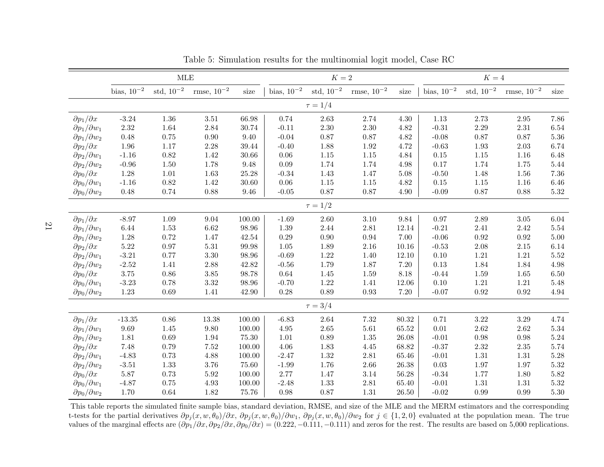|                               |                  | $\operatorname{MLE}$ |                   |            |                 | $K=2\,$        |                 |           |                 | $K=4$          |                   |          |
|-------------------------------|------------------|----------------------|-------------------|------------|-----------------|----------------|-----------------|-----------|-----------------|----------------|-------------------|----------|
|                               | bias, $10^{-2}$  | $std, 10^{-2}$       | rmse, $10^{-2}\,$ | size       | bias, $10^{-2}$ | std, $10^{-2}$ | rmse, $10^{-2}$ | size      | bias, $10^{-2}$ | $std, 10^{-2}$ | rmse, $10^{-2}\,$ | size     |
|                               |                  |                      |                   |            |                 | $\tau = 1/4$   |                 |           |                 |                |                   |          |
| $\partial p_1/\partial x$     | $-3.24$          | 1.36                 | 3.51              | 66.98      | 0.74            | 2.63           | 2.74            | 4.30      | 1.13            | 2.73           | $2.95\,$          | 7.86     |
| $\partial p_1/\partial w_1$   | $2.32\,$         | 1.64                 | 2.84              | 30.74      | $-0.11$         | $2.30\,$       | 2.30            | 4.82      | $-0.31$         | 2.29           | 2.31              | 6.54     |
| $\partial p_1/\partial w_2$   | 0.48             | $0.75\,$             | 0.90              | 9.40       | $-0.04$         | 0.87           | $0.87\,$        | 4.82      | $-0.08$         | 0.87           | $0.87\,$          | $5.36\,$ |
| $\partial p_2/\partial x$     | 1.96             | $1.17\,$             | 2.28              | 39.44      | $-0.40$         | 1.88           | 1.92            | 4.72      | $-0.63$         | 1.93           | $2.03\,$          | 6.74     |
| $\partial p_2/\partial w_1$   | $-1.16$          | $\rm 0.82$           | 1.42              | $30.66\,$  | $0.06\,$        | $1.15\,$       | $1.15\,$        | 4.84      | $0.15\,$        | $1.15$         | $1.16\,$          | $6.48\,$ |
| $\partial p_2/\partial w_2$   | $-0.96$          | $1.50\,$             | 1.78              | $9.48\,$   | 0.09            | 1.74           | 1.74            | 4.98      | 0.17            | 1.74           | 1.75              | $5.44\,$ |
| $\partial p_0/\partial x$     | 1.28             | $1.01\,$             | 1.63              | $25.28\,$  | $-0.34$         | 1.43           | 1.47            | $5.08\,$  | $-0.50$         | 1.48           | 1.56              | $7.36\,$ |
| $\partial p_0 / \partial w_1$ | $-1.16$          | 0.82                 | 1.42              | 30.60      | 0.06            | $1.15\,$       | $1.15\,$        | 4.82      | $0.15\,$        | 1.15           | 1.16              | $6.46\,$ |
| $\partial p_0/\partial w_2$   | $0.48\,$         | 0.74                 | 0.88              | $9.46\,$   | $-0.05$         | 0.87           | 0.87            | 4.90      | $-0.09$         | 0.87           | $0.88\,$          | $5.32\,$ |
|                               |                  |                      |                   |            |                 | $\tau = 1/2$   |                 |           |                 |                |                   |          |
| $\partial p_1/\partial x$     | $-8.97$          | $1.09\,$             | $9.04\,$          | $100.00\,$ | $-1.69$         | $2.60\,$       | $3.10\,$        | 9.84      | $0.97\,$        | 2.89           | $3.05\,$          | $6.04\,$ |
| $\partial p_1/\partial w_1$   | 6.44             | 1.53                 | 6.62              | 98.96      | 1.39            | 2.44           | $2.81\,$        | 12.14     | $-0.21$         | $2.41\,$       | 2.42              | $5.54\,$ |
| $\partial p_1/\partial w_2$   | $1.28\,$         | 0.72                 | 1.47              | 42.54      | 0.29            | $0.90\,$       | $\rm 0.94$      | $7.00\,$  | $-0.06$         | 0.92           | $\rm 0.92$        | $5.00\,$ |
| $\partial p_2/\partial x$     | $5.22\,$         | $0.97\,$             | 5.31              | $99.98\,$  | 1.05            | 1.89           | 2.16            | 10.16     | $-0.53$         | 2.08           | $2.15\,$          | 6.14     |
| $\partial p_2/\partial w_1$   | $-3.21$          | 0.77                 | $3.30\,$          | $98.96\,$  | $-0.69$         | $1.22\,$       | 1.40            | 12.10     | $0.10\,$        | $1.21\,$       | 1.21              | $5.52\,$ |
| $\partial p_2/\partial w_2$   | $-2.52$          | 1.41                 | 2.88              | 42.82      | $-0.56$         | 1.79           | 1.87            | 7.20      | 0.13            | 1.84           | 1.84              | $4.98\,$ |
| $\partial p_0/\partial x$     | $3.75\,$         | $0.86\,$             | $3.85\,$          | 98.78      | $\,0.64\,$      | $1.45\,$       | 1.59            | 8.18      | $-0.44$         | 1.59           | $1.65\,$          | $6.50\,$ |
| $\partial p_0 / \partial w_1$ | $-3.23$          | 0.78                 | 3.32              | $98.96\,$  | $-0.70$         | 1.22           | 1.41            | $12.06\,$ | $0.10\,$        | $1.21\,$       | 1.21              | $5.48\,$ |
| $\partial p_0/\partial w_2$   | 1.23             | 0.69                 | 1.41              | 42.90      | $0.28\,$        | 0.89           | 0.93            | 7.20      | $-0.07$         | 0.92           | 0.92              | 4.94     |
|                               |                  |                      |                   |            |                 | $\tau = 3/4$   |                 |           |                 |                |                   |          |
| $\partial p_1/\partial x$     | $-13.35$         | $0.86\,$             | 13.38             | 100.00     | $-6.83$         | 2.64           | 7.32            | 80.32     | 0.71            | 3.22           | 3.29              | 4.74     |
| $\partial p_1/\partial w_1$   | 9.69             | $1.45\,$             | 9.80              | $100.00\,$ | 4.95            | $2.65\,$       | $5.61\,$        | $65.52\,$ | $0.01\,$        | 2.62           | $2.62\,$          | $5.34\,$ |
| $\partial p_1/\partial w_2$   | $1.81\,$         | $0.69\,$             | 1.94              | 75.30      | $1.01\,$        | 0.89           | $1.35\,$        | 26.08     | $-0.01$         | 0.98           | 0.98              | $5.24\,$ |
| $\partial p_2/\partial x$     | 7.48             | 0.79                 | $7.52\,$          | 100.00     | 4.06            | 1.83           | $4.45\,$        | 68.82     | $-0.37$         | 2.32           | $2.35\,$          | 5.74     |
| $\partial p_2/\partial w_1$   | $-4.83$          | $0.73\,$             | 4.88              | 100.00     | $-2.47$         | 1.32           | $2.81\,$        | 65.46     | $-0.01$         | $1.31\,$       | 1.31              | $5.28\,$ |
| $\partial p_2/\partial w_2$   | $\textbf{-3.51}$ | 1.33                 | 3.76              | 75.60      | $-1.99$         | 1.76           | $2.66\,$        | $26.38\,$ | $0.03\,$        | 1.97           | 1.97              | $5.32\,$ |
| $\partial p_0/\partial x$     | $5.87\,$         | 0.73                 | 5.92              | 100.00     | 2.77            | 1.47           | $3.14\,$        | $56.28\,$ | $-0.34$         | 1.77           | 1.80              | $5.82\,$ |
| $\partial p_0 / \partial w_1$ | $-4.87$          | $0.75\,$             | 4.93              | 100.00     | $-2.48$         | 1.33           | $2.81\,$        | 65.40     | $-0.01$         | $1.31\,$       | $1.31\,$          | $5.32\,$ |
| $\partial p_0/\partial w_2$   | 1.70             | $0.64\,$             | 1.82              | 75.76      | 0.98            | 0.87           | 1.31            | 26.50     | $-0.02$         | 0.99           | 0.99              | $5.30\,$ |

<span id="page-20-0"></span>Table 5: Simulation results for the multinomial logit model, Case RC

This table reports the simulated finite sample bias, standard deviation, RMSE, and size of the MLE and the MERM estimators and the correspondingt-tests for the partial derivatives  $\partial p_j(x, w, \theta_0)/\partial x$ ,  $\partial p_j(x, w, \theta_0)/\partial w_1$ ,  $\partial p_j(x, w, \theta_0)/\partial w_2$  for  $j \in \{1, 2, 0\}$  evaluated at the population mean. The true values of the marginal effects are  $(\partial p_1/\partial x, \partial p_2/\partial x, \partial p_0/\partial x) = (0.222, -0.111, -0.111)$  and zeros for the rest. The results are based on 5,000 replications.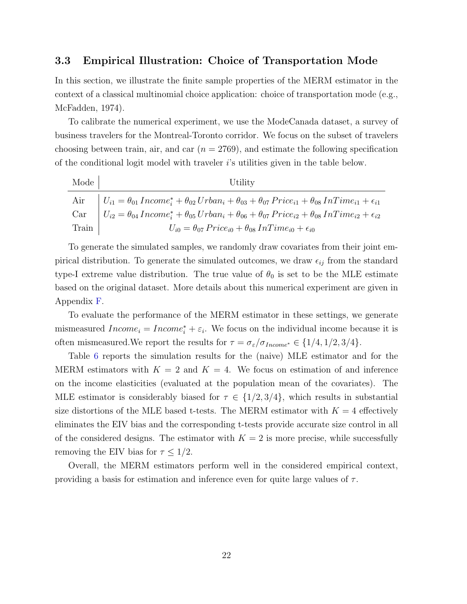#### <span id="page-21-0"></span>3.3 Empirical Illustration: Choice of Transportation Mode

In this section, we illustrate the finite sample properties of the MERM estimator in the context of a classical multinomial choice application: choice of transportation mode (e.g., [McFadden,](#page-34-10) [1974\)](#page-34-10).

To calibrate the numerical experiment, we use the ModeCanada dataset, a survey of business travelers for the Montreal-Toronto corridor. We focus on the subset of travelers choosing between train, air, and car  $(n = 2769)$ , and estimate the following specification of the conditional logit model with traveler i's utilities given in the table below.

| Mode  | Utility                                                                                                                                            |
|-------|----------------------------------------------------------------------------------------------------------------------------------------------------|
|       | Air $\big  U_{i1} = \theta_{01} Income_i^* + \theta_{02} Urban_i + \theta_{03} + \theta_{07} Price_{i1} + \theta_{08} InTime_{i1} + \epsilon_{i1}$ |
|       | Car $\big  U_{i2} = \theta_{04} Income_i^* + \theta_{05} Urban_i + \theta_{06} + \theta_{07} Price_{i2} + \theta_{08} InTime_{i2} + \epsilon_{i2}$ |
| Train | $U_{i0} = \theta_{07} \, Price_{i0} + \theta_{08} \, InTime_{i0} + \epsilon_{i0}$                                                                  |

To generate the simulated samples, we randomly draw covariates from their joint empirical distribution. To generate the simulated outcomes, we draw  $\epsilon_{ij}$  from the standard type-I extreme value distribution. The true value of  $\theta_0$  is set to be the MLE estimate based on the original dataset. More details about this numerical experiment are given in Appendix [F.](#page-57-0)

To evaluate the performance of the MERM estimator in these settings, we generate mismeasured  $Income_i = Income_i^* + \varepsilon_i$ . We focus on the individual income because it is often mismeasured. We report the results for  $\tau = \sigma_{\varepsilon}/\sigma_{Income^*} \in \{1/4, 1/2, 3/4\}.$ 

Table [6](#page-22-1) reports the simulation results for the (naive) MLE estimator and for the MERM estimators with  $K = 2$  and  $K = 4$ . We focus on estimation of and inference on the income elasticities (evaluated at the population mean of the covariates). The MLE estimator is considerably biased for  $\tau \in \{1/2, 3/4\}$ , which results in substantial size distortions of the MLE based t-tests. The MERM estimator with  $K = 4$  effectively eliminates the EIV bias and the corresponding t-tests provide accurate size control in all of the considered designs. The estimator with  $K = 2$  is more precise, while successfully removing the EIV bias for  $\tau \leq 1/2$ .

Overall, the MERM estimators perform well in the considered empirical context, providing a basis for estimation and inference even for quite large values of  $\tau$ .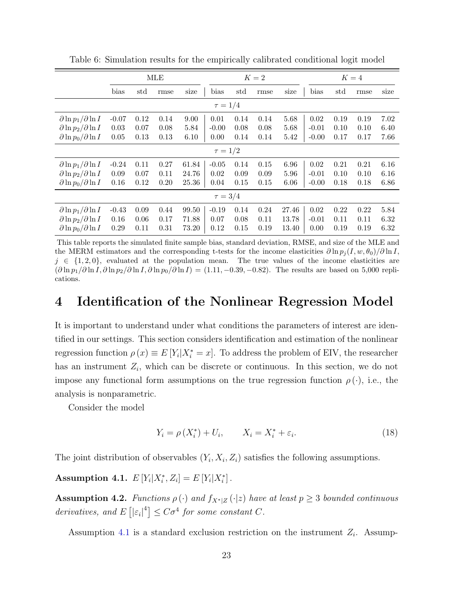|                                     |         |      | <b>MLE</b> |       |              |      | $K=2$ |       |         | $K=4$ |      |      |
|-------------------------------------|---------|------|------------|-------|--------------|------|-------|-------|---------|-------|------|------|
|                                     | bias    | std  | rmse       | size  | bias         | std  | rmse  | size  | bias    | std   | rmse | size |
|                                     |         |      |            |       | $\tau = 1/4$ |      |       |       |         |       |      |      |
| $\partial \ln p_1 / \partial \ln I$ | $-0.07$ | 0.12 | 0.14       | 9.00  | 0.01         | 0.14 | 0.14  | 5.68  | 0.02    | 0.19  | 0.19 | 7.02 |
| $\partial \ln p_2 / \partial \ln I$ | 0.03    | 0.07 | 0.08       | 5.84  | $-0.00$      | 0.08 | 0.08  | 5.68  | $-0.01$ | 0.10  | 0.10 | 6.40 |
| $\partial \ln p_0 / \partial \ln I$ | 0.05    | 0.13 | 0.13       | 6.10  | 0.00         | 0.14 | 0.14  | 5.42  | $-0.00$ | 0.17  | 0.17 | 7.66 |
| $\tau = 1/2$                        |         |      |            |       |              |      |       |       |         |       |      |      |
| $\partial \ln p_1 / \partial \ln I$ | $-0.24$ | 0.11 | 0.27       | 61.84 | $-0.05$      | 0.14 | 0.15  | 6.96  | 0.02    | 0.21  | 0.21 | 6.16 |
| $\partial \ln p_2 / \partial \ln I$ | 0.09    | 0.07 | 0.11       | 24.76 | 0.02         | 0.09 | 0.09  | 5.96  | $-0.01$ | 0.10  | 0.10 | 6.16 |
| $\partial \ln p_0 / \partial \ln I$ | 0.16    | 0.12 | 0.20       | 25.36 | 0.04         | 0.15 | 0.15  | 6.06  | $-0.00$ | 0.18  | 0.18 | 6.86 |
| $\tau = 3/4$                        |         |      |            |       |              |      |       |       |         |       |      |      |
| $\partial \ln p_1 / \partial \ln I$ | $-0.43$ | 0.09 | 0.44       | 99.50 | $-0.19$      | 0.14 | 0.24  | 27.46 | 0.02    | 0.22  | 0.22 | 5.84 |
| $\partial \ln p_2 / \partial \ln I$ | 0.16    | 0.06 | 0.17       | 71.88 | 0.07         | 0.08 | 0.11  | 13.78 | $-0.01$ | 0.11  | 0.11 | 6.32 |
| $\partial \ln p_0 / \partial \ln I$ | 0.29    | 0.11 | 0.31       | 73.20 | 0.12         | 0.15 | 0.19  | 13.40 | 0.00    | 0.19  | 0.19 | 6.32 |

<span id="page-22-1"></span>Table 6: Simulation results for the empirically calibrated conditional logit model

This table reports the simulated finite sample bias, standard deviation, RMSE, and size of the MLE and the MERM estimators and the corresponding t-tests for the income elasticities  $\partial \ln p_i(I, w, \theta_0)/\partial \ln I$ ,  $j \in \{1, 2, 0\}$ , evaluated at the population mean. The true values of the income elasticities are  $(\partial \ln p_1/\partial \ln I, \partial \ln p_2/\partial \ln I, \partial \ln p_0/\partial \ln I) = (1.11, -0.39, -0.82)$ . The results are based on 5,000 replications.

### <span id="page-22-0"></span>4 Identification of the Nonlinear Regression Model

It is important to understand under what conditions the parameters of interest are identified in our settings. This section considers identification and estimation of the nonlinear regression function  $\rho(x) \equiv E[Y_i|X_i^* = x]$ . To address the problem of EIV, the researcher has an instrument  $Z_i$ , which can be discrete or continuous. In this section, we do not impose any functional form assumptions on the true regression function  $\rho(\cdot)$ , i.e., the analysis is nonparametric.

Consider the model

$$
Y_i = \rho(X_i^*) + U_i, \qquad X_i = X_i^* + \varepsilon_i. \tag{18}
$$

The joint distribution of observables  $(Y_i, X_i, Z_i)$  satisfies the following assumptions.

<span id="page-22-2"></span>Assumption 4.1.  $E[Y_i|X_i^*, Z_i] = E[Y_i|X_i^*]$ .

<span id="page-22-3"></span>Assumption 4.2. Functions  $\rho(\cdot)$  and  $f_{X^*|Z}(\cdot|z)$  have at least  $p \geq 3$  bounded continuous derivatives, and  $E\left[|\varepsilon_i|^4\right] \leq C\sigma^4$  for some constant C.

Assumption [4.1](#page-22-2) is a standard exclusion restriction on the instrument  $Z_i$ . Assump-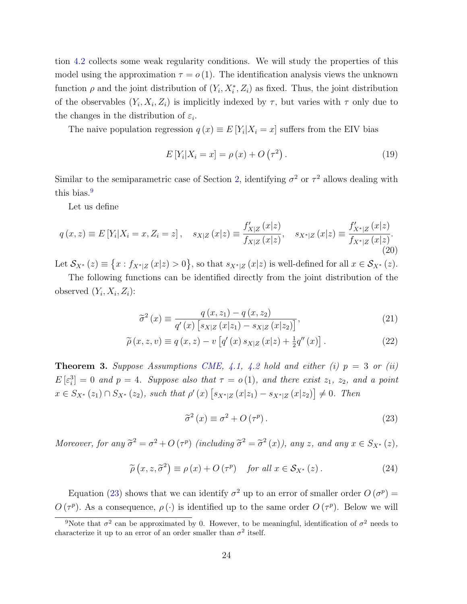tion [4.2](#page-22-3) collects some weak regularity conditions. We will study the properties of this model using the approximation  $\tau = o(1)$ . The identification analysis views the unknown function  $\rho$  and the joint distribution of  $(Y_i, X_i^*, Z_i)$  as fixed. Thus, the joint distribution of the observables  $(Y_i, X_i, Z_i)$  is implicitly indexed by  $\tau$ , but varies with  $\tau$  only due to the changes in the distribution of  $\varepsilon_i$ .

The naive population regression  $q(x) \equiv E[Y_i | X_i = x]$  suffers from the EIV bias

$$
E[Y_i|X_i = x] = \rho(x) + O(\tau^2).
$$
 (19)

Similar to the semiparametric case of Section [2,](#page-7-0) identifying  $\sigma^2$  or  $\tau^2$  allows dealing with this bias.<sup>[9](#page-23-0)</sup>

Let us define

<span id="page-23-3"></span>
$$
q(x, z) \equiv E[Y_i | X_i = x, Z_i = z], \quad s_{X|Z}(x|z) \equiv \frac{f'_{X|Z}(x|z)}{f_{X|Z}(x|z)}, \quad s_{X^*|Z}(x|z) \equiv \frac{f'_{X^*|Z}(x|z)}{f_{X^*|Z}(x|z)}.
$$
\n(20)

Let  $\mathcal{S}_{X^*}(z) \equiv \{x : f_{X^*|Z}(x|z) > 0\}$ , so that  $s_{X^*|Z}(x|z)$  is well-defined for all  $x \in \mathcal{S}_{X^*}(z)$ .

The following functions can be identified directly from the joint distribution of the observed  $(Y_i, X_i, Z_i)$ :

$$
\tilde{\sigma}^{2}(x) \equiv \frac{q(x, z_{1}) - q(x, z_{2})}{q'(x) [s_{X|Z}(x|z_{1}) - s_{X|Z}(x|z_{2})]},
$$
\n(21)

$$
\widetilde{\rho}(x, z, v) \equiv q(x, z) - v \left[ q'(x) s_{X|Z}(x|z) + \frac{1}{2} q''(x) \right]. \tag{22}
$$

<span id="page-23-2"></span>**Theorem 3.** Suppose Assumptions [CME,](#page-11-0) [4.1,](#page-22-2) [4.2](#page-22-3) hold and either (i)  $p = 3$  or (ii)  $E\left[\varepsilon_i^3\right]=0$  and  $p=4$ . Suppose also that  $\tau=o(1)$ , and there exist  $z_1$ ,  $z_2$ , and a point  $x \in S_{X^*}(z_1) \cap S_{X^*}(z_2)$ , such that  $\rho'(x) \left[ s_{X^*|Z}(x|z_1) - s_{X^*|Z}(x|z_2) \right] \neq 0$ . Then

<span id="page-23-5"></span><span id="page-23-4"></span><span id="page-23-1"></span>
$$
\tilde{\sigma}^2(x) \equiv \sigma^2 + O(\tau^p). \tag{23}
$$

Moreover, for any  $\tilde{\sigma}^2 = \sigma^2 + O(\tau^p)$  (including  $\tilde{\sigma}^2 = \tilde{\sigma}^2(x)$ ), any z, and any  $x \in S_{X^*}(z)$ ,

<span id="page-23-6"></span>
$$
\widetilde{\rho}\left(x,z,\widetilde{\sigma}^{2}\right) \equiv \rho\left(x\right) + O\left(\tau^{p}\right) \quad \text{for all } x \in \mathcal{S}_{X^{*}}\left(z\right). \tag{24}
$$

Equation [\(23\)](#page-23-1) shows that we can identify  $\sigma^2$  up to an error of smaller order  $O(\sigma^p)$  =  $O(\tau^p)$ . As a consequence,  $\rho(\cdot)$  is identified up to the same order  $O(\tau^p)$ . Below we will

<span id="page-23-0"></span><sup>&</sup>lt;sup>9</sup>Note that  $\sigma^2$  can be approximated by 0. However, to be meaningful, identification of  $\sigma^2$  needs to characterize it up to an error of an order smaller than  $\sigma^2$  itself.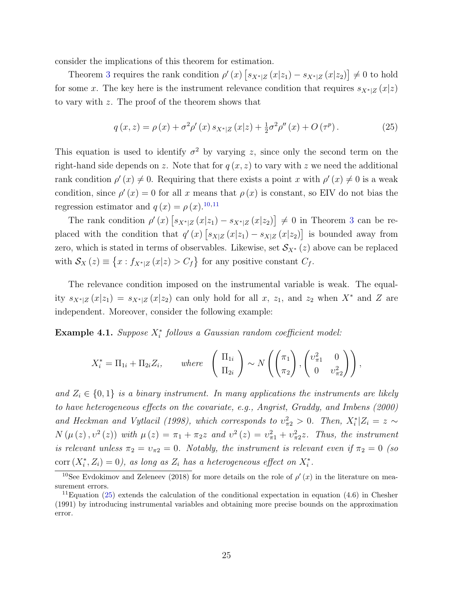consider the implications of this theorem for estimation.

Theorem [3](#page-23-2) requires the rank condition  $\rho'(x)$   $\left[s_{X^*|Z}(x|z_1) - s_{X^*|Z}(x|z_2)\right] \neq 0$  to hold for some x. The key here is the instrument relevance condition that requires  $s_{X^*|Z}(x|z)$ to vary with z. The proof of the theorem shows that

<span id="page-24-2"></span>
$$
q(x,z) = \rho(x) + \sigma^2 \rho'(x) s_{X^*|Z}(x|z) + \frac{1}{2} \sigma^2 \rho''(x) + O(\tau^p).
$$
 (25)

This equation is used to identify  $\sigma^2$  by varying z, since only the second term on the right-hand side depends on z. Note that for  $q(x, z)$  to vary with z we need the additional rank condition  $\rho'(x) \neq 0$ . Requiring that there exists a point x with  $\rho'(x) \neq 0$  is a weak condition, since  $\rho'(x) = 0$  for all x means that  $\rho(x)$  is constant, so EIV do not bias the regression estimator and  $q(x) = \rho(x).^{10,11}$  $q(x) = \rho(x).^{10,11}$  $q(x) = \rho(x).^{10,11}$  $q(x) = \rho(x).^{10,11}$ 

The rank condition  $\rho'(x)$   $\left[ s_{X^*|Z}(x|z_1) - s_{X^*|Z}(x|z_2) \right] \neq 0$  in Theorem [3](#page-23-2) can be replaced with the condition that  $q'(x) \left[ s_{X|Z}(x|z_1) - s_{X|Z}(x|z_2) \right]$  is bounded away from zero, which is stated in terms of observables. Likewise, set  $S_{X^*}(z)$  above can be replaced with  $S_X(z) \equiv \{x : f_{X^*|Z}(x|z) > C_f\}$  for any positive constant  $C_f$ .

The relevance condition imposed on the instrumental variable is weak. The equality  $s_{X^*|Z}(x|z_1) = s_{X^*|Z}(x|z_2)$  can only hold for all x,  $z_1$ , and  $z_2$  when  $X^*$  and Z are independent. Moreover, consider the following example:

Example 4.1. Suppose  $X_i^*$  follows a Gaussian random coefficient model:

$$
X_i^* = \Pi_{1i} + \Pi_{2i} Z_i, \quad where \quad \begin{pmatrix} \Pi_{1i} \\ \Pi_{2i} \end{pmatrix} \sim N \left( \begin{pmatrix} \pi_1 \\ \pi_2 \end{pmatrix}, \begin{pmatrix} \upsilon_{\pi 1}^2 & 0 \\ 0 & \upsilon_{\pi 2}^2 \end{pmatrix} \right),
$$

and  $Z_i \in \{0,1\}$  is a binary instrument. In many applications the instruments are likely to have heterogeneous effects on the covariate, e.g., [Angrist, Graddy, and Imbens](#page-32-13) [\(2000\)](#page-32-13) and [Heckman and Vytlacil](#page-33-3) [\(1998\)](#page-33-3), which corresponds to  $v_{\pi 2}^2 > 0$ . Then,  $X_i^* | Z_i = z \sim$  $N(\mu(z), v^2(z))$  with  $\mu(z) = \pi_1 + \pi_2 z$  and  $v^2(z) = v_{\pi_1}^2 + v_{\pi_2}^2 z$ . Thus, the instrument is relevant unless  $\pi_2 = v_{\pi_2} = 0$ . Notably, the instrument is relevant even if  $\pi_2 = 0$  (so  $\text{corr}(X_i^*, Z_i) = 0$ , as long as  $Z_i$  has a heterogeneous effect on  $X_i^*$ .

<span id="page-24-0"></span><sup>&</sup>lt;sup>10</sup>See [Evdokimov and Zeleneev](#page-33-7) [\(2018\)](#page-33-7) for more details on the role of  $\rho'(x)$  in the literature on measurement errors.

<span id="page-24-1"></span><sup>&</sup>lt;sup>11</sup>Equation [\(25\)](#page-24-2) extends the calculation of the conditional expectation in equation (4.6) in [Chesher](#page-32-4) [\(1991\)](#page-32-4) by introducing instrumental variables and obtaining more precise bounds on the approximation error.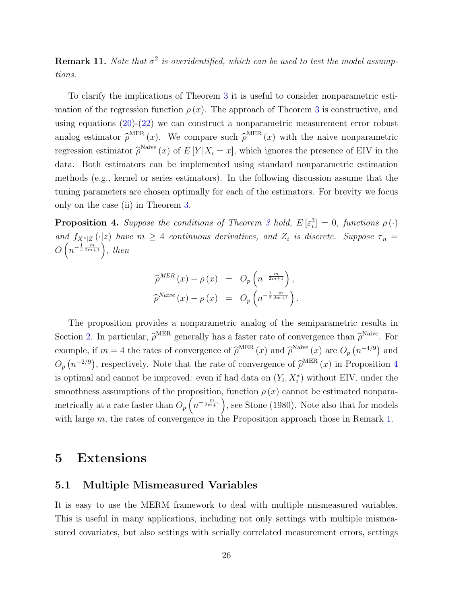**Remark 11.** Note that  $\sigma^2$  is overidentified, which can be used to test the model assumptions.

To clarify the implications of Theorem [3](#page-23-2) it is useful to consider nonparametric estimation of the regression function  $\rho(x)$ . The approach of Theorem [3](#page-23-2) is constructive, and using equations [\(20\)](#page-23-3)-[\(22\)](#page-23-4) we can construct a nonparametric measurement error robust analog estimator  $\hat{\rho}^{\text{MER}}(x)$ . We compare such  $\hat{\rho}^{\text{MER}}(x)$  with the naive nonparametric regression estimator  $\hat{\rho}^{\text{Naive}}(x)$  of  $E[Y|X_i=x]$ , which ignores the presence of EIV in the data. Both estimators can be implemented using standard nonparametric estimation methods (e.g., kernel or series estimators). In the following discussion assume that the tuning parameters are chosen optimally for each of the estimators. For brevity we focus only on the case (ii) in Theorem [3.](#page-23-2)

<span id="page-25-2"></span>**Proposition 4.** Suppose the conditions of Theorem [3](#page-23-2) hold,  $E\left[\varepsilon_i^3\right] = 0$ , functions  $\rho(\cdot)$ and  $f_{X^*|Z}(\cdot|z)$  have  $m \geq 4$  continuous derivatives, and  $Z_i$  is discrete. Suppose  $\tau_n =$  $O\left(n^{-\frac{1}{4}\frac{m}{2m+1}}\right)$ , then

$$
\widehat{\rho}^{MER}(x) - \rho(x) = O_p\left(n^{-\frac{m}{2m+1}}\right),
$$
  

$$
\widehat{\rho}^{Naive}(x) - \rho(x) = O_p\left(n^{-\frac{1}{2}\frac{m}{2m+1}}\right).
$$

The proposition provides a nonparametric analog of the semiparametric results in Section [2.](#page-7-0) In particular,  $\hat{\rho}^{\text{MER}}$  generally has a faster rate of convergence than  $\hat{\rho}^{\text{Naive}}$ . For example, if  $m = 4$  the rates of convergence of  $\hat{\rho}^{\text{MER}}(x)$  and  $\hat{\rho}^{\text{Naive}}(x)$  are  $O_p(n^{-4/9})$  and  $O_p(n^{-2/9})$ , respectively. Note that the rate of convergence of  $\hat{\rho}^{\text{MER}}(x)$  in Proposition [4](#page-25-2) is optimal and cannot be improved: even if had data on  $(Y_i, X_i^*)$  without EIV, under the smoothness assumptions of the proposition, function  $\rho(x)$  cannot be estimated nonparametrically at a rate faster than  $O_p\left(n^{-\frac{m}{2m+1}}\right)$ , see [Stone](#page-35-11) [\(1980\)](#page-35-11). Note also that for models with large m, the rates of convergence in the Proposition approach those in Remark [1.](#page-10-4)

### <span id="page-25-0"></span>5 Extensions

#### <span id="page-25-1"></span>5.1 Multiple Mismeasured Variables

It is easy to use the MERM framework to deal with multiple mismeasured variables. This is useful in many applications, including not only settings with multiple mismeasured covariates, but also settings with serially correlated measurement errors, settings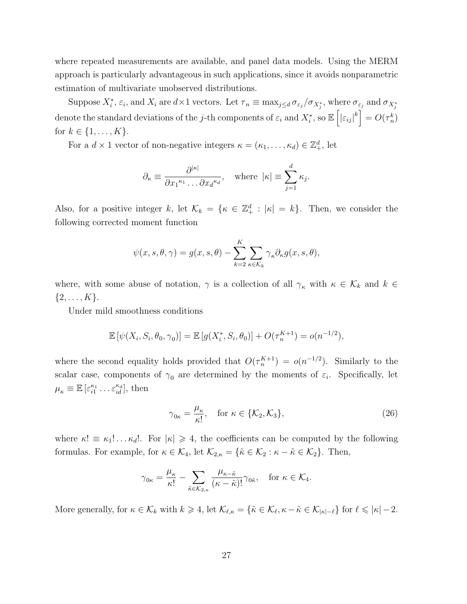where repeated measurements are available, and panel data models. Using the MERM approach is particularly advantageous in such applications, since it avoids nonparametric estimation of multivariate unobserved distributions.

Suppose  $X_i^*, \varepsilon_i$ , and  $X_i$  are  $d \times 1$  vectors. Let  $\tau_n \equiv \max_{j \leq d} \sigma_{\varepsilon_j}/\sigma_{X_j^*}$ , where  $\sigma_{\varepsilon_j}$  and  $\sigma_{X_j^*}$ denote the standard deviations of the j-th components of  $\varepsilon_i$  and  $X_i^*$ , so  $\mathbb{E}\left[|\varepsilon_{ij}|^k\right] = O(\tau_n^k)$ for  $k \in \{1, ..., K\}$ .

For a  $d \times 1$  vector of non-negative integers  $\kappa = (\kappa_1, \ldots, \kappa_d) \in \mathbb{Z}_+^d$ , let

$$
\partial_{\kappa} \equiv \frac{\partial^{|\kappa|}}{\partial x_1^{\kappa_1} \dots \partial x_d^{\kappa_d}}, \quad \text{where } |\kappa| \equiv \sum_{j=1}^d \kappa_j.
$$

Also, for a positive integer k, let  $\mathcal{K}_k = \{ \kappa \in \mathbb{Z}_+^d : |\kappa| = k \}.$  Then, we consider the following corrected moment function

$$
\psi(x, s, \theta, \gamma) = g(x, s, \theta) - \sum_{k=2}^{K} \sum_{\kappa \in \mathcal{K}_k} \gamma_{\kappa} \partial_{\kappa} g(x, s, \theta),
$$

where, with some abuse of notation,  $\gamma$  is a collection of all  $\gamma_{\kappa}$  with  $\kappa \in \mathcal{K}_k$  and  $k \in$  $\{2, \ldots, K\}.$ 

Under mild smoothness conditions

$$
\mathbb{E} [\psi(X_i, S_i, \theta_0, \gamma_0)] = \mathbb{E} [g(X_i^*, S_i, \theta_0)] + O(\tau_n^{K+1}) = o(n^{-1/2}),
$$

where the second equality holds provided that  $O(\tau_n^{K+1}) = o(n^{-1/2})$ . Similarly to the scalar case, components of  $\gamma_0$  are determined by the moments of  $\varepsilon_i$ . Specifically, let  $\mu_{\kappa} \equiv \mathbb{E}\left[\varepsilon_{i1}^{\kappa_1} \dots \varepsilon_{id}^{\kappa_d}\right], \text{ then}$ 

<span id="page-26-0"></span>
$$
\gamma_{0\kappa} = \frac{\mu_{\kappa}}{\kappa!}, \quad \text{for } \kappa \in \{\mathcal{K}_2, \mathcal{K}_3\},\tag{26}
$$

where  $\kappa! \equiv \kappa_1! \ldots \kappa_d!$ . For  $|\kappa| \geq 4$ , the coefficients can be computed by the following formulas. For example, for  $\kappa \in \mathcal{K}_4$ , let  $\mathcal{K}_{2,\kappa} = {\tilde{\kappa} \in \mathcal{K}_2 : \kappa - \tilde{\kappa} \in \mathcal{K}_2}.$  Then,

$$
\gamma_{0\kappa} = \frac{\mu_{\kappa}}{\kappa!} - \sum_{\tilde{\kappa} \in \mathcal{K}_{2,\kappa}} \frac{\mu_{\kappa - \tilde{\kappa}}}{(\kappa - \tilde{\kappa})!} \gamma_{0\tilde{\kappa}}, \quad \text{for } \kappa \in \mathcal{K}_4.
$$

More generally, for  $\kappa \in \mathcal{K}_k$  with  $k \geq 4$ , let  $\mathcal{K}_{\ell,\kappa} = \{\tilde{\kappa} \in \mathcal{K}_{\ell}, \kappa - \tilde{\kappa} \in \mathcal{K}_{|\kappa| - \ell}\}\$  for  $\ell \leqslant |\kappa| - 2$ .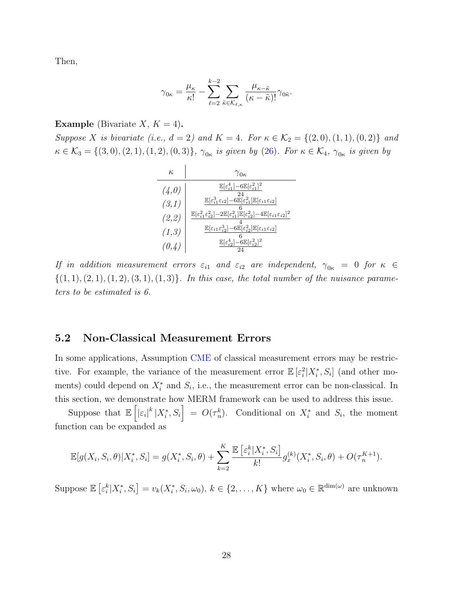Then,

$$
\gamma_{0\kappa} = \frac{\mu_{\kappa}}{\kappa!} - \sum_{\ell=2}^{k-2} \sum_{\tilde{\kappa} \in \mathcal{K}_{\ell,\kappa}} \frac{\mu_{\kappa - \tilde{\kappa}}}{(\kappa - \tilde{\kappa})!} \gamma_{0\tilde{\kappa}}.
$$

#### **Example** (Bivariate  $X, K = 4$ ).

Suppose X is bivariate (i.e.,  $d = 2$ ) and  $K = 4$ . For  $\kappa \in \mathcal{K}_2 = \{(2,0), (1,1), (0,2)\}$  and  $\kappa \in \mathcal{K}_3 = \{(3,0), (2,1), (1,2), (0,3)\}, \ \gamma_{0\kappa}$  is given by [\(26\)](#page-26-0). For  $\kappa \in \mathcal{K}_4$ ,  $\gamma_{0\kappa}$  is given by

$$
\begin{array}{c|c} \kappa & \gamma_{0\kappa} \\ \hline \hline (4,0) & \frac{\mathbb{E}[\varepsilon_{i1}^{4}]-6\mathbb{E}[\varepsilon_{i1}^{2}]^{2}}{24} \\ (3,1) & \frac{\mathbb{E}[\varepsilon_{i1}^{3}\varepsilon_{i2}]-6\mathbb{E}[\varepsilon_{i1}^{2}]\mathbb{E}[\varepsilon_{i1}\varepsilon_{i2}]}{6} \\ (2,2) & \frac{\mathbb{E}[\varepsilon_{i1}^{2}\varepsilon_{i2}^{2}]-2\mathbb{E}[\varepsilon_{i1}^{2}]\mathbb{E}[\varepsilon_{i2}^{2}]-4\mathbb{E}[\varepsilon_{i1}\varepsilon_{i2}]^{2}}{6} \\ (1,3) & \frac{\mathbb{E}[\varepsilon_{i1}\varepsilon_{i2}^{3}]-6\mathbb{E}[\varepsilon_{i2}^{2}]\mathbb{E}[\varepsilon_{i1}\varepsilon_{i2}]}{6} \\ (0,4) & \frac{\mathbb{E}[\varepsilon_{i2}^{4}]-6\mathbb{E}[\varepsilon_{i2}^{2}]^{2}}{24} \end{array}
$$

If in addition measurement errors  $\varepsilon_{i1}$  and  $\varepsilon_{i2}$  are independent,  $\gamma_{0\kappa} = 0$  for  $\kappa \in$  $\{(1, 1), (2, 1), (1, 2), (3, 1), (1, 3)\}.$  In this case, the total number of the nuisance parameters to be estimated is 6.

#### <span id="page-27-0"></span>5.2 Non-Classical Measurement Errors

In some applications, Assumption [CME](#page-11-0) of classical measurement errors may be restrictive. For example, the variance of the measurement error  $\mathbb{E}[\varepsilon_i^2 | X_i^*, S_i]$  (and other moments) could depend on  $X_i^*$  and  $S_i$ , i.e., the measurement error can be non-classical. In this section, we demonstrate how MERM framework can be used to address this issue.

Suppose that  $\mathbb{E}\left[\left|\varepsilon_{i}\right|^{k}|X_{i}^{*},S_{i}\right] = O(\tau_{n}^{k})$ . Conditional on  $X_{i}^{*}$  and  $S_{i}$ , the moment function can be expanded as

$$
\mathbb{E}[g(X_i, S_i, \theta)|X_i^*, S_i] = g(X_i^*, S_i, \theta) + \sum_{k=2}^K \frac{\mathbb{E}\left[\varepsilon_i^k | X_i^*, S_i\right]}{k!} g_x^{(k)}(X_i^*, S_i, \theta) + O(\tau_n^{K+1}).
$$

Suppose  $\mathbb{E}\left[\varepsilon_i^k|X_i^*,S_i\right] = v_k(X_i^*,S_i,\omega_0), k \in \{2,\ldots,K\}$  where  $\omega_0 \in \mathbb{R}^{\dim(\omega)}$  are unknown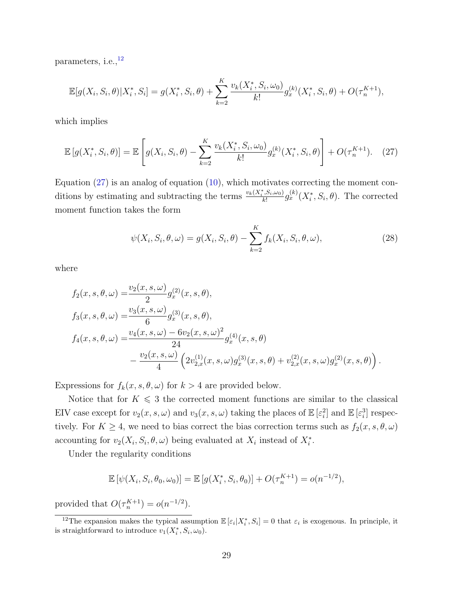parameters, i.e.,  $^{\rm 12}$  $^{\rm 12}$  $^{\rm 12}$ 

$$
\mathbb{E}[g(X_i, S_i, \theta)|X_i^*, S_i] = g(X_i^*, S_i, \theta) + \sum_{k=2}^K \frac{v_k(X_i^*, S_i, \omega_0)}{k!} g_x^{(k)}(X_i^*, S_i, \theta) + O(\tau_n^{K+1}),
$$

which implies

$$
\mathbb{E}\left[g(X_i^*, S_i, \theta)\right] = \mathbb{E}\left[g(X_i, S_i, \theta) - \sum_{k=2}^K \frac{v_k(X_i^*, S_i, \omega_0)}{k!} g_x^{(k)}(X_i^*, S_i, \theta)\right] + O(\tau_n^{K+1}).\tag{27}
$$

Equation [\(27\)](#page-28-1) is an analog of equation [\(10\)](#page-10-3), which motivates correcting the moment conditions by estimating and subtracting the terms  $\frac{v_k(X_i^*, S_i, \omega_0)}{k!}$  $\frac{k[S_i,\omega_0]}{k!} g_x^{(k)}(X_i^*,S_i,\theta)$ . The corrected moment function takes the form

<span id="page-28-2"></span><span id="page-28-1"></span>
$$
\psi(X_i, S_i, \theta, \omega) = g(X_i, S_i, \theta) - \sum_{k=2}^{K} f_k(X_i, S_i, \theta, \omega),
$$
\n(28)

where

$$
f_2(x, s, \theta, \omega) = \frac{v_2(x, s, \omega)}{2} g_x^{(2)}(x, s, \theta),
$$
  
\n
$$
f_3(x, s, \theta, \omega) = \frac{v_3(x, s, \omega)}{6} g_x^{(3)}(x, s, \theta),
$$
  
\n
$$
f_4(x, s, \theta, \omega) = \frac{v_4(x, s, \omega) - 6v_2(x, s, \omega)^2}{24} g_x^{(4)}(x, s, \theta)
$$
  
\n
$$
- \frac{v_2(x, s, \omega)}{4} \left( 2v_{2,x}^{(1)}(x, s, \omega) g_x^{(3)}(x, s, \theta) + v_{2,x}^{(2)}(x, s, \omega) g_x^{(2)}(x, s, \theta) \right).
$$

Expressions for  $f_k(x, s, \theta, \omega)$  for  $k > 4$  are provided below.

Notice that for  $K \leq 3$  the corrected moment functions are similar to the classical EIV case except for  $v_2(x, s, \omega)$  and  $v_3(x, s, \omega)$  taking the places of  $\mathbb{E}[\varepsilon_i^2]$  and  $\mathbb{E}[\varepsilon_i^3]$  respectively. For  $K \geq 4$ , we need to bias correct the bias correction terms such as  $f_2(x, s, \theta, \omega)$ accounting for  $v_2(X_i, S_i, \theta, \omega)$  being evaluated at  $X_i$  instead of  $X_i^*$ .

Under the regularity conditions

$$
\mathbb{E} [\psi(X_i, S_i, \theta_0, \omega_0)] = \mathbb{E} [g(X_i^*, S_i, \theta_0)] + O(\tau_n^{K+1}) = o(n^{-1/2}),
$$

provided that  $O(\tau_n^{K+1}) = o(n^{-1/2})$ .

<span id="page-28-0"></span><sup>&</sup>lt;sup>12</sup>The expansion makes the typical assumption  $\mathbb{E}[\varepsilon_i|X_i^*,S_i]=0$  that  $\varepsilon_i$  is exogenous. In principle, it is straightforward to introduce  $v_1(X_i^*, S_i, \omega_0)$ .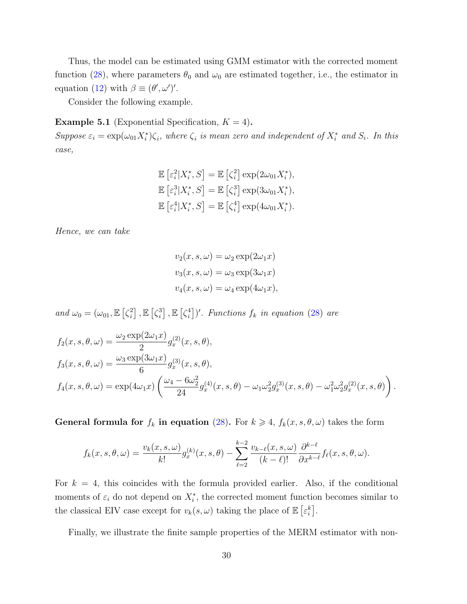Thus, the model can be estimated using GMM estimator with the corrected moment function [\(28\)](#page-28-2), where parameters  $\theta_0$  and  $\omega_0$  are estimated together, i.e., the estimator in equation [\(12\)](#page-12-2) with  $\beta \equiv (\theta', \omega')'$ .

Consider the following example.

<span id="page-29-0"></span>**Example 5.1** (Exponential Specification,  $K = 4$ ).

Suppose  $\varepsilon_i = \exp(\omega_{01} X_i^*) \zeta_i$ , where  $\zeta_i$  is mean zero and independent of  $X_i^*$  and  $S_i$ . In this case,

$$
\mathbb{E}\left[\varepsilon_i^2|X_i^*,S\right] = \mathbb{E}\left[\zeta_i^2\right] \exp(2\omega_{01}X_i^*),
$$
  

$$
\mathbb{E}\left[\varepsilon_i^3|X_i^*,S\right] = \mathbb{E}\left[\zeta_i^3\right] \exp(3\omega_{01}X_i^*),
$$
  

$$
\mathbb{E}\left[\varepsilon_i^4|X_i^*,S\right] = \mathbb{E}\left[\zeta_i^4\right] \exp(4\omega_{01}X_i^*).
$$

Hence, we can take

$$
v_2(x, s, \omega) = \omega_2 \exp(2\omega_1 x)
$$
  

$$
v_3(x, s, \omega) = \omega_3 \exp(3\omega_1 x)
$$
  

$$
v_4(x, s, \omega) = \omega_4 \exp(4\omega_1 x),
$$

and  $\omega_0 = (\omega_{01}, \mathbb{E} \left[ \zeta_i^2 \right])$  $\left[\zeta_i^3\right], \mathbb{E}\left[\zeta_i^3\right]$  $\left[\zeta_i^4\right]$  ,  $\mathbb{E}\left[\zeta_i^4\right]$  $\binom{4}{i}$ . Functions  $f_k$  in equation [\(28\)](#page-28-2) are

$$
f_2(x, s, \theta, \omega) = \frac{\omega_2 \exp(2\omega_1 x)}{2} g_x^{(2)}(x, s, \theta),
$$
  
\n
$$
f_3(x, s, \theta, \omega) = \frac{\omega_3 \exp(3\omega_1 x)}{6} g_x^{(3)}(x, s, \theta),
$$
  
\n
$$
f_4(x, s, \theta, \omega) = \exp(4\omega_1 x) \left( \frac{\omega_4 - 6\omega_2^2}{24} g_x^{(4)}(x, s, \theta) - \omega_1 \omega_2^2 g_x^{(3)}(x, s, \theta) - \omega_1^2 \omega_2^2 g_x^{(2)}(x, s, \theta) \right).
$$

General formula for  $f_k$  in equation [\(28\)](#page-28-2). For  $k \geq 4$ ,  $f_k(x, s, \theta, \omega)$  takes the form

$$
f_k(x, s, \theta, \omega) = \frac{v_k(x, s, \omega)}{k!} g_x^{(k)}(x, s, \theta) - \sum_{\ell=2}^{k-2} \frac{v_{k-\ell}(x, s, \omega)}{(k-\ell)!} \frac{\partial^{k-\ell}}{\partial x^{k-\ell}} f_\ell(x, s, \theta, \omega).
$$

For  $k = 4$ , this coincides with the formula provided earlier. Also, if the conditional moments of  $\varepsilon_i$  do not depend on  $X_i^*$ , the corrected moment function becomes similar to the classical EIV case except for  $v_k(s, \omega)$  taking the place of  $\mathbb{E} \left[ \varepsilon_i^k \right]$ .

Finally, we illustrate the finite sample properties of the MERM estimator with non-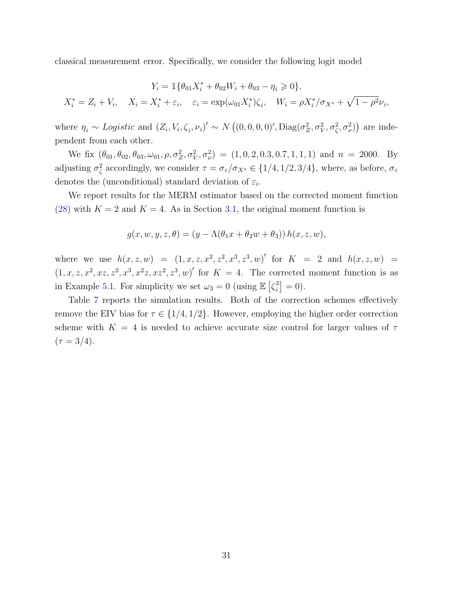classical measurement error. Specifically, we consider the following logit model

$$
Y_i = \mathbb{1}\{\theta_{01}X_i^* + \theta_{02}W_i + \theta_{03} - \eta_i \ge 0\},
$$
  

$$
X_i^* = Z_i + V_i, \quad X_i = X_i^* + \varepsilon_i, \quad \varepsilon_i = \exp(\omega_{01}X_i^*)\zeta_i, \quad W_i = \rho X_i^*/\sigma_{X^*} + \sqrt{1 - \rho^2}\nu_i,
$$

where  $\eta_i \sim Logistic \text{ and } (Z_i, V_i, \zeta_i, \nu_i)' \sim N((0, 0, 0, 0)', \text{Diag}(\sigma_Z^2, \sigma_V^2, \sigma_\zeta^2, \sigma_\nu^2))$  are independent from each other.

We fix  $(\theta_{01}, \theta_{02}, \theta_{03}, \omega_{01}, \rho, \sigma_Z^2, \sigma_V^2, \sigma_\nu^2) = (1, 0, 2, 0.3, 0.7, 1, 1, 1)$  and  $n = 2000$ . By adjusting  $\sigma_{\zeta}^2$  accordingly, we consider  $\tau = \sigma_{\varepsilon}/\sigma_{X^*} \in \{1/4, 1/2, 3/4\}$ , where, as before,  $\sigma_{\varepsilon}$ denotes the (unconditional) standard deviation of  $\varepsilon_i$ .

We report results for the MERM estimator based on the corrected moment function [\(28\)](#page-28-2) with  $K = 2$  and  $K = 4$ . As in Section [3.1,](#page-15-2) the original moment function is

$$
g(x, w, y, z, \theta) = (y - \Lambda(\theta_1 x + \theta_2 w + \theta_3)) h(x, z, w),
$$

where we use  $h(x, z, w) = (1, x, z, x^2, z^2, x^3, z^3, w)'$  for  $K = 2$  and  $h(x, z, w) =$  $(1, x, z, x^2, xz, z^2, x^3, x^2z, xz^2, z^3, w)'$  for  $K = 4$ . The corrected moment function is as in Example [5.1.](#page-29-0) For simplicity we set  $\omega_3 = 0$  (using  $\mathbb{E} \left[ \zeta_i^3 \right]$  $i_j^3 = 0$ .

Table [7](#page-31-5) reports the simulation results. Both of the correction schemes effectively remove the EIV bias for  $\tau \in \{1/4, 1/2\}$ . However, employing the higher order correction scheme with  $K = 4$  is needed to achieve accurate size control for larger values of  $\tau$  $(\tau = 3/4).$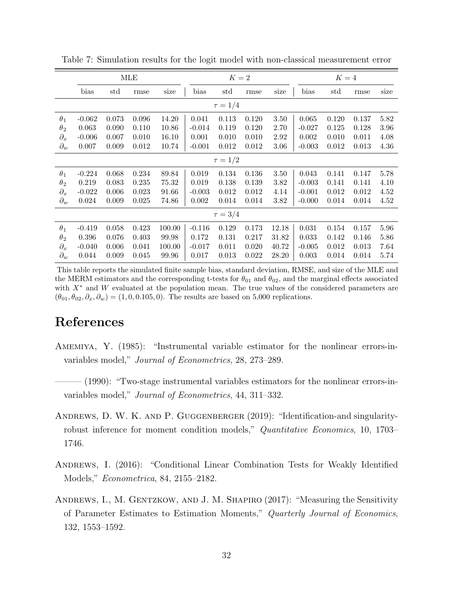|              |              |              | MLE   |        |          | $K=2$        |       |          |          | $K=4$ |       |          |  |
|--------------|--------------|--------------|-------|--------|----------|--------------|-------|----------|----------|-------|-------|----------|--|
|              | bias         | $_{\rm std}$ | rmse  | size   | bias     | std          | rmse  | size     | bias     | std   | rmse  | size     |  |
|              | $\tau = 1/4$ |              |       |        |          |              |       |          |          |       |       |          |  |
| $\theta_1$   | $-0.062$     | 0.073        | 0.096 | 14.20  | 0.041    | 0.113        | 0.120 | 3.50     | 0.065    | 0.120 | 0.137 | $5.82\,$ |  |
| $\theta_2$   | 0.063        | 0.090        | 0.110 | 10.86  | $-0.014$ | 0.119        | 0.120 | 2.70     | $-0.027$ | 0.125 | 0.128 | 3.96     |  |
| $\partial_x$ | $-0.006$     | 0.007        | 0.010 | 16.10  | 0.001    | 0.010        | 0.010 | 2.92     | 0.002    | 0.010 | 0.011 | 4.08     |  |
| $\partial_w$ | 0.007        | 0.009        | 0.012 | 10.74  | $-0.001$ | 0.012        | 0.012 | $3.06\,$ | $-0.003$ | 0.012 | 0.013 | 4.36     |  |
|              | $\tau = 1/2$ |              |       |        |          |              |       |          |          |       |       |          |  |
| $\theta_1$   | $-0.224$     | 0.068        | 0.234 | 89.84  | 0.019    | 0.134        | 0.136 | 3.50     | 0.043    | 0.141 | 0.147 | 5.78     |  |
| $\theta_2$   | 0.219        | 0.083        | 0.235 | 75.32  | 0.019    | 0.138        | 0.139 | 3.82     | $-0.003$ | 0.141 | 0.141 | 4.10     |  |
| $\partial_x$ | $-0.022$     | 0.006        | 0.023 | 91.66  | $-0.003$ | 0.012        | 0.012 | 4.14     | $-0.001$ | 0.012 | 0.012 | 4.52     |  |
| $\partial_w$ | 0.024        | 0.009        | 0.025 | 74.86  | 0.002    | 0.014        | 0.014 | 3.82     | $-0.000$ | 0.014 | 0.014 | 4.52     |  |
|              |              |              |       |        |          | $\tau = 3/4$ |       |          |          |       |       |          |  |
| $\theta_1$   | $-0.419$     | 0.058        | 0.423 | 100.00 | $-0.116$ | 0.129        | 0.173 | 12.18    | 0.031    | 0.154 | 0.157 | 5.96     |  |
| $\theta_2$   | 0.396        | 0.076        | 0.403 | 99.98  | 0.172    | 0.131        | 0.217 | 31.82    | 0.033    | 0.142 | 0.146 | 5.86     |  |
| $\partial_x$ | $-0.040$     | 0.006        | 0.041 | 100.00 | $-0.017$ | 0.011        | 0.020 | 40.72    | $-0.005$ | 0.012 | 0.013 | 7.64     |  |
| $\partial_w$ | 0.044        | 0.009        | 0.045 | 99.96  | 0.017    | 0.013        | 0.022 | 28.20    | 0.003    | 0.014 | 0.014 | 5.74     |  |

<span id="page-31-5"></span>Table 7: Simulation results for the logit model with non-classical measurement error

This table reports the simulated finite sample bias, standard deviation, RMSE, and size of the MLE and the MERM estimators and the corresponding t-tests for  $\theta_{01}$  and  $\theta_{02}$ , and the marginal effects associated with  $X^*$  and W evaluated at the population mean. The true values of the considered parameters are  $(\theta_{01}, \theta_{02}, \partial_x, \partial_w) = (1, 0, 0.105, 0)$ . The results are based on 5,000 replications.

### References

- <span id="page-31-0"></span>Amemiya, Y. (1985): "Instrumental variable estimator for the nonlinear errors-invariables model," Journal of Econometrics, 28, 273–289.
- <span id="page-31-1"></span>– (1990): "Two-stage instrumental variables estimators for the nonlinear errors-invariables model," Journal of Econometrics, 44, 311–332.
- <span id="page-31-4"></span>Andrews, D. W. K. and P. Guggenberger (2019): "Identification-and singularityrobust inference for moment condition models," *Quantitative Economics*, 10, 1703– 1746.
- <span id="page-31-3"></span>ANDREWS, I. (2016): "Conditional Linear Combination Tests for Weakly Identified Models," Econometrica, 84, 2155–2182.
- <span id="page-31-2"></span>ANDREWS, I., M. GENTZKOW, AND J. M. SHAPIRO (2017): "Measuring the Sensitivity of Parameter Estimates to Estimation Moments," Quarterly Journal of Economics, 132, 1553–1592.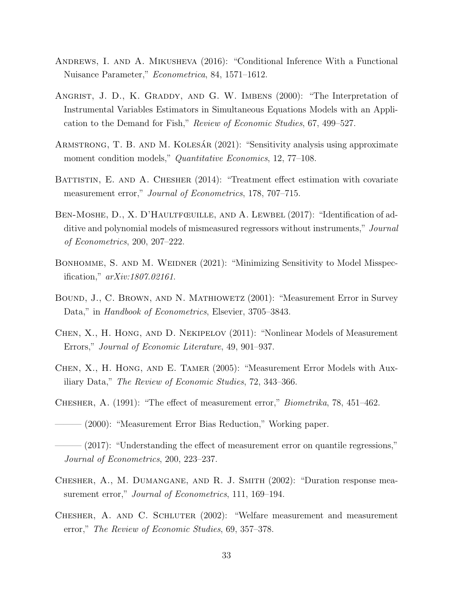- <span id="page-32-12"></span>Andrews, I. and A. Mikusheva (2016): "Conditional Inference With a Functional Nuisance Parameter," Econometrica, 84, 1571–1612.
- <span id="page-32-13"></span>ANGRIST, J. D., K. GRADDY, AND G. W. IMBENS (2000): "The Interpretation of Instrumental Variables Estimators in Simultaneous Equations Models with an Application to the Demand for Fish," Review of Economic Studies, 67, 499–527.
- <span id="page-32-10"></span>ARMSTRONG, T. B. AND M. KOLESAR  $(2021)$ : "Sensitivity analysis using approximate moment condition models," *Quantitative Economics*, 12, 77–108.
- <span id="page-32-7"></span>BATTISTIN, E. AND A. CHESHER (2014): "Treatment effect estimation with covariate measurement error," Journal of Econometrics, 178, 707–715.
- <span id="page-32-9"></span>BEN-MOSHE, D., X. D'HAULTFŒUILLE, AND A. LEWBEL (2017): "Identification of additive and polynomial models of mismeasured regressors without instruments," Journal of Econometrics, 200, 207–222.
- <span id="page-32-11"></span>BONHOMME, S. AND M. WEIDNER (2021): "Minimizing Sensitivity to Model Misspecification," arXiv:1807.02161.
- <span id="page-32-1"></span>Bound, J., C. Brown, and N. Mathiowetz (2001): "Measurement Error in Survey Data," in *Handbook of Econometrics*, Elsevier, 3705–3843.
- <span id="page-32-2"></span>Chen, X., H. Hong, and D. Nekipelov (2011): "Nonlinear Models of Measurement Errors," Journal of Economic Literature, 49, 901–937.
- <span id="page-32-0"></span>Chen, X., H. Hong, and E. Tamer (2005): "Measurement Error Models with Auxiliary Data," The Review of Economic Studies, 72, 343–366.
- <span id="page-32-4"></span>Chesher, A. (1991): "The effect of measurement error," Biometrika, 78, 451–462.

<span id="page-32-3"></span>——— (2000): "Measurement Error Bias Reduction," Working paper.

- <span id="page-32-8"></span> $-(2017)$ : "Understanding the effect of measurement error on quantile regressions," Journal of Econometrics, 200, 223–237.
- <span id="page-32-6"></span>Chesher, A., M. Dumangane, and R. J. Smith (2002): "Duration response measurement error," *Journal of Econometrics*, 111, 169–194.
- <span id="page-32-5"></span>CHESHER, A. AND C. SCHLUTER (2002): "Welfare measurement and measurement error," The Review of Economic Studies, 69, 357–378.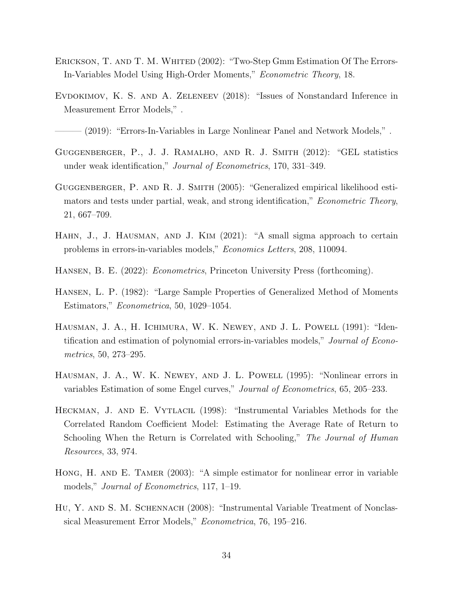- <span id="page-33-6"></span>ERICKSON, T. AND T. M. WHITED (2002): "Two-Step Gmm Estimation Of The Errors-In-Variables Model Using High-Order Moments," Econometric Theory, 18.
- <span id="page-33-7"></span>EVDOKIMOV, K. S. AND A. ZELENEEV (2018): "Issues of Nonstandard Inference in Measurement Error Models," .

<span id="page-33-8"></span> $(2019)$ : "Errors-In-Variables in Large Nonlinear Panel and Network Models,".

- <span id="page-33-11"></span>Guggenberger, P., J. J. Ramalho, and R. J. Smith (2012): "GEL statistics under weak identification," Journal of Econometrics, 170, 331–349.
- <span id="page-33-10"></span>GUGGENBERGER, P. AND R. J. SMITH (2005): "Generalized empirical likelihood estimators and tests under partial, weak, and strong identification," Econometric Theory, 21, 667–709.
- <span id="page-33-5"></span>HAHN, J., J. HAUSMAN, AND J. KIM (2021): "A small sigma approach to certain problems in errors-in-variables models," Economics Letters, 208, 110094.
- <span id="page-33-12"></span>Hansen, B. E. (2022): Econometrics, Princeton University Press (forthcoming).
- <span id="page-33-9"></span>Hansen, L. P. (1982): "Large Sample Properties of Generalized Method of Moments Estimators," Econometrica, 50, 1029–1054.
- <span id="page-33-0"></span>Hausman, J. A., H. Ichimura, W. K. Newey, and J. L. Powell (1991): "Identification and estimation of polynomial errors-in-variables models," Journal of Econometrics, 50, 273–295.
- <span id="page-33-1"></span>HAUSMAN, J. A., W. K. NEWEY, AND J. L. POWELL (1995): "Nonlinear errors in variables Estimation of some Engel curves," Journal of Econometrics, 65, 205–233.
- <span id="page-33-3"></span>HECKMAN, J. AND E. VYTLACIL (1998): "Instrumental Variables Methods for the Correlated Random Coefficient Model: Estimating the Average Rate of Return to Schooling When the Return is Correlated with Schooling," The Journal of Human Resources, 33, 974.
- <span id="page-33-4"></span>HONG, H. AND E. TAMER (2003): "A simple estimator for nonlinear error in variable models," Journal of Econometrics, 117, 1–19.
- <span id="page-33-2"></span>Hu, Y. and S. M. Schennach (2008): "Instrumental Variable Treatment of Nonclassical Measurement Error Models," Econometrica, 76, 195–216.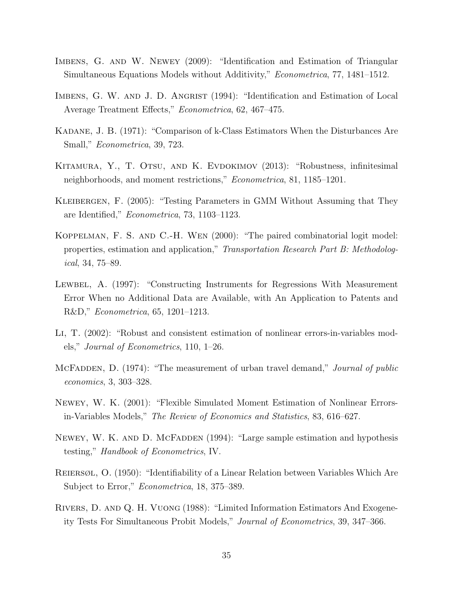- <span id="page-34-3"></span>IMBENS, G. AND W. NEWEY (2009): "Identification and Estimation of Triangular Simultaneous Equations Models without Additivity," Econometrica, 77, 1481–1512.
- <span id="page-34-2"></span>IMBENS, G. W. AND J. D. ANGRIST (1994): "Identification and Estimation of Local Average Treatment Effects," Econometrica, 62, 467–475.
- <span id="page-34-5"></span>Kadane, J. B. (1971): "Comparison of k-Class Estimators When the Disturbances Are Small," Econometrica, 39, 723.
- <span id="page-34-8"></span>KITAMURA, Y., T. OTSU, AND K. EVDOKIMOV (2013): "Robustness, infinitesimal neighborhoods, and moment restrictions," Econometrica, 81, 1185–1201.
- <span id="page-34-9"></span>Kleibergen, F. (2005): "Testing Parameters in GMM Without Assuming that They are Identified," Econometrica, 73, 1103–1123.
- <span id="page-34-12"></span>Koppelman, F. S. and C.-H. Wen (2000): "The paired combinatorial logit model: properties, estimation and application," Transportation Research Part B: Methodological, 34, 75–89.
- <span id="page-34-7"></span>LEWBEL, A. (1997): "Constructing Instruments for Regressions With Measurement Error When no Additional Data are Available, with An Application to Patents and R&D," Econometrica, 65, 1201–1213.
- <span id="page-34-1"></span>Li, T. (2002): "Robust and consistent estimation of nonlinear errors-in-variables models," Journal of Econometrics, 110, 1–26.
- <span id="page-34-10"></span>MCFADDEN, D. (1974): "The measurement of urban travel demand," *Journal of public* economics, 3, 303–328.
- <span id="page-34-0"></span>Newey, W. K. (2001): "Flexible Simulated Moment Estimation of Nonlinear Errorsin-Variables Models," The Review of Economics and Statistics, 83, 616–627.
- <span id="page-34-11"></span>NEWEY, W. K. AND D. MCFADDEN (1994): "Large sample estimation and hypothesis testing," Handbook of Econometrics, IV.
- <span id="page-34-6"></span>Reiersøl, O. (1950): "Identifiability of a Linear Relation between Variables Which Are Subject to Error," *Econometrica*, 18, 375–389.
- <span id="page-34-4"></span>Rivers, D. and Q. H. Vuong (1988): "Limited Information Estimators And Exogeneity Tests For Simultaneous Probit Models," Journal of Econometrics, 39, 347–366.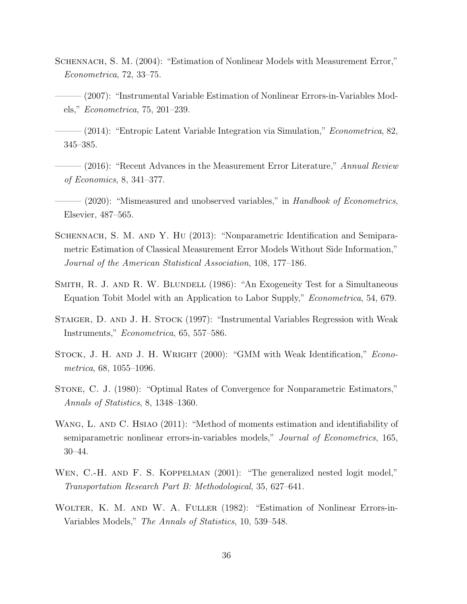- <span id="page-35-1"></span>SCHENNACH, S. M. (2004): "Estimation of Nonlinear Models with Measurement Error," Econometrica, 72, 33–75.
- <span id="page-35-0"></span>– (2007): "Instrumental Variable Estimation of Nonlinear Errors-in-Variables Models," Econometrica, 75, 201–239.
- <span id="page-35-2"></span> $(2014)$ : "Entropic Latent Variable Integration via Simulation," *Econometrica*, 82, 345–385.
- <span id="page-35-4"></span> $-$  (2016): "Recent Advances in the Measurement Error Literature," Annual Review of Economics, 8, 341–377.
- <span id="page-35-5"></span>- (2020): "Mismeasured and unobserved variables," in Handbook of Econometrics, Elsevier, 487–565.
- <span id="page-35-6"></span>Schennach, S. M. and Y. Hu (2013): "Nonparametric Identification and Semiparametric Estimation of Classical Measurement Error Models Without Side Information," Journal of the American Statistical Association, 108, 177–186.
- <span id="page-35-8"></span>SMITH, R. J. AND R. W. BLUNDELL (1986): "An Exogeneity Test for a Simultaneous Equation Tobit Model with an Application to Labor Supply," Econometrica, 54, 679.
- <span id="page-35-3"></span>STAIGER, D. AND J. H. STOCK (1997): "Instrumental Variables Regression with Weak Instruments," Econometrica, 65, 557–586.
- <span id="page-35-10"></span>STOCK, J. H. AND J. H. WRIGHT (2000): "GMM with Weak Identification," *Econo*metrica, 68, 1055–1096.
- <span id="page-35-11"></span>Stone, C. J. (1980): "Optimal Rates of Convergence for Nonparametric Estimators," Annals of Statistics, 8, 1348–1360.
- <span id="page-35-7"></span>WANG, L. AND C. HSIAO (2011): "Method of moments estimation and identifiability of semiparametric nonlinear errors-in-variables models," Journal of Econometrics, 165, 30–44.
- <span id="page-35-12"></span>WEN, C.-H. AND F. S. KOPPELMAN (2001): "The generalized nested logit model," Transportation Research Part B: Methodological, 35, 627–641.
- <span id="page-35-9"></span>WOLTER, K. M. AND W. A. FULLER (1982): "Estimation of Nonlinear Errors-in-Variables Models," The Annals of Statistics, 10, 539–548.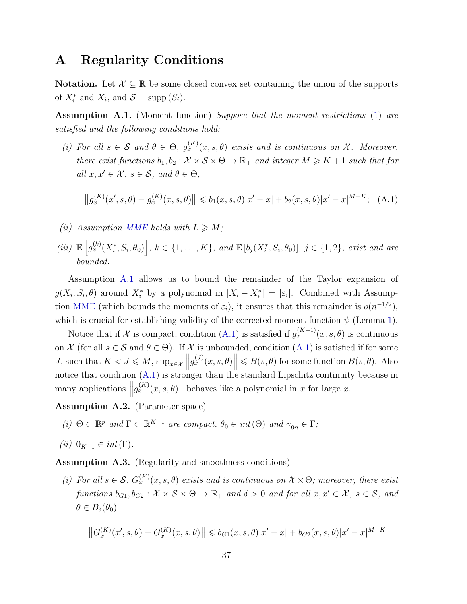### <span id="page-36-0"></span>A Regularity Conditions

**Notation.** Let  $\mathcal{X} \subseteq \mathbb{R}$  be some closed convex set containing the union of the supports of  $X_i^*$  and  $X_i$ , and  $S = \text{supp}(S_i)$ .

<span id="page-36-1"></span>Assumption A.1. (Moment function) Suppose that the moment restrictions [\(1\)](#page-1-1) are satisfied and the following conditions hold:

<span id="page-36-6"></span>(i) For all  $s \in \mathcal{S}$  and  $\theta \in \Theta$ ,  $g_x^{(K)}(x, s, \theta)$  exists and is continuous on X. Moreover, there exist functions  $b_1, b_2 : \mathcal{X} \times \mathcal{S} \times \Theta \to \mathbb{R}_+$  and integer  $M \geq K + 1$  such that for all  $x, x' \in \mathcal{X}, s \in \mathcal{S}, and \theta \in \Theta,$ 

<span id="page-36-2"></span>
$$
||g_x^{(K)}(x',s,\theta) - g_x^{(K)}(x,s,\theta)|| \le b_1(x,s,\theta)|x'-x| + b_2(x,s,\theta)|x'-x|^{M-K}; \quad \text{(A.1)}
$$

- <span id="page-36-8"></span>(ii) Assumption [MME](#page-10-1) holds with  $L \geqslant M$ ;
- <span id="page-36-9"></span>(iii)  $\mathbb{E}\left[g_{x}^{(k)}(X_{i}^{*},S_{i},\theta_{0})\right], k \in \{1,\ldots,K\}, \text{ and } \mathbb{E}\left[b_{j}(X_{i}^{*},S_{i},\theta_{0})\right], j \in \{1,2\}, \text{ exist and are}$ bounded.

Assumption [A.1](#page-36-1) allows us to bound the remainder of the Taylor expansion of  $g(X_i, S_i, \theta)$  around  $X_i^*$  by a polynomial in  $|X_i - X_i^*| = |\varepsilon_i|$ . Combined with Assump-tion [MME](#page-10-1) (which bounds the moments of  $\varepsilon_i$ ), it ensures that this remainder is  $o(n^{-1/2})$ , which is crucial for establishing validity of the corrected moment function  $\psi$  (Lemma [1\)](#page-11-1).

Notice that if X is compact, condition [\(A.1\)](#page-36-2) is satisfied if  $g_x^{(K+1)}(x, s, \theta)$  is continuous on  $\mathcal X$  (for all  $s \in \mathcal S$  and  $\theta \in \Theta$ ). If  $\mathcal X$  is unbounded, condition  $(A.1)$  is satisfied if for some J, such that  $K < J \leq M$ ,  $\sup_{x \in \mathcal{X}} ||g_x^{(J)}(x, s, \theta)|| \leq B(s, \theta)$  for some function  $B(s, \theta)$ . Also notice that condition [\(A.1\)](#page-36-2) is stronger than the standard Lipschitz continuity because in many applications  $||g_x^{(K)}(x, s, \theta)||$  behaves like a polynomial in x for large x.

<span id="page-36-10"></span><span id="page-36-3"></span>Assumption A.2. (Parameter space)

(i)  $\Theta \subset \mathbb{R}^p$  and  $\Gamma \subset \mathbb{R}^{K-1}$  are compact,  $\theta_0 \in int(\Theta)$  and  $\gamma_{0n} \in \Gamma$ ;

<span id="page-36-7"></span>
$$
(ii) 0_{K-1} \in int(\Gamma).
$$

<span id="page-36-4"></span>Assumption A.3. (Regularity and smoothness conditions)

<span id="page-36-5"></span>(i) For all  $s \in S$ ,  $G_x^{(K)}(x,s,\theta)$  exists and is continuous on  $\mathcal{X} \times \Theta$ ; moreover, there exist functions  $b_{G1}, b_{G2} : \mathcal{X} \times \mathcal{S} \times \Theta \to \mathbb{R}_+$  and  $\delta > 0$  and for all  $x, x' \in \mathcal{X}$ ,  $s \in \mathcal{S}$ , and  $\theta \in B_{\delta}(\theta_0)$ 

$$
||G_x^{(K)}(x', s, \theta) - G_x^{(K)}(x, s, \theta)|| \leq b_{G1}(x, s, \theta) |x' - x| + b_{G2}(x, s, \theta) |x' - x|^{M-K}
$$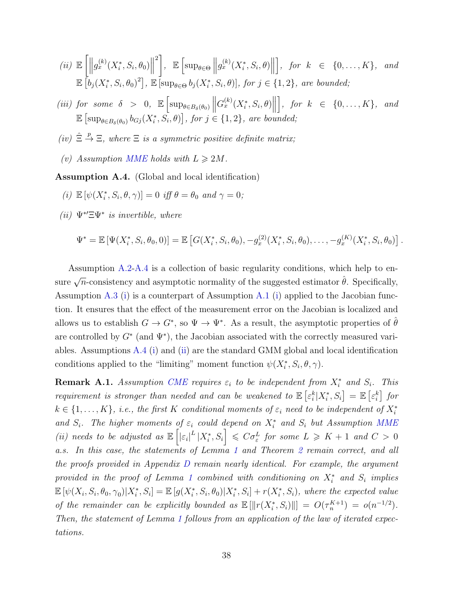<span id="page-37-4"></span>
$$
(ii) \mathbb{E}\left[\left\|g_x^{(k)}(X_i^*, S_i, \theta_0)\right\|^2\right], \mathbb{E}\left[\sup_{\theta \in \Theta} \left\|g_x^{(k)}(X_i^*, S_i, \theta)\right\|\right], \text{ for } k \in \{0, \dots, K\}, \text{ and}
$$
  

$$
\mathbb{E}\left[b_j(X_i^*, S_i, \theta_0)^2\right], \mathbb{E}\left[\sup_{\theta \in \Theta} b_j(X_i^*, S_i, \theta)\right], \text{ for } j \in \{1, 2\}, \text{ are bounded};
$$

- <span id="page-37-3"></span>(iii) for some  $\delta > 0$ ,  $\mathbb{E} \left[ \sup_{\theta \in B_{\delta}(\theta_0)} \right]$  $G_x^{(k)}(X_i^*, S_i, \theta)$  $\Big\}, \text{ for } k \in \{0, \ldots, K\}, \text{ and}$  $\mathbb{E}\left[\sup_{\theta\in B_{\delta}(\theta_0)}b_{Gj}(X_i^*,\overline{S}_i,\theta)\right],$  for  $j\in\{1,2\},$  are bounded;
- <span id="page-37-5"></span>(iv)  $\hat{\Xi} \stackrel{p}{\to} \Xi$ , where  $\Xi$  is a symmetric positive definite matrix;
- <span id="page-37-6"></span>(v) Assumption [MME](#page-10-1) holds with  $L \geq 2M$ .

<span id="page-37-0"></span>Assumption A.4. (Global and local identification)

- <span id="page-37-1"></span>(i)  $\mathbb{E}[\psi(X_i^*, S_i, \theta, \gamma)] = 0$  iff  $\theta = \theta_0$  and  $\gamma = 0$ ;
- <span id="page-37-2"></span>(ii)  $\Psi^* \Xi \Psi^*$  is invertible, where

$$
\Psi^* = \mathbb{E}\left[\Psi(X_i^*, S_i, \theta_0, 0)\right] = \mathbb{E}\left[G(X_i^*, S_i, \theta_0), -g_x^{(2)}(X_i^*, S_i, \theta_0), \dots, -g_x^{(K)}(X_i^*, S_i, \theta_0)\right].
$$

Assumption [A.2-](#page-36-3)[A.4](#page-37-0) is a collection of basic regularity conditions, which help to ensure  $\sqrt{n}$ -consistency and asymptotic normality of the suggested estimator  $\hat{\theta}$ . Specifically, Assumption [A.3](#page-36-4) [\(i\)](#page-36-5) is a counterpart of Assumption [A.1](#page-36-1) [\(i\)](#page-36-6) applied to the Jacobian function. It ensures that the effect of the measurement error on the Jacobian is localized and allows us to establish  $G \to G^*$ , so  $\Psi \to \Psi^*$ . As a result, the asymptotic properties of  $\hat{\theta}$ are controlled by  $G^*$  (and  $\Psi^*$ ), the Jacobian associated with the correctly measured variables. Assumptions [A.4](#page-37-0) [\(i\)](#page-37-1) and [\(ii\)](#page-37-2) are the standard GMM global and local identification conditions applied to the "limiting" moment function  $\psi(X_i^*, S_i, \theta, \gamma)$ .

**Remark A.1.** Assumption [CME](#page-11-0) requires  $\varepsilon_i$  to be independent from  $X_i^*$  and  $S_i$ . This requirement is stronger than needed and can be weakened to  $\mathbb{E}\left[\varepsilon_i^k|X_i^*,S_i\right] = \mathbb{E}\left[\varepsilon_i^k\right]$  for  $k \in \{1, \ldots, K\}$ , i.e., the first K conditional moments of  $\varepsilon_i$  need to be independent of  $X_i^*$ and  $S_i$ . The higher moments of  $\varepsilon_i$  could depend on  $X_i^*$  and  $S_i$  but Assumption [MME](#page-10-1) (ii) needs to be adjusted as  $\mathbb{E}\left[\left|\varepsilon_{i}\right|^{L}|X_{i}^{*},S_{i}\right] \leqslant C\sigma_{\varepsilon}^{L}$  for some  $L \geqslant K+1$  and  $C > 0$ a.s. In this case, the statements of Lemma [1](#page-11-1) and Theorem [2](#page-12-0) remain correct, and all the proofs provided in Appendix [D](#page-41-0) remain nearly identical. For example, the argument provided in the proof of Lemma [1](#page-11-1) combined with conditioning on  $X_i^*$  and  $S_i$  implies  $\mathbb{E}[\psi(X_i, S_i, \theta_0, \gamma_0)|X_i^*, S_i] = \mathbb{E}[g(X_i^*, S_i, \theta_0)|X_i^*, S_i] + r(X_i^*, S_i)$ , where the expected value of the remainder can be explicitly bounded as  $\mathbb{E}[\Vert r(X_i^*, S_i) \Vert] = O(\tau_n^{K+1}) = o(n^{-1/2}).$ Then, the statement of Lemma [1](#page-11-1) follows from an application of the law of iterated expectations.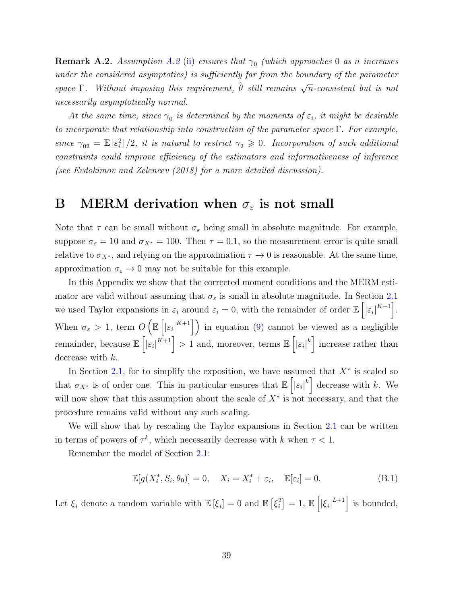**Remark [A.2](#page-36-3).** Assumption A.2 [\(ii\)](#page-36-7) ensures that  $\gamma_0$  (which approaches 0 as n increases under the considered asymptotics) is sufficiently far from the boundary of the parameter space  $\Gamma$ . Without imposing this requirement,  $\hat{\theta}$  still remains  $\sqrt{n}$ -consistent but is not necessarily asymptotically normal.

At the same time, since  $\gamma_0$  is determined by the moments of  $\varepsilon_i$ , it might be desirable to incorporate that relationship into construction of the parameter space  $\Gamma$ . For example, since  $\gamma_{02} = \mathbb{E} \left[ \varepsilon_i^2 \right] / 2$ , it is natural to restrict  $\gamma_2 \geq 0$ . Incorporation of such additional constraints could improve efficiency of the estimators and informativeness of inference (see [Evdokimov and Zeleneev](#page-33-7) [\(2018\)](#page-33-7) for a more detailed discussion).

### <span id="page-38-0"></span>B MERM derivation when  $\sigma_{\varepsilon}$  is not small

Note that  $\tau$  can be small without  $\sigma_{\varepsilon}$  being small in absolute magnitude. For example, suppose  $\sigma_{\varepsilon} = 10$  and  $\sigma_{X^*} = 100$ . Then  $\tau = 0.1$ , so the measurement error is quite small relative to  $\sigma_{X^*}$ , and relying on the approximation  $\tau \to 0$  is reasonable. At the same time, approximation  $\sigma_{\varepsilon} \to 0$  may not be suitable for this example.

In this Appendix we show that the corrected moment conditions and the MERM estimator are valid without assuming that  $\sigma_{\varepsilon}$  is small in absolute magnitude. In Section [2.1](#page-7-1) we used Taylor expansions in  $\varepsilon_i$  around  $\varepsilon_i = 0$ , with the remainder of order  $\mathbb{E}\left[|\varepsilon_i|^{K+1}\right]$ . When  $\sigma_{\varepsilon} > 1$ , term  $O\left(\mathbb{E}\left[|\varepsilon_i|^{K+1}\right]\right)$  in equation [\(9\)](#page-10-2) cannot be viewed as a negligible remainder, because  $\mathbb{E}\left[|\varepsilon_i|^{K+1}\right] > 1$  and, moreover, terms  $\mathbb{E}\left[|\varepsilon_i|^k\right]$  increase rather than decrease with k.

In Section [2.1,](#page-7-1) for to simplify the exposition, we have assumed that  $X^*$  is scaled so that  $\sigma_{X^*}$  is of order one. This in particular ensures that  $\mathbb{E}\left[\left|\varepsilon_i\right|^k\right]$  decrease with k. We will now show that this assumption about the scale of  $X^*$  is not necessary, and that the procedure remains valid without any such scaling.

We will show that by rescaling the Taylor expansions in Section [2.1](#page-7-1) can be written in terms of powers of  $\tau^k$ , which necessarily decrease with k when  $\tau < 1$ .

Remember the model of Section [2.1:](#page-7-1)

<span id="page-38-1"></span>
$$
\mathbb{E}[g(X_i^*, S_i, \theta_0)] = 0, \quad X_i = X_i^* + \varepsilon_i, \quad \mathbb{E}[\varepsilon_i] = 0.
$$
 (B.1)

Let  $\xi_i$  denote a random variable with  $\mathbb{E}[\xi_i] = 0$  and  $\mathbb{E}[\xi_i^2]$  $\begin{bmatrix} a \\ i \end{bmatrix} = 1, \mathbb{E}\left[ \left| \xi_i \right|^{L+1} \right]$  is bounded,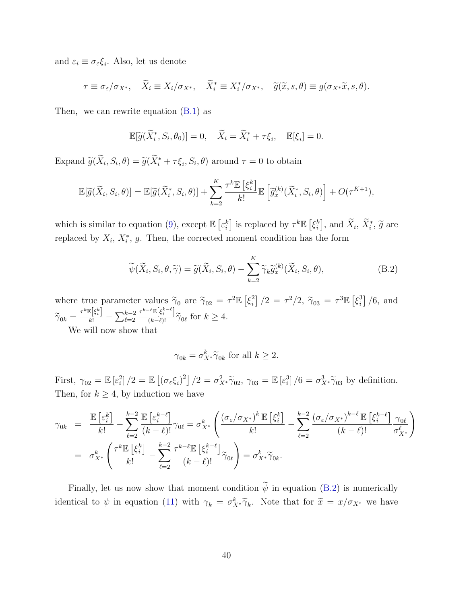and  $\varepsilon_i \equiv \sigma_{\varepsilon} \xi_i$ . Also, let us denote

$$
\tau \equiv \sigma_{\varepsilon}/\sigma_{X^*}, \quad \widetilde{X}_i \equiv X_i/\sigma_{X^*}, \quad \widetilde{X}_i^* \equiv X_i^*/\sigma_{X^*}, \quad \widetilde{g}(\widetilde{x}, s, \theta) \equiv g(\sigma_{X^*}\widetilde{x}, s, \theta).
$$

Then, we can rewrite equation  $(B.1)$  as

$$
\mathbb{E}[\widetilde{g}(\widetilde{X}_i^*, S_i, \theta_0)] = 0, \quad \widetilde{X}_i = \widetilde{X}_i^* + \tau \xi_i, \quad \mathbb{E}[\xi_i] = 0.
$$

Expand  $\widetilde{g}(\widetilde{X}_i, S_i, \theta) = \widetilde{g}(\widetilde{X}_i^* + \tau \xi_i, S_i, \theta)$  around  $\tau = 0$  to obtain

$$
\mathbb{E}[\widetilde{g}(\widetilde{X}_i, S_i, \theta)] = \mathbb{E}[\widetilde{g}(\widetilde{X}_i^*, S_i, \theta)] + \sum_{k=2}^K \frac{\tau^k \mathbb{E}[\xi_i^k]}{k!} \mathbb{E}[\widetilde{g}_x^{(k)}(\widetilde{X}_i^*, S_i, \theta)] + O(\tau^{K+1}),
$$

which is similar to equation [\(9\)](#page-10-2), except  $\mathbb{E}\left[\varepsilon_{i}^{k}\right]$  is replaced by  $\tau^{k}\mathbb{E}\left[\xi_{i}^{k}\right]$  $\left[ \begin{smallmatrix} k \\ i \end{smallmatrix} \right]$ , and  $\widetilde{X}_i$ ,  $\widetilde{X}_i^*, \widetilde{g}$  are replaced by  $X_i$ ,  $X_i^*$ , g. Then, the corrected moment condition has the form

<span id="page-39-0"></span>
$$
\widetilde{\psi}(\widetilde{X}_i, S_i, \theta, \widetilde{\gamma}) = \widetilde{g}(\widetilde{X}_i, S_i, \theta) - \sum_{k=2}^K \widetilde{\gamma}_k \widetilde{g}_x^{(k)}(\widetilde{X}_i, S_i, \theta),
$$
\n(B.2)

where true parameter values  $\widetilde{\gamma}_0$  are  $\widetilde{\gamma}_{02} = \tau^2 \mathbb{E} \left[ \xi_i^2 \right]$  $\int_{i}^{2}$ ] /2 =  $\tau^{2}/2$ ,  $\widetilde{\gamma}_{03}$  =  $\tau^{3} \mathbb{E}$  [ $\xi_{i}^{3}$  $\binom{3}{i}$  /6, and  $\widetilde{\gamma}_{0k} = \frac{\tau^k \mathbb{E} \left[ \xi_i^k \right]}{k!} - \sum_{\ell=2}^{k-2}$  $\frac{\tau^{k-\ell}\mathbb{E}[\xi_i^{k-\ell}]}{(k-\ell)!} \widetilde{\gamma}_{0\ell}$  for  $k \geq 4$ .

We will now show that

$$
\gamma_{0k} = \sigma_{X^*}^k \widetilde{\gamma}_{0k} \text{ for all } k \ge 2.
$$

First,  $\gamma_{02} = \mathbb{E} \left[ \varepsilon_i^2 \right] / 2 = \mathbb{E} \left[ \left( \sigma_\varepsilon \xi_i \right)^2 \right] / 2 = \sigma_{X^*}^2 \widetilde{\gamma}_{02}, \ \gamma_{03} = \mathbb{E} \left[ \varepsilon_i^3 \right] / 6 = \sigma_{X^*}^3 \widetilde{\gamma}_{03}$  by definition. Then, for  $k \geq 4$ , by induction we have

$$
\gamma_{0k} = \frac{\mathbb{E}\left[\varepsilon_{i}^{k}\right]}{k!} - \sum_{\ell=2}^{k-2} \frac{\mathbb{E}\left[\varepsilon_{i}^{k-\ell}\right]}{(k-\ell)!} \gamma_{0\ell} = \sigma_{X^{*}}^{k} \left(\frac{(\sigma_{\varepsilon}/\sigma_{X^{*}})^{k} \mathbb{E}\left[\xi_{i}^{k}\right]}{k!} - \sum_{\ell=2}^{k-2} \frac{(\sigma_{\varepsilon}/\sigma_{X^{*}})^{k-\ell} \mathbb{E}\left[\xi_{i}^{k-\ell}\right]}{(k-\ell)!} \frac{\gamma_{0\ell}}{\sigma_{X^{*}}^{\ell}}\right)
$$

$$
= \sigma_{X^{*}}^{k} \left(\frac{\tau^{k} \mathbb{E}\left[\xi_{i}^{k}\right]}{k!} - \sum_{\ell=2}^{k-2} \frac{\tau^{k-\ell} \mathbb{E}\left[\xi_{i}^{k-\ell}\right]}{(k-\ell)!} \tilde{\gamma}_{0\ell}\right) = \sigma_{X^{*}}^{k} \tilde{\gamma}_{0k}.
$$

Finally, let us now show that moment condition  $\widetilde{\psi}$  in equation [\(B.2\)](#page-39-0) is numerically identical to  $\psi$  in equation [\(11\)](#page-11-2) with  $\gamma_k = \sigma_{X^*}^k \tilde{\gamma}_k$ . Note that for  $\tilde{x} = x/\sigma_{X^*}$  we have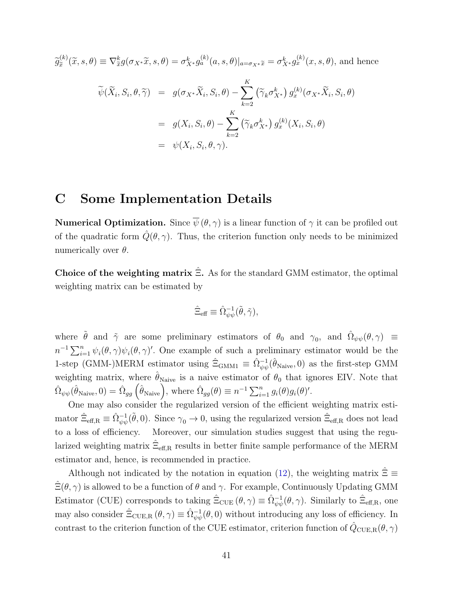$\widetilde{g}_{\widetilde{x}}^{(k)}$  $\begin{aligned} \n\tilde{\mathbf{x}}^{(k)}(\tilde{x},s,\theta) \equiv \nabla_{\tilde{x}}^k g(\sigma_{X^*}\tilde{x},s,\theta) = \sigma_{X^*}^k g_a^{(k)}(a,s,\theta)|_{a=\sigma_{X^*}\tilde{x}} = \sigma_{X^*}^k g_x^{(k)}(x,s,\theta), \text{ and hence} \n\end{aligned}$ 

$$
\widetilde{\psi}(\widetilde{X}_i, S_i, \theta, \widetilde{\gamma}) = g(\sigma_{X^*}\widetilde{X}_i, S_i, \theta) - \sum_{k=2}^K \left(\widetilde{\gamma}_k \sigma_{X^*}^k\right) g_x^{(k)}(\sigma_{X^*}\widetilde{X}_i, S_i, \theta)
$$
\n
$$
= g(X_i, S_i, \theta) - \sum_{k=2}^K \left(\widetilde{\gamma}_k \sigma_{X^*}^k\right) g_x^{(k)}(X_i, S_i, \theta)
$$
\n
$$
= \psi(X_i, S_i, \theta, \gamma).
$$

### <span id="page-40-0"></span>C Some Implementation Details

**Numerical Optimization.** Since  $\overline{\psi}(\theta, \gamma)$  is a linear function of  $\gamma$  it can be profiled out of the quadratic form  $\hat{Q}(\theta, \gamma)$ . Thus, the criterion function only needs to be minimized numerically over  $\theta$ .

Choice of the weighting matrix  $\hat{\Xi}$ . As for the standard GMM estimator, the optimal weighting matrix can be estimated by

$$
\hat{\Xi}_{\text{eff}} \equiv \hat{\Omega}_{\psi\psi}^{-1}(\tilde{\theta}, \tilde{\gamma}),
$$

where  $\tilde{\theta}$  and  $\tilde{\gamma}$  are some preliminary estimators of  $\theta_0$  and  $\gamma_0$ , and  $\hat{\Omega}_{\psi\psi}(\theta,\gamma) \equiv$  $n^{-1} \sum_{i=1}^{n} \psi_i(\theta, \gamma) \psi_i(\theta, \gamma)'$ . One example of such a preliminary estimator would be the 1-step (GMM-)MERM estimator using  $\hat{\Xi}_{\text{GMM1}} \equiv \hat{\Omega}_{\psi\psi}^{-1}(\hat{\theta}_{\text{Naive}},0)$  as the first-step GMM weighting matrix, where  $\hat{\theta}_{\text{Naive}}$  is a naive estimator of  $\theta_0$  that ignores EIV. Note that  $\hat{\Omega}_{\psi\psi}(\hat{\theta}_{\text{Naive}},0) = \hat{\Omega}_{gg}(\hat{\theta}_{\text{Naive}}), \text{ where } \hat{\Omega}_{gg}(\theta) \equiv n^{-1} \sum_{i=1}^{n} g_i(\theta) g_i(\theta)'$ .

One may also consider the regularized version of the efficient weighting matrix estimator  $\hat{\Xi}_{\text{eff},\text{R}} \equiv \hat{\Omega}_{\psi\psi}^{-1}(\tilde{\theta},0)$ . Since  $\gamma_0 \to 0$ , using the regularized version  $\hat{\Xi}_{\text{eff},\text{R}}$  does not lead to a loss of efficiency. Moreover, our simulation studies suggest that using the regularized weighting matrix  $\hat{\Xi}_{\text{eff,R}}$  results in better finite sample performance of the MERM estimator and, hence, is recommended in practice.

Although not indicated by the notation in equation [\(12\)](#page-12-2), the weighting matrix  $\hat{\Xi} \equiv$  $\hat{\Xi}(\theta, \gamma)$  is allowed to be a function of  $\theta$  and  $\gamma$ . For example, Continuously Updating GMM Estimator (CUE) corresponds to taking  $\hat{\Xi}_{\text{CUE}}(\theta,\gamma) \equiv \hat{\Omega}_{\psi\psi}^{-1}(\theta,\gamma)$ . Similarly to  $\hat{\Xi}_{\text{eff,R}}$ , one may also consider  $\hat{\Xi}_{\text{CUE,R}}(\theta,\gamma) \equiv \hat{\Omega}_{\psi\psi}^{-1}(\theta,0)$  without introducing any loss of efficiency. In contrast to the criterion function of the CUE estimator, criterion function of  $\hat{Q}_{\text{CUE,R}}(\theta, \gamma)$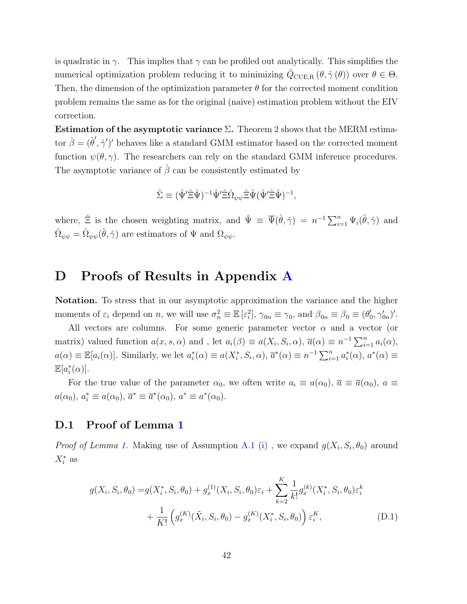is quadratic in  $\gamma$ . This implies that  $\gamma$  can be profiled out analytically. This simplifies the numerical optimization problem reducing it to minimizing  $\hat{Q}_{\text{CUE,R}}(\theta, \hat{\gamma}(\theta))$  over  $\theta \in \Theta$ . Then, the dimension of the optimization parameter  $\theta$  for the corrected moment condition problem remains the same as for the original (naive) estimation problem without the EIV correction.

Estimation of the asymptotic variance  $\Sigma$ . Theorem [2](#page-12-0) shows that the MERM estimator  $\hat{\beta} = (\hat{\theta}', \hat{\gamma}')'$  behaves like a standard GMM estimator based on the corrected moment function  $\psi(\theta, \gamma)$ . The researchers can rely on the standard GMM inference procedures. The asymptotic variance of  $\hat{\beta}$  can be consistently estimated by

$$
\hat{\Sigma} \equiv (\hat{\Psi}' \hat{\Xi} \hat{\Psi})^{-1} \hat{\Psi}' \hat{\Xi} \hat{\Omega}_{\psi \psi} \hat{\Xi} \hat{\Psi} (\hat{\Psi}' \hat{\Xi} \hat{\Psi})^{-1},
$$

where,  $\hat{\Xi}$  is the chosen weighting matrix, and  $\hat{\Psi} \equiv \overline{\Psi}(\hat{\theta}, \hat{\gamma}) = n^{-1} \sum_{i=1}^{n} \Psi_i(\hat{\theta}, \hat{\gamma})$  and  $\hat{\Omega}_{\psi\psi} = \hat{\Omega}_{\psi\psi}(\hat{\theta}, \hat{\gamma})$  are estimators of  $\Psi$  and  $\Omega_{\psi\psi}$ .

### <span id="page-41-0"></span>D Proofs of Results in Appendix [A](#page-36-0)

Notation. To stress that in our asymptotic approximation the variance and the higher moments of  $\varepsilon_i$  depend on n, we will use  $\sigma_n^2 \equiv \mathbb{E} [\varepsilon_i^2], \gamma_{0n} \equiv \gamma_0$ , and  $\beta_{0n} \equiv \beta_0 \equiv (\theta_0^{\prime})$  $'_{0}, \gamma'_{0n})'.$ 

All vectors are columns. For some generic parameter vector  $\alpha$  and a vector (or matrix) valued function  $a(x, s, \alpha)$  and, let  $a_i(\beta) \equiv a(X_i, S_i, \alpha)$ ,  $\overline{a}(\alpha) \equiv n^{-1} \sum_{i=1}^n a_i(\alpha)$ ,  $a(\alpha) \equiv \mathbb{E}[a_i(\alpha)]$ . Similarly, we let  $a_i^*(\alpha) \equiv a(X_i^*, S_i, \alpha)$ ,  $\overline{a}^*(\alpha) \equiv n^{-1} \sum_{i=1}^n a_i^*(\alpha)$ ,  $a^*(\alpha) \equiv a_i^*(\alpha)$  $\mathbb{E}[a_i^*(\alpha)].$ 

For the true value of the parameter  $\alpha_0$ , we often write  $a_i \equiv a(\alpha_0)$ ,  $\overline{a} \equiv \overline{a}(\alpha_0)$ ,  $a \equiv$  $a(\alpha_0), a_i^* \equiv a(\alpha_0), \overline{a}^* \equiv \overline{a}^*(\alpha_0), a^* \equiv a^*(\alpha_0).$ 

#### D.1 Proof of Lemma [1](#page-11-1)

*Proof of Lemma [1.](#page-11-1)* Making use of Assumption [A.1](#page-36-1) [\(i\)](#page-36-6), we expand  $g(X_i, S_i, \theta_0)$  around  $X_i^*$  as

<span id="page-41-1"></span>
$$
g(X_i, S_i, \theta_0) = g(X_i^*, S_i, \theta_0) + g_x^{(1)}(X_i, S_i, \theta_0) \varepsilon_i + \sum_{k=2}^K \frac{1}{k!} g_x^{(k)}(X_i^*, S_i, \theta_0) \varepsilon_i^k + \frac{1}{K!} \left( g_x^{(K)}(\tilde{X}_i, S_i, \theta_0) - g_x^{(K)}(X_i^*, S_i, \theta_0) \right) \varepsilon_i^K,
$$
\n(D.1)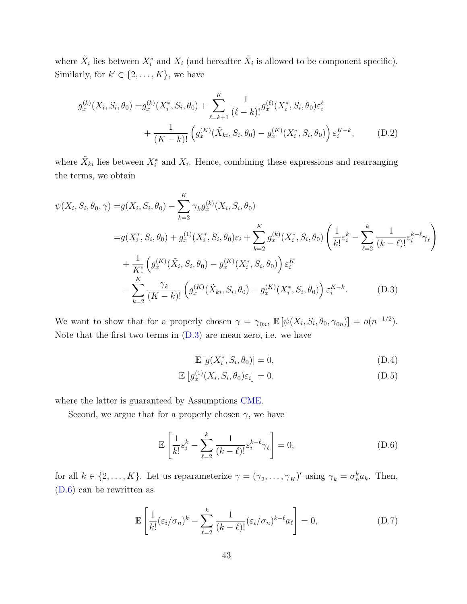where  $\tilde{X}_i$  lies between  $X_i^*$  and  $X_i$  (and hereafter  $\tilde{X}_i$  is allowed to be component specific). Similarly, for  $k' \in \{2, \ldots, K\}$ , we have

$$
g_x^{(k)}(X_i, S_i, \theta_0) = g_x^{(k)}(X_i^*, S_i, \theta_0) + \sum_{\ell=k+1}^K \frac{1}{(\ell-k)!} g_x^{(\ell)}(X_i^*, S_i, \theta_0) \varepsilon_i^{\ell} + \frac{1}{(K-k)!} \left( g_x^{(K)}(\tilde{X}_{ki}, S_i, \theta_0) - g_x^{(K)}(X_i^*, S_i, \theta_0) \right) \varepsilon_i^{K-k}, \tag{D.2}
$$

where  $\tilde{X}_{ki}$  lies between  $X_i^*$  and  $X_i$ . Hence, combining these expressions and rearranging the terms, we obtain

$$
\psi(X_i, S_i, \theta_0, \gamma) = g(X_i, S_i, \theta_0) - \sum_{k=2}^K \gamma_k g_x^{(k)}(X_i, S_i, \theta_0)
$$
  
\n
$$
= g(X_i^*, S_i, \theta_0) + g_x^{(1)}(X_i^*, S_i, \theta_0) \varepsilon_i + \sum_{k=2}^K g_x^{(k)}(X_i^*, S_i, \theta_0) \left(\frac{1}{k!} \varepsilon_i^k - \sum_{\ell=2}^k \frac{1}{(k-\ell)!} \varepsilon_i^{k-\ell} \gamma_\ell\right)
$$
  
\n
$$
+ \frac{1}{K!} \left(g_x^{(K)}(\tilde{X}_i, S_i, \theta_0) - g_x^{(K)}(X_i^*, S_i, \theta_0)\right) \varepsilon_i^K
$$
  
\n
$$
- \sum_{k=2}^K \frac{\gamma_k}{(K-k)!} \left(g_x^{(K)}(\tilde{X}_{ki}, S_i, \theta_0) - g_x^{(K)}(X_i^*, S_i, \theta_0)\right) \varepsilon_i^{K-k}.
$$
 (D.3)

We want to show that for a properly chosen  $\gamma = \gamma_{0n}$ ,  $\mathbb{E} [\psi(X_i, S_i, \theta_0, \gamma_{0n})] = o(n^{-1/2})$ . Note that the first two terms in [\(D.3\)](#page-42-0) are mean zero, i.e. we have

<span id="page-42-4"></span><span id="page-42-3"></span><span id="page-42-2"></span><span id="page-42-1"></span><span id="page-42-0"></span>
$$
\mathbb{E}\left[g(X_i^*, S_i, \theta_0)\right] = 0,\tag{D.4}
$$

$$
\mathbb{E}\left[g_x^{(1)}(X_i, S_i, \theta_0)\varepsilon_i\right] = 0,\tag{D.5}
$$

where the latter is guaranteed by Assumptions [CME.](#page-11-0)

Second, we argue that for a properly chosen  $\gamma$ , we have

$$
\mathbb{E}\left[\frac{1}{k!}\varepsilon_i^k - \sum_{\ell=2}^k \frac{1}{(k-\ell)!}\varepsilon_i^{k-\ell}\gamma_\ell\right] = 0,\tag{D.6}
$$

for all  $k \in \{2, \ldots, K\}$ . Let us reparameterize  $\gamma = (\gamma_2, \ldots, \gamma_K)'$  using  $\gamma_k = \sigma_n^k a_k$ . Then, [\(D.6\)](#page-42-1) can be rewritten as

$$
\mathbb{E}\left[\frac{1}{k!}(\varepsilon_i/\sigma_n)^k - \sum_{\ell=2}^k \frac{1}{(k-\ell)!}(\varepsilon_i/\sigma_n)^{k-\ell} a_\ell\right] = 0,
$$
\n(D.7)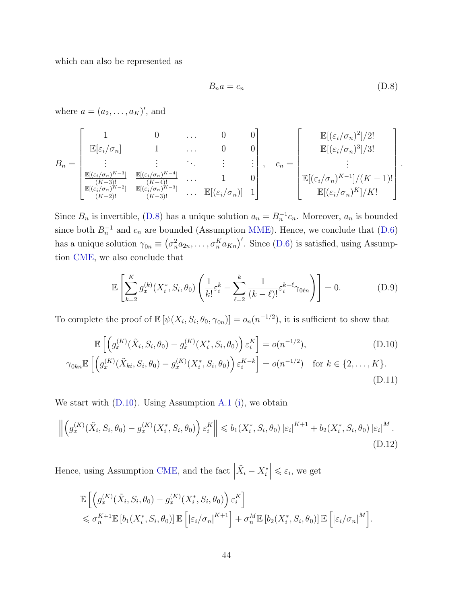which can also be represented as

$$
B_n a = c_n \tag{D.8}
$$

<span id="page-43-4"></span><span id="page-43-3"></span><span id="page-43-2"></span><span id="page-43-1"></span><span id="page-43-0"></span>.

where  $a = (a_2, \ldots, a_K)'$ , and

$$
B_n = \begin{bmatrix} 1 & 0 & \cdots & 0 & 0 \\ \mathbb{E}[\varepsilon_i/\sigma_n] & 1 & \cdots & 0 & 0 \\ \vdots & \vdots & \vdots & \ddots & \vdots & \vdots \\ \frac{\mathbb{E}[(\varepsilon_i/\sigma_n)^{K-3}]}{(K-3)!} & \frac{\mathbb{E}[(\varepsilon_i/\sigma_n)^{K-4}]}{(K-3)!} & \cdots & \mathbb{E}[(\varepsilon_i/\sigma_n)] \end{bmatrix}, \quad c_n = \begin{bmatrix} \mathbb{E}[(\varepsilon_i/\sigma_n)^2]/2! \\ \mathbb{E}[(\varepsilon_i/\sigma_n)^3]/3! \\ \vdots & \vdots \\ \mathbb{E}[(\varepsilon_i/\sigma_n)^{K-1}]/(K-1)! \\ \mathbb{E}[(\varepsilon_i/\sigma_n)^K]/K! \end{bmatrix}
$$

Since  $B_n$  is invertible, [\(D.8\)](#page-43-0) has a unique solution  $a_n = B_n^{-1}c_n$ . Moreover,  $a_n$  is bounded since both  $B_n^{-1}$  and  $c_n$  are bounded (Assumption [MME\)](#page-10-1). Hence, we conclude that [\(D.6\)](#page-42-1) has a unique solution  $\gamma_{0n} \equiv (\sigma_n^2 a_{2n}, \ldots, \sigma_n^K a_{Kn})'$ . Since [\(D.6\)](#page-42-1) is satisfied, using Assumption [CME,](#page-11-0) we also conclude that

$$
\mathbb{E}\left[\sum_{k=2}^{K} g_x^{(k)}(X_i^*, S_i, \theta_0) \left(\frac{1}{k!} \varepsilon_i^k - \sum_{\ell=2}^k \frac{1}{(k-\ell)!} \varepsilon_i^{k-\ell} \gamma_{0\ell n}\right)\right] = 0.
$$
 (D.9)

To complete the proof of  $\mathbb{E}[\psi(X_i, S_i, \theta_0, \gamma_{0n})] = o_n(n^{-1/2})$ , it is sufficient to show that

$$
\mathbb{E}\left[\left(g_x^{(K)}(\tilde{X}_i, S_i, \theta_0) - g_x^{(K)}(X_i^*, S_i, \theta_0)\right)\varepsilon_i^K\right] = o(n^{-1/2}),\tag{D.10}
$$

$$
\gamma_{0kn} \mathbb{E}\left[\left(g_x^{(K)}(\tilde{X}_{ki}, S_i, \theta_0) - g_x^{(K)}(X_i^*, S_i, \theta_0)\right) \varepsilon_i^{K-k}\right] = o(n^{-1/2}) \text{ for } k \in \{2, ..., K\}. \tag{D.11}
$$

We start with  $(D.10)$ . Using Assumption [A.1](#page-36-1) [\(i\)](#page-36-6), we obtain

$$
\left\| \left( g_x^{(K)}(\tilde{X}_i, S_i, \theta_0) - g_x^{(K)}(X_i^*, S_i, \theta_0) \right) \varepsilon_i^K \right\| \leq b_1(X_i^*, S_i, \theta_0) \left| \varepsilon_i \right|^{K+1} + b_2(X_i^*, S_i, \theta_0) \left| \varepsilon_i \right|^M. \tag{D.12}
$$

Hence, using Assumption [CME,](#page-11-0) and the fact  $\Big|$  $|\tilde{X}_i - X_i^*| \leq \varepsilon_i$ , we get

$$
\mathbb{E}\left[\left(g_x^{(K)}(\tilde{X}_i, S_i, \theta_0) - g_x^{(K)}(X_i^*, S_i, \theta_0)\right) \varepsilon_i^K\right] \leq \sigma_n^{K+1} \mathbb{E}\left[b_1(X_i^*, S_i, \theta_0)\right] \mathbb{E}\left[\left|\varepsilon_i/\sigma_n\right|^{K+1}\right] + \sigma_n^M \mathbb{E}\left[b_2(X_i^*, S_i, \theta_0)\right] \mathbb{E}\left[\left|\varepsilon_i/\sigma_n\right|^M\right].
$$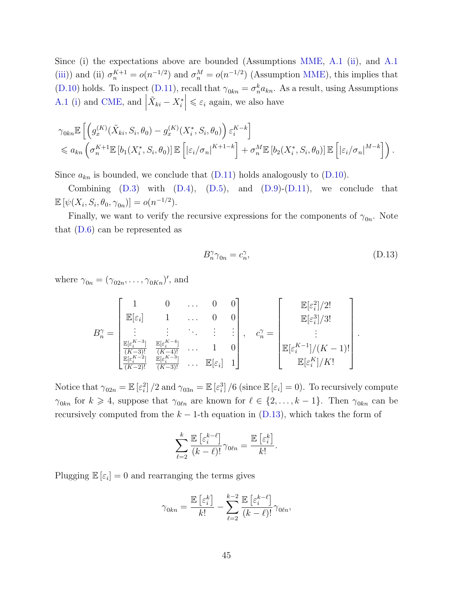Since (i) the expectations above are bounded (Assumptions [MME,](#page-10-1) [A.1](#page-36-1) [\(ii\)](#page-36-8), and [A.1](#page-36-1) [\(iii\)](#page-36-9)) and (ii)  $\sigma_n^{K+1} = o(n^{-1/2})$  and  $\sigma_n^M = o(n^{-1/2})$  (Assumption [MME\)](#page-10-1), this implies that [\(D.10\)](#page-43-1) holds. To inspect [\(D.11\)](#page-43-2), recall that  $\gamma_{0kn} = \sigma_n^k a_{kn}$ . As a result, using Assumptions [A.1](#page-36-1) [\(i\)](#page-36-6) and [CME,](#page-11-0) and  $\vert$  $|\tilde{X}_{ki} - X_i^*| \leq \varepsilon_i$  again, we also have

$$
\gamma_{0kn} \mathbb{E}\left[\left(g_x^{(K)}(\tilde{X}_{ki}, S_i, \theta_0) - g_x^{(K)}(X_i^*, S_i, \theta_0)\right) \varepsilon_i^{K-k}\right] \le a_{kn} \left(\sigma_n^{K+1} \mathbb{E}\left[b_1(X_i^*, S_i, \theta_0)\right] \mathbb{E}\left[\left|\varepsilon_i/\sigma_n\right|^{K+1-k}\right] + \sigma_n^M \mathbb{E}\left[b_2(X_i^*, S_i, \theta_0)\right] \mathbb{E}\left[\left|\varepsilon_i/\sigma_n\right|^{M-k}\right]\right).
$$

Since  $a_{kn}$  is bounded, we conclude that  $(D.11)$  holds analogously to  $(D.10)$ .

Combining  $(D.3)$  with  $(D.4)$ ,  $(D.5)$ , and  $(D.9)-(D.11)$  $(D.9)-(D.11)$ , we conclude that  $\mathbb{E} [\psi(X_i, S_i, \theta_0, \gamma_{0n})] = o(n^{-1/2}).$ 

Finally, we want to verify the recursive expressions for the components of  $\gamma_{0n}$ . Note that [\(D.6\)](#page-42-1) can be represented as

<span id="page-44-0"></span>
$$
B_n^{\gamma} \gamma_{0n} = c_n^{\gamma}, \tag{D.13}
$$

where  $\gamma_{0n} = (\gamma_{02n}, \ldots, \gamma_{0Kn})'$ , and

$$
B_n^{\gamma} = \begin{bmatrix} 1 & 0 & \dots & 0 & 0 \\ \mathbb{E}[\varepsilon_i] & 1 & \dots & 0 & 0 \\ \vdots & \vdots & \ddots & \vdots & \vdots \\ \frac{\mathbb{E}[\varepsilon_i^{K-3}]}{(K-3)!} & \frac{\mathbb{E}[\varepsilon_i^{K-4}]}{(K-4)!} & \dots & 1 & 0 \\ \frac{\mathbb{E}[\varepsilon_i^{K-3}]}{(K-3)!} & \frac{\mathbb{E}[\varepsilon_i^{K-3}]}{(K-3)!} & \dots & \mathbb{E}[\varepsilon_i] & 1 \end{bmatrix}, \quad c_n^{\gamma} = \begin{bmatrix} \mathbb{E}[\varepsilon_i^2]/2! \\ \mathbb{E}[\varepsilon_i^3]/3! \\ \vdots \\ \mathbb{E}[\varepsilon_i^{K-1}]/(K-1)! \\ \mathbb{E}[\varepsilon_i^K]/K! \end{bmatrix}.
$$

Notice that  $\gamma_{02n} = \mathbb{E} \left[ \varepsilon_i^2 \right] / 2$  and  $\gamma_{03n} = \mathbb{E} \left[ \varepsilon_i^3 \right] / 6$  (since  $\mathbb{E} \left[ \varepsilon_i \right] = 0$ ). To recursively compute  $\gamma_{0kn}$  for  $k \geq 4$ , suppose that  $\gamma_{0\ell n}$  are known for  $\ell \in \{2, \ldots, k-1\}$ . Then  $\gamma_{0kn}$  can be recursively computed from the  $k - 1$ -th equation in [\(D.13\)](#page-44-0), which takes the form of

$$
\sum_{\ell=2}^k \frac{\mathbb{E}\left[\varepsilon_i^{k-\ell}\right]}{(k-\ell)!} \gamma_{0\ell n} = \frac{\mathbb{E}\left[\varepsilon_i^k\right]}{k!}.
$$

Plugging  $\mathbb{E}[\varepsilon_i] = 0$  and rearranging the terms gives

$$
\gamma_{0kn} = \frac{\mathbb{E}\left[\varepsilon_i^k\right]}{k!} - \sum_{\ell=2}^{k-2} \frac{\mathbb{E}\left[\varepsilon_i^{k-\ell}\right]}{(k-\ell)!} \gamma_{0\ell n},
$$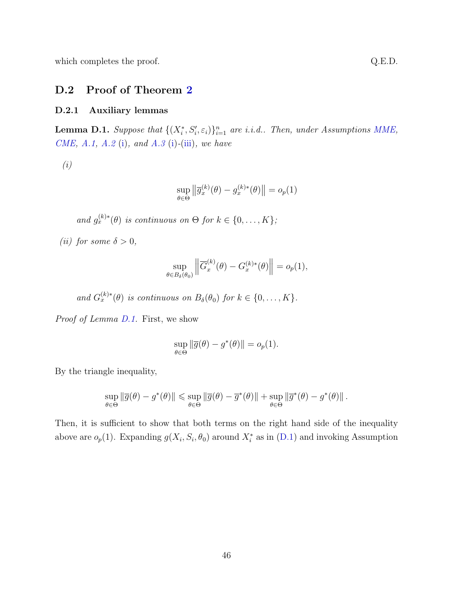which completes the proof.  $Q.E.D.$ 

#### D.2 Proof of Theorem [2](#page-12-0)

#### D.2.1 Auxiliary lemmas

<span id="page-45-0"></span>**Lemma D.1.** Suppose that  $\{(X_i^*, S_i', \varepsilon_i)\}_{i=1}^n$  are i.i.d.. Then, under Assumptions [MME,](#page-10-1) [CME,](#page-11-0) [A.1,](#page-36-1) [A.2](#page-36-3) [\(i\)](#page-36-5), and [A.3](#page-36-4) (i)-[\(iii\)](#page-37-3), we have

(i)

$$
\sup_{\theta \in \Theta} \left\| \overline{g}_x^{(k)}(\theta) - g_x^{(k)*}(\theta) \right\| = o_p(1)
$$

and  $g_x^{(k)*}(\theta)$  is continuous on  $\Theta$  for  $k \in \{0, \ldots, K\}$ ;

(*ii*) for some  $\delta > 0$ ,

$$
\sup_{\theta \in B_{\delta}(\theta_0)} \left\| \overline{G}_x^{(k)}(\theta) - G_x^{(k)*}(\theta) \right\| = o_p(1),
$$

and  $G_x^{(k)*}(\theta)$  is continuous on  $B_\delta(\theta_0)$  for  $k \in \{0, \ldots, K\}$ .

Proof of Lemma [D.1.](#page-45-0) First, we show

$$
\sup_{\theta \in \Theta} \|\overline{g}(\theta) - g^*(\theta)\| = o_p(1).
$$

By the triangle inequality,

$$
\sup_{\theta \in \Theta} \|\overline{g}(\theta) - g^*(\theta)\| \leqslant \sup_{\theta \in \Theta} \|\overline{g}(\theta) - \overline{g}^*(\theta)\| + \sup_{\theta \in \Theta} \|\overline{g}^*(\theta) - g^*(\theta)\|.
$$

Then, it is sufficient to show that both terms on the right hand side of the inequality above are  $o_p(1)$ . Expanding  $g(X_i, S_i, \theta_0)$  around  $X_i^*$  as in [\(D.1\)](#page-41-1) and invoking Assumption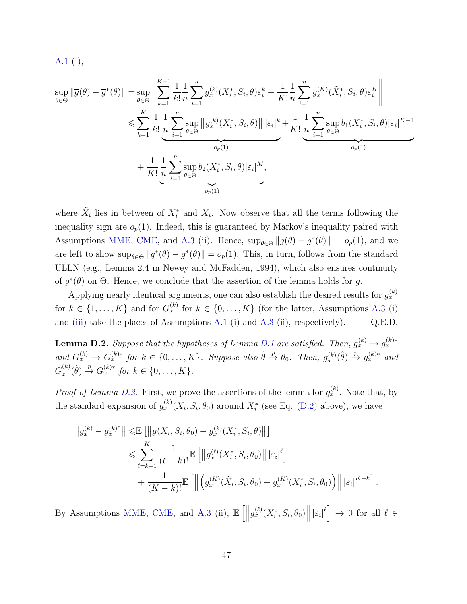$$
A.1(i),
$$

$$
\sup_{\theta \in \Theta} \|\overline{g}(\theta) - \overline{g}^*(\theta)\| = \sup_{\theta \in \Theta} \left\| \sum_{k=1}^{K-1} \frac{1}{k!} \frac{1}{n} \sum_{i=1}^n g_k^{(k)}(X_i^*, S_i, \theta) \varepsilon_i^k + \frac{1}{K!} \frac{1}{n} \sum_{i=1}^n g_x^{(K)}(\tilde{X}_i^*, S_i, \theta) \varepsilon_i^K \right\|
$$
  

$$
\leq \sum_{k=1}^K \frac{1}{k!} \frac{1}{n} \sum_{i=1}^n \sup_{\theta \in \Theta} \|g_x^{(k)}(X_i^*, S_i, \theta)\| \, |\varepsilon_i|^k + \frac{1}{K!} \frac{1}{n} \sum_{i=1}^n \sup_{\theta \in \Theta} b_1(X_i^*, S_i, \theta) |\varepsilon_i|^{K+1}
$$
  

$$
+ \frac{1}{K!} \frac{1}{n} \sum_{i=1}^n \sup_{\theta \in \Theta} b_2(X_i^*, S_i, \theta) |\varepsilon_i|^M,
$$

where  $\tilde{X}_i$  lies in between of  $X_i^*$  and  $X_i$ . Now observe that all the terms following the inequality sign are  $o_p(1)$ . Indeed, this is guaranteed by Markov's inequality paired with Assumptions [MME,](#page-10-1) [CME,](#page-11-0) and [A.3](#page-36-4) [\(ii\)](#page-37-4). Hence,  $\sup_{\theta \in \Theta} ||\overline{g}(\theta) - \overline{g}^*(\theta)|| = o_p(1)$ , and we are left to show  $\sup_{\theta \in \Theta} ||\overline{g}^*(\theta) - g^*(\theta)|| = o_p(1)$ . This, in turn, follows from the standard ULLN (e.g., Lemma 2.4 in [Newey and McFadden,](#page-34-11) [1994\)](#page-34-11), which also ensures continuity of  $g^*(\theta)$  on  $\Theta$ . Hence, we conclude that the assertion of the lemma holds for g.

Applying nearly identical arguments, one can also establish the desired results for  $g_x^{(k)}$ for  $k \in \{1, ..., K\}$  and for  $G_x^{(k)}$  for  $k \in \{0, ..., K\}$  (for the latter, Assumptions [A.3](#page-36-4) [\(i\)](#page-36-5) and [\(iii\)](#page-37-3) take the places of Assumptions [A.1](#page-36-1) [\(i\)](#page-36-6) and [A.3](#page-36-4) [\(ii\)](#page-37-4), respectively). Q.E.D.

<span id="page-46-0"></span>**Lemma D.2.** Suppose that the hypotheses of Lemma [D.1](#page-45-0) are satisfied. Then,  $g_x^{(k)} \rightarrow g_x^{(k)*}$ and  $G_x^{(k)} \to G_x^{(k)*}$  for  $k \in \{0, ..., K\}$ . Suppose also  $\hat{\theta} \stackrel{p}{\to} \theta_0$ . Then,  $\overline{g}_x^{(k)}(\hat{\theta}) \stackrel{p}{\to} g_x^{(k)*}$  and  $\overline{G}_x^{(k)}$  $x^{(k)}_x(\hat{\theta}) \stackrel{p}{\rightarrow} G_x^{(k)*}$  for  $k \in \{0, \ldots, K\}.$ 

*Proof of Lemma [D.2.](#page-46-0)* First, we prove the assertions of the lemma for  $g_x^{(k)}$ . Note that, by the standard expansion of  $g_x^{(k)}(X_i, S_i, \theta_0)$  around  $X_i^*$  (see Eq. [\(D.2\)](#page-42-4) above), we have

$$
\|g_x^{(k)} - g_x^{(k)^*}\| \leq \mathbb{E} [\|g(X_i, S_i, \theta_0) - g_x^{(k)}(X_i^*, S_i, \theta)\|]
$$
  

$$
\leq \sum_{\ell=k+1}^K \frac{1}{(\ell-k)!} \mathbb{E} [\|g_x^{(\ell)}(X_i^*, S_i, \theta_0)\| |\varepsilon_i|^\ell]
$$
  

$$
+ \frac{1}{(K-k)!} \mathbb{E} [\|g_x^{(K)}(\tilde{X}_i, S_i, \theta_0) - g_x^{(K)}(X_i^*, S_i, \theta_0)\| |\varepsilon_i|^{K-k}].
$$

By Assumptions [MME,](#page-10-1) [CME,](#page-11-0) and [A.3](#page-36-4) [\(ii\)](#page-37-4),  $\mathbb{E}\left[\left\|g_x^{(\ell)}(X_i^*,S_i,\theta_0)\right\| \left|\varepsilon_i\right|^\ell\right] \to 0$  for all  $\ell \in$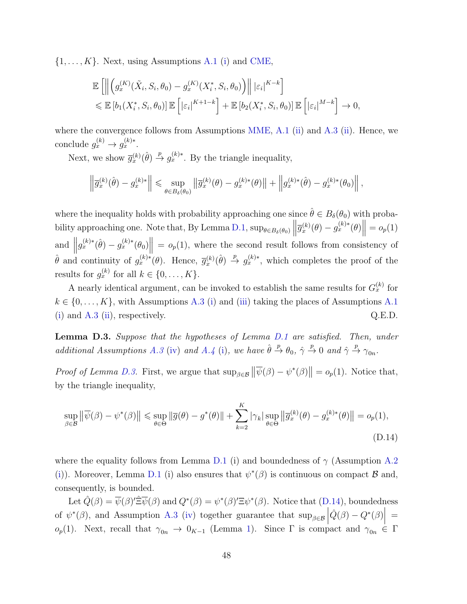$\{1, \ldots, K\}$ . Next, using Assumptions [A.1](#page-36-1) [\(i\)](#page-36-6) and [CME,](#page-11-0)

$$
\mathbb{E}\left[\left\|\left(g_x^{(K)}(\tilde{X}_i, S_i, \theta_0) - g_x^{(K)}(X_i^*, S_i, \theta_0)\right)\right\| \left|\varepsilon_i\right|^{K-k}\right]
$$
  
\$\leqslant \mathbb{E}\left[b\_1(X\_i^\*, S\_i, \theta\_0)\right] \mathbb{E}\left[\left|\varepsilon\_i\right|^{K+1-k}\right] + \mathbb{E}\left[b\_2(X\_i^\*, S\_i, \theta\_0)\right] \mathbb{E}\left[\left|\varepsilon\_i\right|^{M-k}\right] \to 0,

where the convergence follows from Assumptions [MME,](#page-10-1) [A.1](#page-36-1) [\(ii\)](#page-37-4) and [A.3](#page-36-4) (ii). Hence, we conclude  $g_x^{(k)} \to g_x^{(k)*}$ .

Next, we show  $\overline{g}_x^{(k)}(\hat{\theta}) \stackrel{p}{\rightarrow} g_x^{(k)*}$ . By the triangle inequality,

$$
\left\|\overline{g}_x^{(k)}(\hat{\theta}) - g_x^{(k)*}\right\| \leq \sup_{\theta \in B_{\delta}(\theta_0)} \left\|\overline{g}_x^{(k)}(\theta) - g_x^{(k)*}(\theta)\right\| + \left\|g_x^{(k)*}(\hat{\theta}) - g_x^{(k)*}(\theta_0)\right\|,
$$

where the inequality holds with probability approaching one since  $\hat{\theta} \in B_{\delta}(\theta_0)$  with proba-bility approaching one. Note that, By Lemma [D.1,](#page-45-0)  $\sup_{\theta \in B_\delta(\theta_0)} \left\| \overline{g}_x^{(k)}(\theta) - g_x^{(k)*}(\theta) \right\| = o_p(1)$ and  $||g_x^{(k)*}(\hat{\theta}) - g_x^{(k)*}(\theta_0)|| = o_p(1)$ , where the second result follows from consistency of  $\hat{\theta}$  and continuity of  $g_x^{(k)*}(\theta)$ . Hence,  $\overline{g}_x^{(k)}(\hat{\theta}) \stackrel{p}{\rightarrow} g_x^{(k)*}$ , which completes the proof of the results for  $g_x^{(k)}$  for all  $k \in \{0, \ldots, K\}.$ 

A nearly identical argument, can be invoked to establish the same results for  $G_x^{(k)}$  for  $k \in \{0, \ldots, K\}$ , with Assumptions [A.3](#page-36-4) [\(i\)](#page-36-5) and [\(iii\)](#page-37-3) taking the places of Assumptions [A.1](#page-36-1) [\(i\)](#page-36-6) and  $A.3$  [\(ii\)](#page-37-4), respectively.  $Q.E.D.$ 

<span id="page-47-0"></span>Lemma D.3. Suppose that the hypotheses of Lemma [D.1](#page-45-0) are satisfied. Then, under additional Assumptions [A.3](#page-36-4) [\(iv\)](#page-37-5) and [A.4](#page-37-0) [\(i\)](#page-37-1), we have  $\hat{\theta} \stackrel{p}{\rightarrow} \theta_0$ ,  $\hat{\gamma} \stackrel{p}{\rightarrow} 0$  and  $\hat{\gamma} \stackrel{p}{\rightarrow} \gamma_{0n}$ .

*Proof of Lemma [D.3.](#page-47-0)* First, we argue that  $\sup_{\beta \in \mathcal{B}} ||\overline{\psi}(\beta) - \psi^*(\beta)|| = o_p(1)$ . Notice that, by the triangle inequality,

<span id="page-47-1"></span>
$$
\sup_{\beta \in \mathcal{B}} \left\| \overline{\psi}(\beta) - \psi^*(\beta) \right\| \le \sup_{\theta \in \Theta} \left\| \overline{g}(\theta) - g^*(\theta) \right\| + \sum_{k=2}^K |\gamma_k| \sup_{\theta \in \Theta} \left\| \overline{g}_x^{(k)}(\theta) - g_x^{(k)*}(\theta) \right\| = o_p(1),\tag{D.14}
$$

where the equality follows from Lemma [D.1](#page-45-0) (i) and boundedness of  $\gamma$  (Assumption [A.2](#page-36-3)) [\(i\)](#page-36-10)). Moreover, Lemma [D.1](#page-45-0) (i) also ensures that  $\psi^*(\beta)$  is continuous on compact  $\beta$  and, consequently, is bounded.

Let  $\hat{Q}(\beta) = \overline{\psi}(\beta)' \hat{\Xi} \overline{\psi}(\beta)$  and  $Q^*(\beta) = \psi^*(\beta)' \Xi \psi^*(\beta)$ . Notice that [\(D.14\)](#page-47-1), boundedness of  $\psi^*(\beta)$ , and Assumption [A.3](#page-36-4) [\(iv\)](#page-37-5) together guarantee that  $\sup_{\beta \in \mathcal{B}} |\hat{Q}(\beta) - Q^*(\beta)| =$ o<sub>p</sub>([1\)](#page-11-1). Next, recall that  $\gamma_{0n} \to 0_{K-1}$  (Lemma 1). Since  $\Gamma$  is compact and  $\gamma_{0n} \in \Gamma$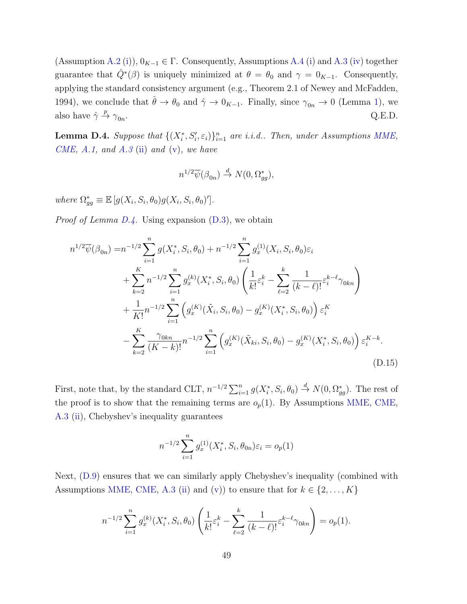(Assumption [A.2](#page-36-3) [\(i\)](#page-37-1)),  $0_{K-1} \in \Gamma$ . Consequently, Assumptions [A.4](#page-37-0) (i) and [A.3](#page-36-4) [\(iv\)](#page-37-5) together guarantee that  $\hat{Q}^*(\beta)$  is uniquely minimized at  $\theta = \theta_0$  and  $\gamma = 0_{K-1}$ . Consequently, applying the standard consistency argument (e.g., Theorem 2.1 of [Newey and McFadden,](#page-34-11) [1994\)](#page-34-11), we conclude that  $\hat{\theta} \to \theta_0$  and  $\hat{\gamma} \to 0_{K-1}$ . Finally, since  $\gamma_{0n} \to 0$  (Lemma [1\)](#page-11-1), we also have  $\hat{\gamma} \stackrel{p}{\rightarrow} \gamma_{0n}$ .  $Q.E.D.$ 

<span id="page-48-0"></span>**Lemma D.4.** Suppose that  $\{(X_i^*, S_i', \varepsilon_i)\}_{i=1}^n$  are i.i.d.. Then, under Assumptions [MME,](#page-10-1) [CME,](#page-11-0) [A.1,](#page-36-1) and [A.3](#page-36-4) [\(ii\)](#page-37-4) and [\(v\)](#page-37-6), we have

$$
n^{1/2}\overline{\psi}(\beta_{0n}) \stackrel{d}{\to} N(0, \Omega_{gg}^*),
$$

where  $\Omega_{gg}^* \equiv \mathbb{E}\left[g(X_i, S_i, \theta_0)g(X_i, S_i, \theta_0)'\right]$ .

*Proof of Lemma [D.4.](#page-48-0)* Using expansion  $(D.3)$ , we obtain

$$
n^{1/2}\overline{\psi}(\beta_{0n}) = n^{-1/2} \sum_{i=1}^{n} g(X_i^*, S_i, \theta_0) + n^{-1/2} \sum_{i=1}^{n} g_x^{(1)}(X_i, S_i, \theta_0) \varepsilon_i
$$
  
+ 
$$
\sum_{k=2}^{K} n^{-1/2} \sum_{i=1}^{n} g_x^{(k)}(X_i^*, S_i, \theta_0) \left( \frac{1}{k!} \varepsilon_i^k - \sum_{\ell=2}^{k} \frac{1}{(k-\ell)!} \varepsilon_i^{k-\ell} \gamma_{0kn} \right)
$$
  
+ 
$$
\frac{1}{K!} n^{-1/2} \sum_{i=1}^{n} \left( g_x^{(K)}(\tilde{X}_i, S_i, \theta_0) - g_x^{(K)}(X_i^*, S_i, \theta_0) \right) \varepsilon_i^{K}
$$
  
- 
$$
\sum_{k=2}^{K} \frac{\gamma_{0kn}}{(K-k)!} n^{-1/2} \sum_{i=1}^{n} \left( g_x^{(K)}(\tilde{X}_{ki}, S_i, \theta_0) - g_x^{(K)}(X_i^*, S_i, \theta_0) \right) \varepsilon_i^{K-k}.
$$
(D.15)

First, note that, by the standard CLT,  $n^{-1/2} \sum_{i=1}^{n} g(X_i^*, S_i, \theta_0) \stackrel{d}{\to} N(0, \Omega_{gg}^*)$ . The rest of the proof is to show that the remaining terms are  $o_p(1)$ . By Assumptions [MME,](#page-10-1) [CME,](#page-11-0) [A.3](#page-36-4) [\(ii\)](#page-37-4), Chebyshev's inequality guarantees

<span id="page-48-1"></span>
$$
n^{-1/2} \sum_{i=1}^{n} g_x^{(1)}(X_i^*, S_i, \theta_{0n}) \varepsilon_i = o_p(1)
$$

Next, [\(D.9\)](#page-43-3) ensures that we can similarly apply Chebyshev's inequality (combined with Assumptions [MME,](#page-10-1) [CME,](#page-11-0) [A.3](#page-36-4) [\(ii\)](#page-37-4) and [\(v\)](#page-37-6)) to ensure that for  $k \in \{2, ..., K\}$ 

$$
n^{-1/2} \sum_{i=1}^{n} g_x^{(k)}(X_i^*, S_i, \theta_0) \left( \frac{1}{k!} \varepsilon_i^k - \sum_{\ell=2}^k \frac{1}{(k-\ell)!} \varepsilon_i^{k-\ell} \gamma_{0kn} \right) = o_p(1).
$$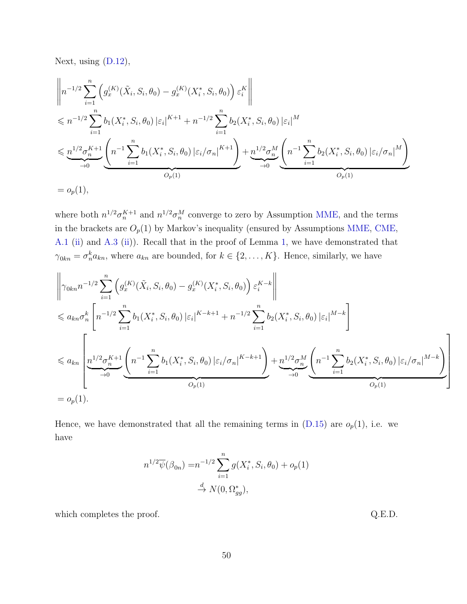Next, using [\(D.12\)](#page-43-4),

$$
\left\| n^{-1/2} \sum_{i=1}^{n} \left( g_x^{(K)}(\tilde{X}_i, S_i, \theta_0) - g_x^{(K)}(X_i^*, S_i, \theta_0) \right) \varepsilon_i^K \right\|
$$
  
\n
$$
\leq n^{-1/2} \sum_{i=1}^{n} b_1(X_i^*, S_i, \theta_0) \left| \varepsilon_i \right|^{K+1} + n^{-1/2} \sum_{i=1}^{n} b_2(X_i^*, S_i, \theta_0) \left| \varepsilon_i \right|^M
$$
  
\n
$$
\leq \underbrace{n^{1/2} \sigma_n^{K+1}}_{\to 0} \underbrace{\left( n^{-1} \sum_{i=1}^{n} b_1(X_i^*, S_i, \theta_0) \left| \varepsilon_i / \sigma_n \right|^{K+1} \right)}_{O_p(1)} + \underbrace{n^{1/2} \sigma_n^M}_{\to 0} \underbrace{\left( n^{-1} \sum_{i=1}^{n} b_2(X_i^*, S_i, \theta_0) \left| \varepsilon_i / \sigma_n \right|^{M} \right)}_{O_p(1)}
$$
  
\n=  $o_p(1),$ 

where both  $n^{1/2}\sigma_n^{K+1}$  and  $n^{1/2}\sigma_n^M$  converge to zero by Assumption [MME,](#page-10-1) and the terms in the brackets are  $O_p(1)$  by Markov's inequality (ensured by Assumptions [MME,](#page-10-1) [CME,](#page-11-0) [A.1](#page-36-1) [\(ii\)](#page-36-8) and [A.3](#page-36-4) [\(ii\)](#page-37-4)). Recall that in the proof of Lemma [1,](#page-11-1) we have demonstrated that  $\gamma_{0kn} = \sigma_n^k a_{kn}$ , where  $a_{kn}$  are bounded, for  $k \in \{2, ..., K\}$ . Hence, similarly, we have

$$
\left\| \gamma_{0kn} n^{-1/2} \sum_{i=1}^n \left( g_x^{(K)}(\tilde{X}_i, S_i, \theta_0) - g_x^{(K)}(X_i^*, S_i, \theta_0) \right) \varepsilon_i^{K-k} \right\|
$$
  
\n
$$
\leq a_{kn} \sigma_n^k \left[ n^{-1/2} \sum_{i=1}^n b_1(X_i^*, S_i, \theta_0) \left| \varepsilon_i \right|^{K-k+1} + n^{-1/2} \sum_{i=1}^n b_2(X_i^*, S_i, \theta_0) \left| \varepsilon_i \right|^{M-k} \right]
$$
  
\n
$$
\leq a_{kn} \left[ \underbrace{n^{1/2} \sigma_n^{K+1}}_{\to 0} \left( n^{-1} \sum_{i=1}^n b_1(X_i^*, S_i, \theta_0) \left| \varepsilon_i / \sigma_n \right|^{K-k+1} \right) + \underbrace{n^{1/2} \sigma_n^M}_{\to 0} \left( n^{-1} \sum_{i=1}^n b_2(X_i^*, S_i, \theta_0) \left| \varepsilon_i / \sigma_n \right|^{M-k} \right)
$$
  
\n
$$
= o_p(1).
$$

Hence, we have demonstrated that all the remaining terms in  $(D.15)$  are  $o_p(1)$ , i.e. we have

$$
n^{1/2} \overline{\psi}(\beta_{0n}) = n^{-1/2} \sum_{i=1}^{n} g(X_i^*, S_i, \theta_0) + o_p(1)
$$
  

$$
\xrightarrow{d} N(0, \Omega_{gg}^*),
$$

which completes the proof.  $Q.E.D.$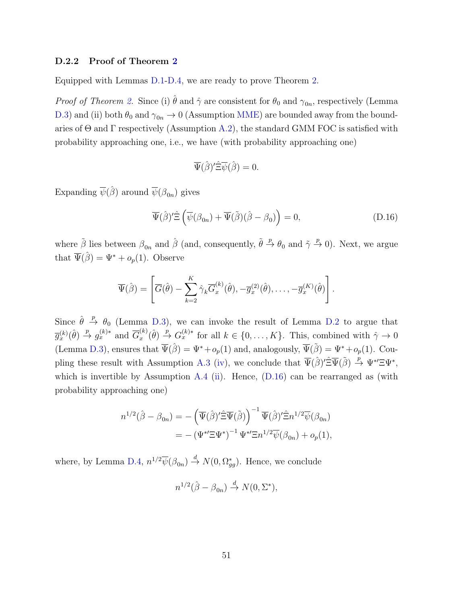#### D.2.2 Proof of Theorem [2](#page-12-0)

Equipped with Lemmas [D.1-](#page-45-0)[D.4,](#page-48-0) we are ready to prove Theorem [2.](#page-12-0)

*Proof of Theorem [2.](#page-12-0)* Since (i)  $\hat{\theta}$  and  $\hat{\gamma}$  are consistent for  $\theta_0$  and  $\gamma_{0n}$ , respectively (Lemma [D.3\)](#page-47-0) and (ii) both  $\theta_0$  and  $\gamma_{0n} \to 0$  (Assumption [MME\)](#page-10-1) are bounded away from the boundaries of  $\Theta$  and  $\Gamma$  respectively (Assumption [A.2\)](#page-36-3), the standard GMM FOC is satisfied with probability approaching one, i.e., we have (with probability approaching one)

<span id="page-50-0"></span>
$$
\overline{\Psi}(\hat{\beta})'\hat{\Xi}\overline{\psi}(\hat{\beta})=0.
$$

Expanding  $\overline{\psi}(\hat{\beta})$  around  $\overline{\psi}(\beta_{0n})$  gives

$$
\overline{\Psi}(\hat{\beta})'\hat{\Xi}\left(\overline{\psi}(\beta_{0n})+\overline{\Psi}(\tilde{\beta})(\hat{\beta}-\beta_0)\right)=0,
$$
\n(D.16)

where  $\tilde{\beta}$  lies between  $\beta_{0n}$  and  $\hat{\beta}$  (and, consequently,  $\tilde{\theta} \stackrel{p}{\rightarrow} \theta_0$  and  $\tilde{\gamma} \stackrel{p}{\rightarrow} 0$ ). Next, we argue that  $\overline{\Psi}(\hat{\beta}) = \Psi^* + o_p(1)$ . Observe

$$
\overline{\Psi}(\hat{\beta}) = \left[ \overline{G}(\hat{\theta}) - \sum_{k=2}^K \hat{\gamma}_k \overline{G}_x^{(k)}(\hat{\theta}), -\overline{g}_x^{(2)}(\hat{\theta}), \dots, -\overline{g}_x^{(K)}(\hat{\theta}) \right].
$$

Since  $\hat{\theta} \stackrel{p}{\rightarrow} \theta_0$  (Lemma [D.3\)](#page-47-0), we can invoke the result of Lemma [D.2](#page-46-0) to argue that  $\overline{g}_x^{(k)}(\hat{\theta}) \stackrel{p}{\rightarrow} g_x^{(k)*}$  and  $\overline{G}_x^{(k)}$  $x^{(k)}(x,\hat{\theta}) \stackrel{p}{\rightarrow} G_x^{(k)*}$  for all  $k \in \{0,\ldots,K\}$ . This, combined with  $\hat{\gamma} \to 0$ (Lemma [D.3\)](#page-47-0), ensures that  $\overline{\Psi}(\hat{\beta}) = \Psi^* + o_p(1)$  and, analogously,  $\overline{\Psi}(\tilde{\beta}) = \Psi^* + o_p(1)$ . Cou-pling these result with Assumption [A.3](#page-36-4) [\(iv\)](#page-37-5), we conclude that  $\overline{\Psi}(\hat{\beta})' \hat{\Xi} \overline{\Psi}(\tilde{\beta}) \stackrel{p}{\rightarrow} \Psi^{*'} \Xi \Psi^{*}$ , which is invertible by Assumption [A.4](#page-37-0) [\(ii\)](#page-37-2). Hence,  $(D.16)$  can be rearranged as (with probability approaching one)

$$
n^{1/2}(\hat{\beta} - \beta_{0n}) = -(\overline{\Psi}(\hat{\beta})'\hat{\Xi}\overline{\Psi}(\tilde{\beta}))^{-1}\overline{\Psi}(\hat{\beta})'\hat{\Xi}n^{1/2}\overline{\psi}(\beta_{0n})
$$
  
= -(\Psi^\*\Xi\Psi^\*)^{-1}\Psi^\*\Xi n^{1/2}\overline{\psi}(\beta\_{0n}) + o\_p(1),

where, by Lemma [D.4,](#page-48-0)  $n^{1/2} \overline{\psi}(\beta_{0n}) \stackrel{d}{\rightarrow} N(0, \Omega_{gg}^*)$ . Hence, we conclude

$$
n^{1/2}(\hat{\beta} - \beta_{0n}) \stackrel{d}{\to} N(0, \Sigma^*),
$$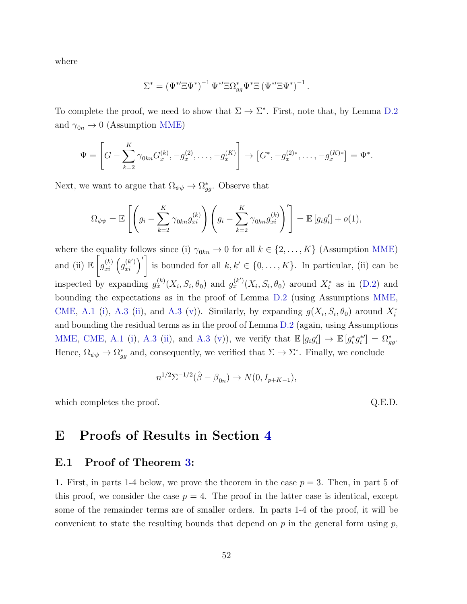where

$$
\Sigma^* = (\Psi^{*'} \Xi \Psi^*)^{-1} \Psi^{*'} \Xi \Omega^*_{gg} \Psi^* \Xi (\Psi^{*'} \Xi \Psi^*)^{-1}.
$$

To complete the proof, we need to show that  $\Sigma \to \Sigma^*$ . First, note that, by Lemma [D.2](#page-46-0) and  $\gamma_{0n} \rightarrow 0$  (Assumption [MME\)](#page-10-1)

$$
\Psi = \left[ G - \sum_{k=2}^K \gamma_{0kn} G_x^{(k)}, -g_x^{(2)}, \dots, -g_x^{(K)} \right] \rightarrow \left[ G^*, -g_x^{(2)*}, \dots, -g_x^{(K)*} \right] = \Psi^*.
$$

Next, we want to argue that  $\Omega_{\psi\psi} \to \Omega_{gg}^*$ . Observe that

$$
\Omega_{\psi\psi} = \mathbb{E}\left[\left(g_i - \sum_{k=2}^K \gamma_{0kn} g_{xi}^{(k)}\right)\left(g_i - \sum_{k=2}^K \gamma_{0kn} g_{xi}^{(k)}\right)'\right] = \mathbb{E}\left[g_ig_i'\right] + o(1),
$$

where the equality follows since (i)  $\gamma_{0kn} \to 0$  for all  $k \in \{2, ..., K\}$  (Assumption [MME\)](#page-10-1) and (ii)  $\mathbb{E}\left[ \right]$  $g_{xi}^{(k)}(g_{xi}^{(k')})'$  is bounded for all  $k, k' \in \{0, \ldots, K\}$ . In particular, (ii) can be inspected by expanding  $g_x^{(k)}(X_i, S_i, \theta_0)$  and  $g_x^{(k')}(X_i, S_i, \theta_0)$  around  $X_i^*$  as in [\(D.2\)](#page-42-4) and bounding the expectations as in the proof of Lemma [D.2](#page-46-0) (using Assumptions [MME,](#page-10-1) [CME,](#page-11-0) [A.1](#page-36-1) [\(i\)](#page-36-6), [A.3](#page-36-4) [\(ii\)](#page-37-4), and A.3 [\(v\)](#page-37-6)). Similarly, by expanding  $g(X_i, S_i, \theta_0)$  around  $X_i^*$ and bounding the residual terms as in the proof of Lemma [D.2](#page-46-0) (again, using Assumptions [MME,](#page-10-1) [CME,](#page-11-0) [A.1](#page-36-1) [\(i\)](#page-36-6), [A.3](#page-36-4) [\(ii\)](#page-37-4), and A.3 [\(v\)](#page-37-6)), we verify that  $\mathbb{E}[g_i g'_i] \to \mathbb{E}[g_i^* g_i^{*'}] = \Omega_{gg}^*$ . Hence,  $\Omega_{\psi\psi} \to \Omega_{gg}^*$  and, consequently, we verified that  $\Sigma \to \Sigma^*$ . Finally, we conclude

$$
n^{1/2} \Sigma^{-1/2} (\hat{\beta} - \beta_{0n}) \to N(0, I_{p+K-1}),
$$

which completes the proof.  $Q.E.D.$ 

### <span id="page-51-0"></span>E Proofs of Results in Section [4](#page-22-0)

#### E.1 Proof of Theorem [3:](#page-23-2)

1. First, in parts 1-4 below, we prove the theorem in the case  $p = 3$ . Then, in part 5 of this proof, we consider the case  $p = 4$ . The proof in the latter case is identical, except some of the remainder terms are of smaller orders. In parts 1-4 of the proof, it will be convenient to state the resulting bounds that depend on  $p$  in the general form using  $p$ ,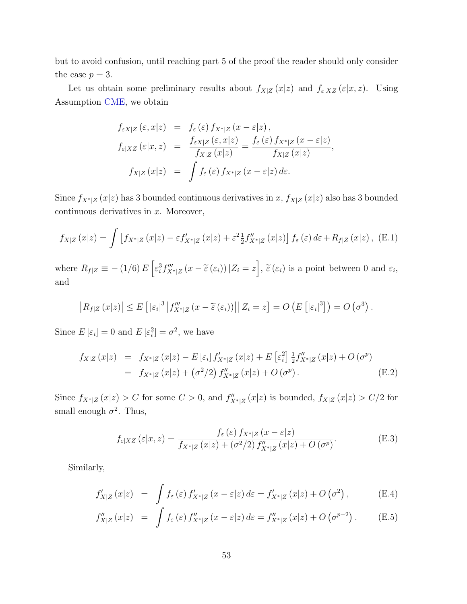but to avoid confusion, until reaching part 5 of the proof the reader should only consider the case  $p = 3$ .

Let us obtain some preliminary results about  $f_{X|Z}(x|z)$  and  $f_{\varepsilon|XZ}(\varepsilon|x,z)$ . Using Assumption [CME,](#page-11-0) we obtain

$$
f_{\varepsilon X|Z}(\varepsilon, x|z) = f_{\varepsilon}(\varepsilon) f_{X^*|Z}(x - \varepsilon|z),
$$
  
\n
$$
f_{\varepsilon|XZ}(\varepsilon|x, z) = \frac{f_{\varepsilon X|Z}(\varepsilon, x|z)}{f_{X|Z}(x|z)} = \frac{f_{\varepsilon}(\varepsilon) f_{X^*|Z}(x - \varepsilon|z)}{f_{X|Z}(x|z)},
$$
  
\n
$$
f_{X|Z}(x|z) = \int f_{\varepsilon}(\varepsilon) f_{X^*|Z}(x - \varepsilon|z) d\varepsilon.
$$

Since  $f_{X^*|Z}(x|z)$  has 3 bounded continuous derivatives in x,  $f_{X|Z}(x|z)$  also has 3 bounded continuous derivatives in  $x$ . Moreover,

<span id="page-52-2"></span>
$$
f_{X|Z}(x|z) = \int \left[ f_{X^*|Z}(x|z) - \varepsilon f'_{X^*|Z}(x|z) + \varepsilon^2 \frac{1}{2} f''_{X^*|Z}(x|z) \right] f_{\varepsilon}(\varepsilon) d\varepsilon + R_{f|Z}(x|z), \quad (E.1)
$$

where  $R_{f|Z} \equiv - (1/6) E \left[ \epsilon_i^3 f_{X^*|Z}^{\prime\prime\prime}(x - \tilde{\epsilon}(\epsilon_i)) | Z_i = z \right], \tilde{\epsilon}(\epsilon_i)$  is a point between 0 and  $\epsilon_i$ , and

$$
|R_{f|Z}(x|z)| \leq E\left[|\varepsilon_i|^3 |f_{X^*|Z}'''(x-\widetilde{\varepsilon}(\varepsilon_i))|| Z_i = z\right] = O\left(E\left[|\varepsilon_i|^3\right]\right) = O\left(\sigma^3\right).
$$

Since  $E\left[\varepsilon_i\right] = 0$  and  $E\left[\varepsilon_i^2\right] = \sigma^2$ , we have

<span id="page-52-0"></span>
$$
f_{X|Z}(x|z) = f_{X^*|Z}(x|z) - E[\varepsilon_i] f'_{X^*|Z}(x|z) + E[\varepsilon_i^2] \frac{1}{2} f''_{X^*|Z}(x|z) + O(\sigma^p)
$$
  
=  $f_{X^*|Z}(x|z) + (\sigma^2/2) f''_{X^*|Z}(x|z) + O(\sigma^p)$ . (E.2)

Since  $f_{X^*|Z}(x|z) > C$  for some  $C > 0$ , and  $f''_{X^*|Z}(x|z)$  is bounded,  $f_{X|Z}(x|z) > C/2$  for small enough  $\sigma^2$ . Thus,

$$
f_{\varepsilon|XZ}(\varepsilon|x,z) = \frac{f_{\varepsilon}(\varepsilon) f_{X^*|Z}(x-\varepsilon|z)}{f_{X^*|Z}(x|z) + (\sigma^2/2) f''_{X^*|Z}(x|z) + O(\sigma^p)}.
$$
(E.3)

Similarly,

<span id="page-52-1"></span>
$$
f'_{X|Z}(x|z) = \int f_{\varepsilon}(\varepsilon) f'_{X^*|Z}(x-\varepsilon|z) d\varepsilon = f'_{X^*|Z}(x|z) + O(\sigma^2), \qquad (E.4)
$$

$$
f''_{X|Z}(x|z) = \int f_{\varepsilon}(\varepsilon) f''_{X^*|Z}(x-\varepsilon|z) d\varepsilon = f''_{X^*|Z}(x|z) + O(\sigma^{p-2}). \tag{E.5}
$$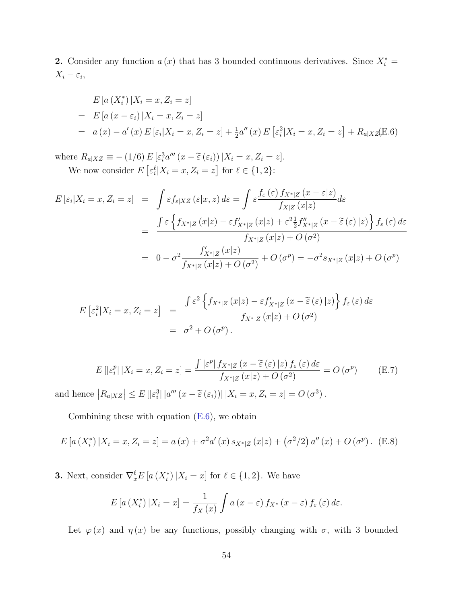2. Consider any function  $a(x)$  that has 3 bounded continuous derivatives. Since  $X_i^* =$  $X_i - \varepsilon_i,$ 

<span id="page-53-0"></span>
$$
E\left[a\left(X_i^*\right)|X_i = x, Z_i = z\right]
$$
  
=  $E\left[a\left(x - \varepsilon_i\right)|X_i = x, Z_i = z\right]$   
=  $a(x) - a'(x) E\left[\varepsilon_i | X_i = x, Z_i = z\right] + \frac{1}{2} a''(x) E\left[\varepsilon_i^2 | X_i = x, Z_i = z\right] + R_{a|X} z(E.6)$ 

where  $R_{a|XZ} \equiv -(1/6) E \left[\varepsilon_i^3 a'''(x - \tilde{\varepsilon}(\varepsilon_i)) | X_i = x, Z_i = z\right].$ We now consider  $E\left[\varepsilon_i^{\ell} | X_i = x, Z_i = z\right]$  for  $\ell \in \{1, 2\}$ :

$$
E\left[\varepsilon_{i}|X_{i}=x,Z_{i}=z\right] = \int \varepsilon f_{\varepsilon|XZ}\left(\varepsilon|x,z\right) d\varepsilon = \int \varepsilon \frac{f_{\varepsilon}\left(\varepsilon\right) f_{X^{*}|Z}\left(x-\varepsilon|z\right)}{f_{X|Z}\left(x|z\right)} d\varepsilon
$$

$$
= \frac{\int \varepsilon \left\{f_{X^{*}|Z}\left(x|z\right)-\varepsilon f'_{X^{*}|Z}\left(x|z\right)+\varepsilon^{2}\frac{1}{2}f''_{X^{*}|Z}\left(x-\tilde{\varepsilon}\left(\varepsilon\right)|z\right)\right\} f_{\varepsilon}\left(\varepsilon\right) d\varepsilon}{f_{X^{*}|Z}\left(x|z\right)+O\left(\sigma^{2}\right)}
$$

$$
= 0 - \sigma^{2} \frac{f'_{X^{*}|Z}\left(x|z\right)}{f_{X^{*}|Z}\left(x|z\right)+O\left(\sigma^{2}\right)} + O\left(\sigma^{p}\right) = -\sigma^{2} s_{X^{*}|Z}\left(x|z\right)+O\left(\sigma^{p}\right)
$$

$$
E\left[\varepsilon_i^2|X_i=x,Z_i=z\right] = \frac{\int \varepsilon^2 \left\{f_{X^*|Z}\left(x|z\right)-\varepsilon f'_{X^*|Z}\left(x-\widetilde{\varepsilon}\left(\varepsilon\right)|z\right)\right\} f_{\varepsilon}\left(\varepsilon\right)d\varepsilon}{f_{X^*|Z}\left(x|z\right)+O\left(\sigma^2\right)} = \sigma^2 + O\left(\sigma^p\right).
$$

$$
E\left[|\varepsilon_i^p| \, |X_i = x, Z_i = z\right] = \frac{\int |\varepsilon^p| \, f_{X^*|Z} \left(x - \tilde{\varepsilon} \left(\varepsilon\right) | z\right) f_{\varepsilon} \left(\varepsilon\right) d\varepsilon}{f_{X^*|Z} \left(x | z\right) + O\left(\sigma^2\right)} = O\left(\sigma^p\right) \tag{E.7}
$$

and hence  $|R_{a|XZ}| \leq E[|\varepsilon_i^3| |a'''(x-\tilde{\varepsilon}(\varepsilon_i))| |X_i=x, Z_i=z] = O(\sigma^3)$ .

Combining these with equation  $(E.6)$ , we obtain

$$
E\left[a\left(X_i^*\right)|X_i = x, Z_i = z\right] = a\left(x\right) + \sigma^2 a'\left(x\right) s_{X^*|Z}\left(x|z\right) + \left(\sigma^2/2\right) a''\left(x\right) + O\left(\sigma^p\right). \tag{E.8}
$$

**3.** Next, consider  $\nabla_x^{\ell} E\left[a\left(X_i^*\right)|X_i=x\right]$  for  $\ell \in \{1,2\}$ . We have

$$
E\left[a\left(X_i^*\right)|X_i=x\right]=\frac{1}{f_X\left(x\right)}\int a\left(x-\varepsilon\right)f_{X^*}\left(x-\varepsilon\right)f_{\varepsilon}\left(\varepsilon\right)d\varepsilon.
$$

Let  $\varphi(x)$  and  $\eta(x)$  be any functions, possibly changing with  $\sigma$ , with 3 bounded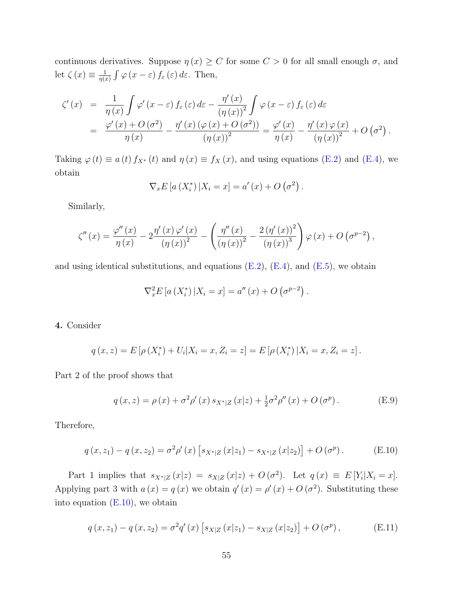continuous derivatives. Suppose  $\eta(x) \geq C$  for some  $C > 0$  for all small enough  $\sigma$ , and let  $\zeta(x) \equiv \frac{1}{n(x)}$  $\frac{1}{\eta(x)}\int \varphi(x-\varepsilon)f_{\varepsilon}(\varepsilon)\,d\varepsilon.$  Then,

$$
\zeta'(x) = \frac{1}{\eta(x)} \int \varphi'(x-\varepsilon) f_{\varepsilon}(\varepsilon) d\varepsilon - \frac{\eta'(x)}{(\eta(x))^2} \int \varphi(x-\varepsilon) f_{\varepsilon}(\varepsilon) d\varepsilon \n= \frac{\varphi'(x) + O(\sigma^2)}{\eta(x)} - \frac{\eta'(x) (\varphi(x) + O(\sigma^2))}{(\eta(x))^2} = \frac{\varphi'(x)}{\eta(x)} - \frac{\eta'(x) \varphi(x)}{(\eta(x))^2} + O(\sigma^2).
$$

Taking  $\varphi(t) \equiv a(t) f_{X^*}(t)$  and  $\eta(x) \equiv f_X(x)$ , and using equations [\(E.2\)](#page-52-0) and [\(E.4\)](#page-52-1), we obtain

$$
\nabla_x E\left[a\left(X_i^*\right)|X_i=x\right] = a'\left(x\right) + O\left(\sigma^2\right).
$$

Similarly,

$$
\zeta''(x) = \frac{\varphi''(x)}{\eta(x)} - 2\frac{\eta'(x)\varphi'(x)}{(\eta(x))^2} - \left(\frac{\eta''(x)}{(\eta(x))^2} - \frac{2(\eta'(x))^2}{(\eta(x))^3}\right)\varphi(x) + O\left(\sigma^{p-2}\right),
$$

and using identical substitutions, and equations  $(E.2)$ ,  $(E.4)$ , and  $(E.5)$ , we obtain

$$
\nabla_x^2 E\left[a\left(X_i^*\right)|X_i=x\right] = a''\left(x\right) + O\left(\sigma^{p-2}\right).
$$

#### 4. Consider

$$
q(x, z) = E[\rho(X_i^*) + U_i | X_i = x, Z_i = z] = E[\rho(X_i^*) | X_i = x, Z_i = z].
$$

Part 2 of the proof shows that

<span id="page-54-1"></span>
$$
q(x,z) = \rho(x) + \sigma^2 \rho'(x) s_{X^*|Z}(x|z) + \frac{1}{2} \sigma^2 \rho''(x) + O(\sigma^p).
$$
 (E.9)

Therefore,

<span id="page-54-0"></span>
$$
q(x, z_1) - q(x, z_2) = \sigma^2 \rho'(x) \left[ s_{X^*|Z}(x|z_1) - s_{X^*|Z}(x|z_2) \right] + O(\sigma^p).
$$
 (E.10)

Part 1 implies that  $s_{X^*|Z}(x|z) = s_{X|Z}(x|z) + O(\sigma^2)$ . Let  $q(x) \equiv E[Y_i|X_i = x]$ . Applying part 3 with  $a(x) = q(x)$  we obtain  $q'(x) = \rho'(x) + O(\sigma^2)$ . Substituting these into equation  $(E.10)$ , we obtain

<span id="page-54-2"></span>
$$
q(x, z_1) - q(x, z_2) = \sigma^2 q'(x) \left[ s_{X|Z}(x|z_1) - s_{X|Z}(x|z_2) \right] + O(\sigma^p), \tag{E.11}
$$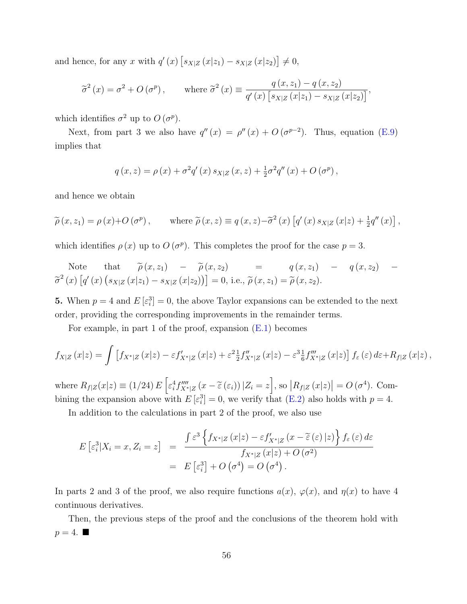and hence, for any x with  $q'(x)$   $\left[s_{X|Z}(x|z_1) - s_{X|Z}(x|z_2)\right] \neq 0$ ,

$$
\widetilde{\sigma}^2(x) = \sigma^2 + O\left(\sigma^p\right), \quad \text{where } \widetilde{\sigma}^2(x) \equiv \frac{q\left(x, z_1\right) - q\left(x, z_2\right)}{q'\left(x\right)\left[s_{X|Z}\left(x|z_1\right) - s_{X|Z}\left(x|z_2\right)\right]},
$$

which identifies  $\sigma^2$  up to  $O(\sigma^p)$ .

Next, from part 3 we also have  $q''(x) = \rho''(x) + O(\sigma^{p-2})$ . Thus, equation [\(E.9\)](#page-54-1) implies that

$$
q(x, z) = \rho(x) + \sigma^2 q'(x) s_{X|Z}(x, z) + \frac{1}{2} \sigma^2 q''(x) + O(\sigma^p),
$$

and hence we obtain

$$
\widetilde{\rho}(x, z_1) = \rho(x) + O(\sigma^p), \quad \text{where } \widetilde{\rho}(x, z) \equiv q(x, z) - \widetilde{\sigma}^2(x) \left[ q'(x) s_{X|Z}(x|z) + \frac{1}{2} q''(x) \right],
$$

which identifies  $\rho(x)$  up to  $O(\sigma^p)$ . This completes the proof for the case  $p=3$ .

Note that  $\tilde{\rho}(x, z_1)$  –  $\tilde{\rho}(x, z_2)$  =  $q(x, z_1)$  –  $q(x, z_2)$  –  $\tilde{\sigma}^{2}(x)\left[q'(x)\left(s_{X|Z}(x|z_{1})-s_{X|Z}(x|z_{2})\right)\right]=0$ , i.e.,  $\tilde{\rho}(x,z_{1})=\tilde{\rho}(x,z_{2})$ .

**5.** When  $p = 4$  and  $E[\epsilon_i^3] = 0$ , the above Taylor expansions can be extended to the next order, providing the corresponding improvements in the remainder terms.

For example, in part 1 of the proof, expansion [\(E.1\)](#page-52-2) becomes

$$
f_{X|Z}(x|z) = \int \left[ f_{X^*|Z}(x|z) - \varepsilon f'_{X^*|Z}(x|z) + \varepsilon^2 \frac{1}{2} f''_{X^*|Z}(x|z) - \varepsilon^3 \frac{1}{6} f'''_{X^*|Z}(x|z) \right] f_{\varepsilon}(\varepsilon) d\varepsilon + R_{f|Z}(x|z),
$$

where  $R_{f|Z}(x|z) \equiv (1/24) E\left[\varepsilon_i^4 f_{X^*|Z}''''(x-\tilde{\varepsilon}(\varepsilon_i)) | Z_i = z\right]$ , so  $|R_{f|Z}(x|z)| = O(\sigma^4)$ . Combining the expansion above with  $E\left[\varepsilon_i^3\right]=0$ , we verify that [\(E.2\)](#page-52-0) also holds with  $p=4$ .

In addition to the calculations in part 2 of the proof, we also use

$$
E\left[\varepsilon_i^3|X_i=x,Z_i=z\right] = \frac{\int \varepsilon^3 \left\{f_{X^*|Z}\left(x|z\right)-\varepsilon f'_{X^*|Z}\left(x-\widetilde{\varepsilon}\left(\varepsilon\right)|z\right)\right\} f_{\varepsilon}\left(\varepsilon\right)d\varepsilon}{f_{X^*|Z}\left(x|z\right)+O\left(\sigma^2\right)} = E\left[\varepsilon_i^3\right] + O\left(\sigma^4\right) = O\left(\sigma^4\right).
$$

In parts 2 and 3 of the proof, we also require functions  $a(x)$ ,  $\varphi(x)$ , and  $\eta(x)$  to have 4 continuous derivatives.

Then, the previous steps of the proof and the conclusions of the theorem hold with  $p=4.$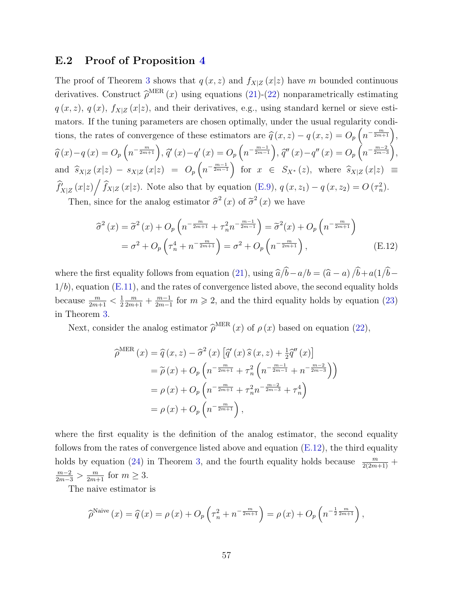#### E.2 Proof of Proposition [4](#page-25-2)

The proof of Theorem [3](#page-23-2) shows that  $q(x, z)$  and  $f_{X|Z}(x|z)$  have m bounded continuous derivatives. Construct  $\hat{\rho}^{\text{MER}}(x)$  using equations [\(21\)](#page-23-5)-[\(22\)](#page-23-4) nonparametrically estimating  $q(x, z)$ ,  $q(x)$ ,  $f_{X|Z}(x|z)$ , and their derivatives, e.g., using standard kernel or sieve estimators. If the tuning parameters are chosen optimally, under the usual regularity conditions, the rates of convergence of these estimators are  $\hat{q}(x, z) - q(x, z) = O_p\left(n^{-\frac{m}{2m+1}}\right)$ ,  $\widehat{q}(x) - q(x) = O_p\left(n^{-\frac{m}{2m+1}}\right), \, \widehat{q}'(x) - q'(x) = O_p\left(n^{-\frac{m-1}{2m-1}}\right), \, \widehat{q}''(x) - q''(x) = O_p\left(n^{-\frac{m-2}{2m-3}}\right),$ and  $\hat{s}_{X|Z}(x|z) - s_{X|Z}(x|z) = O_p(n^{-\frac{m-1}{2m-1}})$  for  $x \in S_{X^*}(z)$ , where  $\hat{s}_{X|Z}(x|z) \equiv$  $\hat{f}_{X|Z}'(x|z) / \hat{f}_{X|Z}(x|z)$ . Note also that by equation [\(E.9\)](#page-54-1),  $q(x, z_1) - q(x, z_2) = O(\tau_n^2)$ . Then, since for the analog estimator  $\hat{\sigma}^2(x)$  of  $\tilde{\sigma}^2(x)$  we have

<span id="page-56-0"></span>
$$
\hat{\sigma}^2(x) = \tilde{\sigma}^2(x) + O_p\left(n^{-\frac{m}{2m+1}} + \tau_n^2 n^{-\frac{m-1}{2m-1}}\right) = \tilde{\sigma}^2(x) + O_p\left(n^{-\frac{m}{2m+1}}\right)
$$

$$
= \sigma^2 + O_p\left(\tau_n^4 + n^{-\frac{m}{2m+1}}\right) = \sigma^2 + O_p\left(n^{-\frac{m}{2m+1}}\right),\tag{E.12}
$$

where the first equality follows from equation [\(21\)](#page-23-5), using  $\hat{a}/\hat{b} - a/b = (\hat{a} - a)/\hat{b} + a(1/\hat{b} - a')$  $1/b$ , equation  $(E.11)$ , and the rates of convergence listed above, the second equality holds because  $\frac{m}{2m+1} < \frac{1}{2}$ 2  $\frac{m}{2m+1} + \frac{m-1}{2m-1}$  $\frac{m-1}{2m-1}$  for  $m \ge 2$ , and the third equality holds by equation [\(23\)](#page-23-1) in Theorem [3.](#page-23-2)

Next, consider the analog estimator  $\hat{\rho}^{\text{MER}}(x)$  of  $\rho(x)$  based on equation [\(22\)](#page-23-4),

$$
\widehat{\rho}^{\text{MER}}(x) = \widehat{q}(x, z) - \widehat{\sigma}^2(x) \left[ \widehat{q}'(x) \widehat{s}(x, z) + \frac{1}{2} \widehat{q}''(x) \right]
$$
  
\n
$$
= \widetilde{\rho}(x) + O_p \left( n^{-\frac{m}{2m+1}} + \tau_n^2 \left( n^{-\frac{m-1}{2m-1}} + n^{-\frac{m-2}{2m-3}} \right) \right)
$$
  
\n
$$
= \rho(x) + O_p \left( n^{-\frac{m}{2m+1}} + \tau_n^2 n^{-\frac{m-2}{2m-3}} + \tau_n^4 \right)
$$
  
\n
$$
= \rho(x) + O_p \left( n^{-\frac{m}{2m+1}} \right),
$$

where the first equality is the definition of the analog estimator, the second equality follows from the rates of convergence listed above and equation  $(E.12)$ , the third equality holds by equation [\(24\)](#page-23-6) in Theorem [3,](#page-23-2) and the fourth equality holds because  $\frac{m}{2(2m+1)}$  +  $\frac{m-2}{2m-3} > \frac{m}{2m+1}$  for  $m \geq 3$ .

The naive estimator is

$$
\widehat{\rho}^{\text{Naive}}\left(x\right) = \widehat{q}\left(x\right) = \rho\left(x\right) + O_p\left(\tau_n^2 + n^{-\frac{m}{2m+1}}\right) = \rho\left(x\right) + O_p\left(n^{-\frac{1}{2}\frac{m}{2m+1}}\right),
$$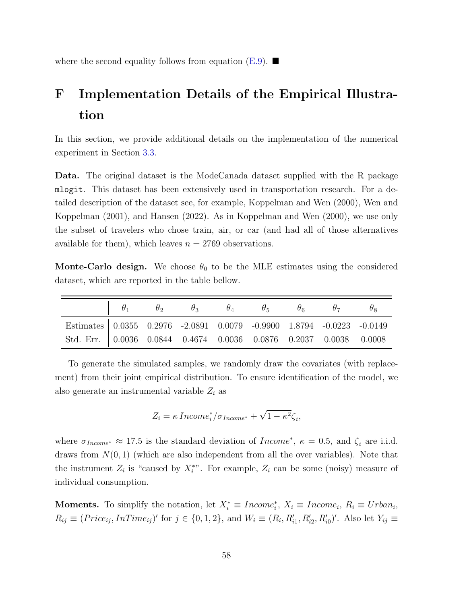where the second equality follows from equation  $(E.9)$ .

## <span id="page-57-0"></span>F Implementation Details of the Empirical Illustration

In this section, we provide additional details on the implementation of the numerical experiment in Section [3.3.](#page-21-0)

Data. The original dataset is the ModeCanada dataset supplied with the R package mlogit. This dataset has been extensively used in transportation research. For a detailed description of the dataset see, for example, [Koppelman and Wen](#page-34-12) [\(2000\)](#page-34-12), [Wen and](#page-35-12) [Koppelman](#page-35-12) [\(2001\)](#page-35-12), and [Hansen](#page-33-12) [\(2022\)](#page-33-12). As in [Koppelman and Wen](#page-34-12) [\(2000\)](#page-34-12), we use only the subset of travelers who chose train, air, or car (and had all of those alternatives available for them), which leaves  $n = 2769$  observations.

**Monte-Carlo design.** We choose  $\theta_0$  to be the MLE estimates using the considered dataset, which are reported in the table bellow.

|                                                                       |  | $\begin{array}{ccccccccccccc}\n\mid & \theta_1 & & \theta_2 & & \theta_3 & & \theta_4 & & \theta_5 & & \theta_6 & & \theta_7 & & \theta_8\n\end{array}$ |  |  |  |
|-----------------------------------------------------------------------|--|---------------------------------------------------------------------------------------------------------------------------------------------------------|--|--|--|
| Estimates 0.0355 0.2976 -2.0891 0.0079 -0.9900 1.8794 -0.0223 -0.0149 |  |                                                                                                                                                         |  |  |  |
| Std. Err. 0.0036 0.0844 0.4674 0.0036 0.0876 0.2037 0.0038 0.0008     |  |                                                                                                                                                         |  |  |  |

To generate the simulated samples, we randomly draw the covariates (with replacement) from their joint empirical distribution. To ensure identification of the model, we also generate an instrumental variable  $Z_i$  as

$$
Z_i = \kappa \, Income_i^* / \sigma_{Income^*} + \sqrt{1 - \kappa^2} \zeta_i,
$$

where  $\sigma_{Income^*} \approx 17.5$  is the standard deviation of  $Income^*$ ,  $\kappa = 0.5$ , and  $\zeta_i$  are i.i.d. draws from  $N(0, 1)$  (which are also independent from all the over variables). Note that the instrument  $Z_i$  is "caused by  $X_i^*$ ". For example,  $Z_i$  can be some (noisy) measure of individual consumption.

**Moments.** To simplify the notation, let  $X_i^* \equiv Income_i^*$ ,  $X_i \equiv Income_i$ ,  $R_i \equiv Urban_i$ ,  $R_{ij} \equiv (Price_{ij}, InTime_{ij})'$  for  $j \in \{0, 1, 2\}$ , and  $W_i \equiv (R_i, R'_{i1}, R'_{i2}, R'_{i0})'$ . Also let  $Y_{ij} \equiv$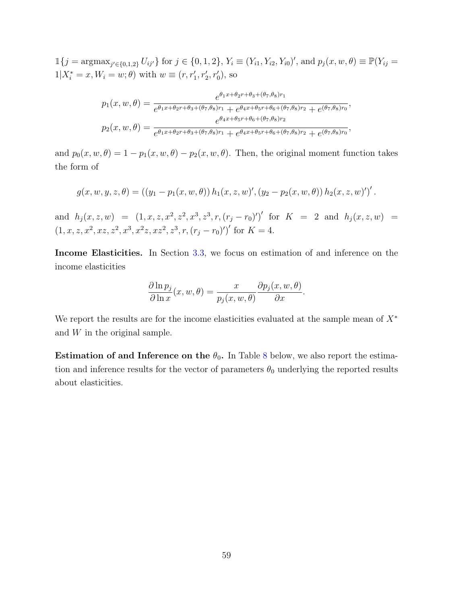$\mathbb{1}{j = \operatorname{argmax}_{j' \in \{0,1,2\}} U_{ij'}}$  for  $j \in \{0,1,2\}$ ,  $Y_i \equiv (Y_{i1}, Y_{i2}, Y_{i0})'$ , and  $p_j(x, w, \theta) \equiv \mathbb{P}(Y_{ij} =$  $1|X_i^* = x, W_i = w; \theta$  with  $w \equiv (r, r'_1, r'_2, r'_0)$ , so

$$
p_1(x, w, \theta) = \frac{e^{\theta_1 x + \theta_2 r + \theta_3 + (\theta_7, \theta_8)r_1}}{e^{\theta_1 x + \theta_2 r + \theta_3 + (\theta_7, \theta_8)r_1} + e^{\theta_4 x + \theta_5 r + \theta_6 + (\theta_7, \theta_8)r_2} + e^{(\theta_7, \theta_8)r_0}},
$$
  
\n
$$
p_2(x, w, \theta) = \frac{e^{\theta_4 x + \theta_5 r + \theta_6 + (\theta_7, \theta_8)r_2}}{e^{\theta_1 x + \theta_2 r + \theta_3 + (\theta_7, \theta_8)r_1} + e^{\theta_4 x + \theta_5 r + \theta_6 + (\theta_7, \theta_8)r_2} + e^{(\theta_7, \theta_8)r_0}},
$$

and  $p_0(x, w, \theta) = 1 - p_1(x, w, \theta) - p_2(x, w, \theta)$ . Then, the original moment function takes the form of

$$
g(x, w, y, z, \theta) = ((y_1 - p_1(x, w, \theta)) h_1(x, z, w)', (y_2 - p_2(x, w, \theta)) h_2(x, z, w)')'.
$$

and  $h_j(x, z, w) = (1, x, z, x^2, z^2, x^3, z^3, r, (r_j - r_0)')'$  for  $K = 2$  and  $h_j(x, z, w) =$  $(1, x, z, x^2, xz, z^2, x^3, x^2z, xz^2, z^3, r, (r_j - r_0)')'$  for  $K = 4$ .

Income Elasticities. In Section [3.3,](#page-21-0) we focus on estimation of and inference on the income elasticities

$$
\frac{\partial \ln p_j}{\partial \ln x}(x, w, \theta) = \frac{x}{p_j(x, w, \theta)} \frac{\partial p_j(x, w, \theta)}{\partial x}.
$$

We report the results are for the income elasticities evaluated at the sample mean of  $X^*$ and W in the original sample.

Estimation of and Inference on the  $\theta_0$ . In Table [8](#page-59-0) below, we also report the estimation and inference results for the vector of parameters  $\theta_0$  underlying the reported results about elasticities.